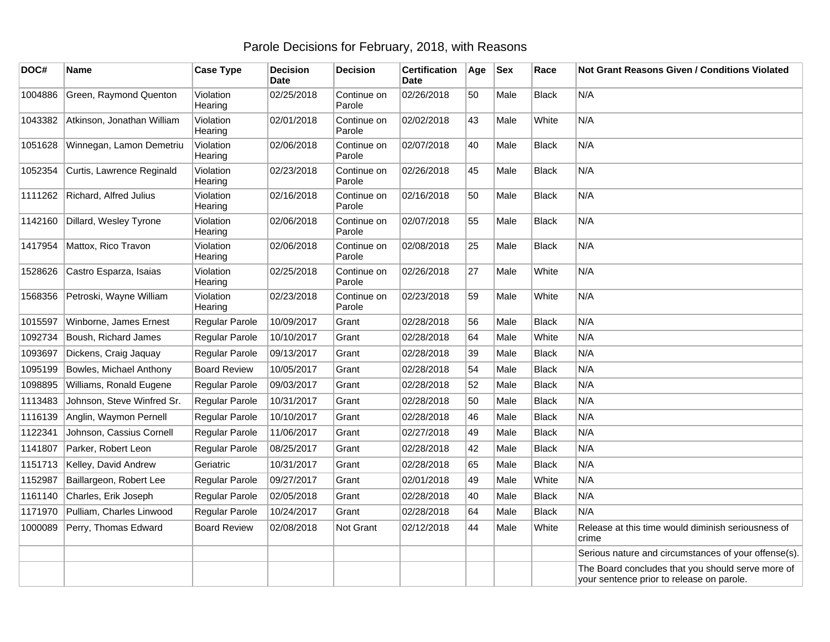## Parole Decisions for February, 2018, with Reasons

| DOC#    | <b>Name</b>                | <b>Case Type</b>     | <b>Decision</b><br><b>Date</b> | <b>Decision</b>       | <b>Certification</b><br>Date | Age | <b>Sex</b> | Race         | Not Grant Reasons Given / Conditions Violated                                                  |
|---------|----------------------------|----------------------|--------------------------------|-----------------------|------------------------------|-----|------------|--------------|------------------------------------------------------------------------------------------------|
| 1004886 | Green, Raymond Quenton     | Violation<br>Hearing | 02/25/2018                     | Continue on<br>Parole | 02/26/2018                   | 50  | Male       | <b>Black</b> | N/A                                                                                            |
| 1043382 | Atkinson, Jonathan William | Violation<br>Hearing | 02/01/2018                     | Continue on<br>Parole | 02/02/2018                   | 43  | Male       | White        | N/A                                                                                            |
| 1051628 | Winnegan, Lamon Demetriu   | Violation<br>Hearing | 02/06/2018                     | Continue on<br>Parole | 02/07/2018                   | 40  | Male       | <b>Black</b> | N/A                                                                                            |
| 1052354 | Curtis, Lawrence Reginald  | Violation<br>Hearing | 02/23/2018                     | Continue on<br>Parole | 02/26/2018                   | 45  | Male       | Black        | N/A                                                                                            |
| 1111262 | Richard, Alfred Julius     | Violation<br>Hearing | 02/16/2018                     | Continue on<br>Parole | 02/16/2018                   | 50  | Male       | <b>Black</b> | N/A                                                                                            |
| 1142160 | Dillard, Wesley Tyrone     | Violation<br>Hearing | 02/06/2018                     | Continue on<br>Parole | 02/07/2018                   | 55  | Male       | <b>Black</b> | N/A                                                                                            |
| 1417954 | Mattox, Rico Travon        | Violation<br>Hearing | 02/06/2018                     | Continue on<br>Parole | 02/08/2018                   | 25  | Male       | <b>Black</b> | N/A                                                                                            |
| 1528626 | Castro Esparza, Isaias     | Violation<br>Hearing | 02/25/2018                     | Continue on<br>Parole | 02/26/2018                   | 27  | Male       | White        | N/A                                                                                            |
| 1568356 | Petroski, Wayne William    | Violation<br>Hearing | 02/23/2018                     | Continue on<br>Parole | 02/23/2018                   | 59  | Male       | White        | N/A                                                                                            |
| 1015597 | Winborne, James Ernest     | Regular Parole       | 10/09/2017                     | Grant                 | 02/28/2018                   | 56  | Male       | <b>Black</b> | N/A                                                                                            |
| 1092734 | Boush, Richard James       | Regular Parole       | 10/10/2017                     | Grant                 | 02/28/2018                   | 64  | Male       | White        | N/A                                                                                            |
| 1093697 | Dickens, Craig Jaquay      | Regular Parole       | 09/13/2017                     | Grant                 | 02/28/2018                   | 39  | Male       | <b>Black</b> | N/A                                                                                            |
| 1095199 | Bowles, Michael Anthony    | <b>Board Review</b>  | 10/05/2017                     | Grant                 | 02/28/2018                   | 54  | Male       | <b>Black</b> | N/A                                                                                            |
| 1098895 | Williams, Ronald Eugene    | Regular Parole       | 09/03/2017                     | Grant                 | 02/28/2018                   | 52  | Male       | <b>Black</b> | N/A                                                                                            |
| 1113483 | Johnson, Steve Winfred Sr. | Regular Parole       | 10/31/2017                     | Grant                 | 02/28/2018                   | 50  | Male       | Black        | N/A                                                                                            |
| 1116139 | Anglin, Waymon Pernell     | Regular Parole       | 10/10/2017                     | Grant                 | 02/28/2018                   | 46  | Male       | <b>Black</b> | N/A                                                                                            |
| 1122341 | Johnson, Cassius Cornell   | Regular Parole       | 11/06/2017                     | Grant                 | 02/27/2018                   | 49  | Male       | <b>Black</b> | N/A                                                                                            |
| 1141807 | Parker, Robert Leon        | Regular Parole       | 08/25/2017                     | Grant                 | 02/28/2018                   | 42  | Male       | <b>Black</b> | N/A                                                                                            |
| 1151713 | Kelley, David Andrew       | Geriatric            | 10/31/2017                     | Grant                 | 02/28/2018                   | 65  | Male       | <b>Black</b> | N/A                                                                                            |
| 1152987 | Baillargeon, Robert Lee    | Regular Parole       | 09/27/2017                     | Grant                 | 02/01/2018                   | 49  | Male       | White        | N/A                                                                                            |
| 1161140 | Charles, Erik Joseph       | Regular Parole       | 02/05/2018                     | Grant                 | 02/28/2018                   | 40  | Male       | <b>Black</b> | N/A                                                                                            |
| 1171970 | Pulliam, Charles Linwood   | Regular Parole       | 10/24/2017                     | Grant                 | 02/28/2018                   | 64  | Male       | <b>Black</b> | N/A                                                                                            |
| 1000089 | Perry, Thomas Edward       | <b>Board Review</b>  | 02/08/2018                     | Not Grant             | 02/12/2018                   | 44  | Male       | White        | Release at this time would diminish seriousness of<br>crime                                    |
|         |                            |                      |                                |                       |                              |     |            |              | Serious nature and circumstances of your offense(s).                                           |
|         |                            |                      |                                |                       |                              |     |            |              | The Board concludes that you should serve more of<br>your sentence prior to release on parole. |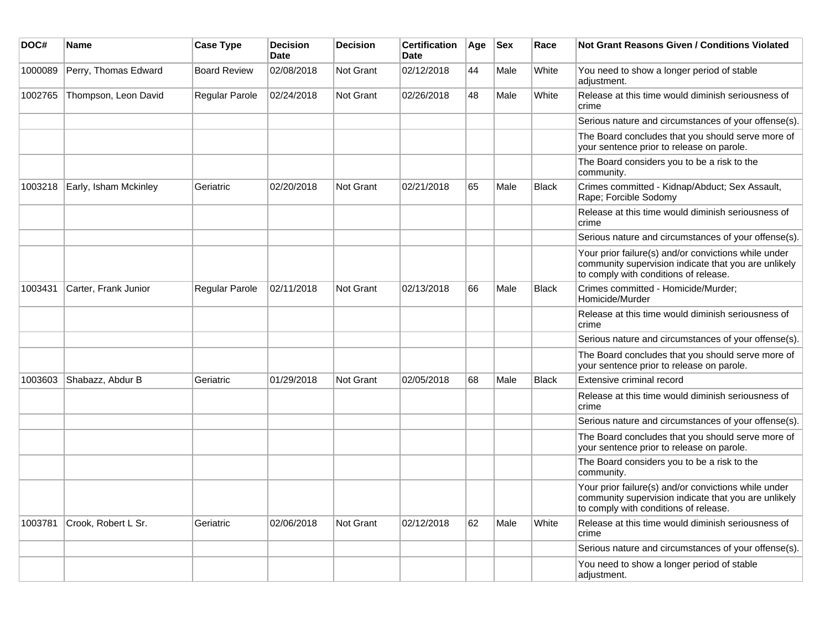| DOC#    | <b>Name</b>           | <b>Case Type</b>    | <b>Decision</b><br><b>Date</b> | <b>Decision</b>  | <b>Certification</b><br>Date | Age | <b>Sex</b> | Race         | <b>Not Grant Reasons Given / Conditions Violated</b>                                                                                                  |
|---------|-----------------------|---------------------|--------------------------------|------------------|------------------------------|-----|------------|--------------|-------------------------------------------------------------------------------------------------------------------------------------------------------|
| 1000089 | Perry, Thomas Edward  | <b>Board Review</b> | 02/08/2018                     | Not Grant        | 02/12/2018                   | 44  | Male       | White        | You need to show a longer period of stable<br>adjustment.                                                                                             |
| 1002765 | Thompson, Leon David  | Regular Parole      | 02/24/2018                     | <b>Not Grant</b> | 02/26/2018                   | 48  | Male       | White        | Release at this time would diminish seriousness of<br>crime                                                                                           |
|         |                       |                     |                                |                  |                              |     |            |              | Serious nature and circumstances of your offense(s).                                                                                                  |
|         |                       |                     |                                |                  |                              |     |            |              | The Board concludes that you should serve more of<br>your sentence prior to release on parole.                                                        |
|         |                       |                     |                                |                  |                              |     |            |              | The Board considers you to be a risk to the<br>community.                                                                                             |
| 1003218 | Early, Isham Mckinley | Geriatric           | 02/20/2018                     | Not Grant        | 02/21/2018                   | 65  | Male       | <b>Black</b> | Crimes committed - Kidnap/Abduct; Sex Assault,<br>Rape; Forcible Sodomy                                                                               |
|         |                       |                     |                                |                  |                              |     |            |              | Release at this time would diminish seriousness of<br>crime                                                                                           |
|         |                       |                     |                                |                  |                              |     |            |              | Serious nature and circumstances of your offense(s).                                                                                                  |
|         |                       |                     |                                |                  |                              |     |            |              | Your prior failure(s) and/or convictions while under<br>community supervision indicate that you are unlikely<br>to comply with conditions of release. |
| 1003431 | Carter, Frank Junior  | Regular Parole      | 02/11/2018                     | Not Grant        | 02/13/2018                   | 66  | Male       | <b>Black</b> | Crimes committed - Homicide/Murder;<br>Homicide/Murder                                                                                                |
|         |                       |                     |                                |                  |                              |     |            |              | Release at this time would diminish seriousness of<br>crime                                                                                           |
|         |                       |                     |                                |                  |                              |     |            |              | Serious nature and circumstances of your offense(s).                                                                                                  |
|         |                       |                     |                                |                  |                              |     |            |              | The Board concludes that you should serve more of<br>your sentence prior to release on parole.                                                        |
| 1003603 | Shabazz, Abdur B      | Geriatric           | 01/29/2018                     | <b>Not Grant</b> | 02/05/2018                   | 68  | Male       | <b>Black</b> | Extensive criminal record                                                                                                                             |
|         |                       |                     |                                |                  |                              |     |            |              | Release at this time would diminish seriousness of<br>crime                                                                                           |
|         |                       |                     |                                |                  |                              |     |            |              | Serious nature and circumstances of your offense(s).                                                                                                  |
|         |                       |                     |                                |                  |                              |     |            |              | The Board concludes that you should serve more of<br>your sentence prior to release on parole.                                                        |
|         |                       |                     |                                |                  |                              |     |            |              | The Board considers you to be a risk to the<br>community.                                                                                             |
|         |                       |                     |                                |                  |                              |     |            |              | Your prior failure(s) and/or convictions while under<br>community supervision indicate that you are unlikely<br>to comply with conditions of release. |
| 1003781 | Crook, Robert L Sr.   | Geriatric           | 02/06/2018                     | Not Grant        | 02/12/2018                   | 62  | Male       | White        | Release at this time would diminish seriousness of<br>crime                                                                                           |
|         |                       |                     |                                |                  |                              |     |            |              | Serious nature and circumstances of your offense(s).                                                                                                  |
|         |                       |                     |                                |                  |                              |     |            |              | You need to show a longer period of stable<br>adjustment.                                                                                             |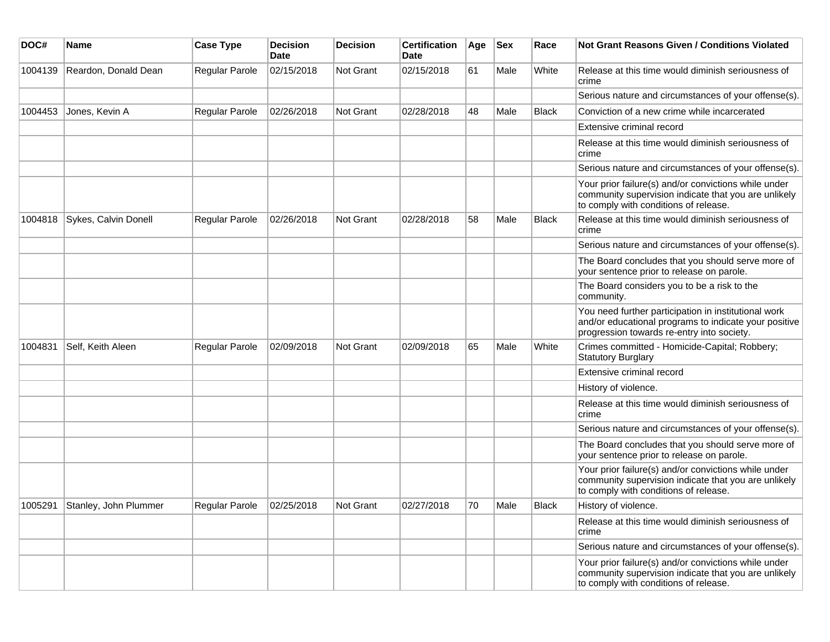| DOC#    | <b>Name</b>           | <b>Case Type</b> | <b>Decision</b><br><b>Date</b> | <b>Decision</b>  | <b>Certification</b><br><b>Date</b> | Age | <b>Sex</b> | Race         | Not Grant Reasons Given / Conditions Violated                                                                                                               |
|---------|-----------------------|------------------|--------------------------------|------------------|-------------------------------------|-----|------------|--------------|-------------------------------------------------------------------------------------------------------------------------------------------------------------|
| 1004139 | Reardon, Donald Dean  | Regular Parole   | 02/15/2018                     | Not Grant        | 02/15/2018                          | 61  | Male       | White        | Release at this time would diminish seriousness of<br>crime                                                                                                 |
|         |                       |                  |                                |                  |                                     |     |            |              | Serious nature and circumstances of your offense(s).                                                                                                        |
| 1004453 | Jones, Kevin A        | Regular Parole   | 02/26/2018                     | <b>Not Grant</b> | 02/28/2018                          | 48  | Male       | <b>Black</b> | Conviction of a new crime while incarcerated                                                                                                                |
|         |                       |                  |                                |                  |                                     |     |            |              | Extensive criminal record                                                                                                                                   |
|         |                       |                  |                                |                  |                                     |     |            |              | Release at this time would diminish seriousness of<br>crime                                                                                                 |
|         |                       |                  |                                |                  |                                     |     |            |              | Serious nature and circumstances of your offense(s).                                                                                                        |
|         |                       |                  |                                |                  |                                     |     |            |              | Your prior failure(s) and/or convictions while under<br>community supervision indicate that you are unlikely<br>to comply with conditions of release.       |
| 1004818 | Sykes, Calvin Donell  | Regular Parole   | 02/26/2018                     | <b>Not Grant</b> | 02/28/2018                          | 58  | Male       | <b>Black</b> | Release at this time would diminish seriousness of<br>crime                                                                                                 |
|         |                       |                  |                                |                  |                                     |     |            |              | Serious nature and circumstances of your offense(s).                                                                                                        |
|         |                       |                  |                                |                  |                                     |     |            |              | The Board concludes that you should serve more of<br>your sentence prior to release on parole.                                                              |
|         |                       |                  |                                |                  |                                     |     |            |              | The Board considers you to be a risk to the<br>community.                                                                                                   |
|         |                       |                  |                                |                  |                                     |     |            |              | You need further participation in institutional work<br>and/or educational programs to indicate your positive<br>progression towards re-entry into society. |
| 1004831 | Self, Keith Aleen     | Regular Parole   | 02/09/2018                     | <b>Not Grant</b> | 02/09/2018                          | 65  | Male       | White        | Crimes committed - Homicide-Capital; Robbery;<br><b>Statutory Burglary</b>                                                                                  |
|         |                       |                  |                                |                  |                                     |     |            |              | Extensive criminal record                                                                                                                                   |
|         |                       |                  |                                |                  |                                     |     |            |              | History of violence.                                                                                                                                        |
|         |                       |                  |                                |                  |                                     |     |            |              | Release at this time would diminish seriousness of<br>crime                                                                                                 |
|         |                       |                  |                                |                  |                                     |     |            |              | Serious nature and circumstances of your offense(s).                                                                                                        |
|         |                       |                  |                                |                  |                                     |     |            |              | The Board concludes that you should serve more of<br>your sentence prior to release on parole.                                                              |
|         |                       |                  |                                |                  |                                     |     |            |              | Your prior failure(s) and/or convictions while under<br>community supervision indicate that you are unlikely<br>to comply with conditions of release.       |
| 1005291 | Stanley, John Plummer | Regular Parole   | 02/25/2018                     | Not Grant        | 02/27/2018                          | 70  | Male       | Black        | History of violence.                                                                                                                                        |
|         |                       |                  |                                |                  |                                     |     |            |              | Release at this time would diminish seriousness of<br>crime                                                                                                 |
|         |                       |                  |                                |                  |                                     |     |            |              | Serious nature and circumstances of your offense(s).                                                                                                        |
|         |                       |                  |                                |                  |                                     |     |            |              | Your prior failure(s) and/or convictions while under<br>community supervision indicate that you are unlikely<br>to comply with conditions of release.       |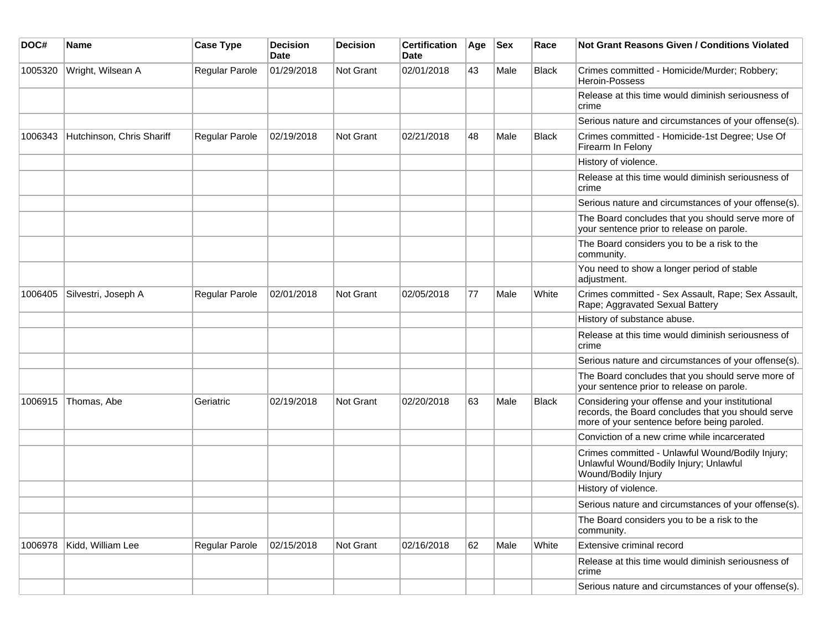| DOC#    | <b>Name</b>               | <b>Case Type</b> | <b>Decision</b><br><b>Date</b> | <b>Decision</b> | <b>Certification</b><br>Date | Age | Sex  | Race         | Not Grant Reasons Given / Conditions Violated                                                                                                        |
|---------|---------------------------|------------------|--------------------------------|-----------------|------------------------------|-----|------|--------------|------------------------------------------------------------------------------------------------------------------------------------------------------|
| 1005320 | Wright, Wilsean A         | Regular Parole   | 01/29/2018                     | Not Grant       | 02/01/2018                   | 43  | Male | <b>Black</b> | Crimes committed - Homicide/Murder; Robbery;<br>Heroin-Possess                                                                                       |
|         |                           |                  |                                |                 |                              |     |      |              | Release at this time would diminish seriousness of<br>crime                                                                                          |
|         |                           |                  |                                |                 |                              |     |      |              | Serious nature and circumstances of your offense(s).                                                                                                 |
| 1006343 | Hutchinson, Chris Shariff | Regular Parole   | 02/19/2018                     | Not Grant       | 02/21/2018                   | 48  | Male | <b>Black</b> | Crimes committed - Homicide-1st Degree; Use Of<br>Firearm In Felony                                                                                  |
|         |                           |                  |                                |                 |                              |     |      |              | History of violence.                                                                                                                                 |
|         |                           |                  |                                |                 |                              |     |      |              | Release at this time would diminish seriousness of<br>crime                                                                                          |
|         |                           |                  |                                |                 |                              |     |      |              | Serious nature and circumstances of your offense(s).                                                                                                 |
|         |                           |                  |                                |                 |                              |     |      |              | The Board concludes that you should serve more of<br>your sentence prior to release on parole.                                                       |
|         |                           |                  |                                |                 |                              |     |      |              | The Board considers you to be a risk to the<br>community.                                                                                            |
|         |                           |                  |                                |                 |                              |     |      |              | You need to show a longer period of stable<br>adjustment.                                                                                            |
| 1006405 | Silvestri, Joseph A       | Regular Parole   | 02/01/2018                     | Not Grant       | 02/05/2018                   | 77  | Male | White        | Crimes committed - Sex Assault, Rape; Sex Assault,<br>Rape; Aggravated Sexual Battery                                                                |
|         |                           |                  |                                |                 |                              |     |      |              | History of substance abuse.                                                                                                                          |
|         |                           |                  |                                |                 |                              |     |      |              | Release at this time would diminish seriousness of<br>crime                                                                                          |
|         |                           |                  |                                |                 |                              |     |      |              | Serious nature and circumstances of your offense(s).                                                                                                 |
|         |                           |                  |                                |                 |                              |     |      |              | The Board concludes that you should serve more of<br>your sentence prior to release on parole.                                                       |
| 1006915 | Thomas, Abe               | Geriatric        | 02/19/2018                     | Not Grant       | 02/20/2018                   | 63  | Male | <b>Black</b> | Considering your offense and your institutional<br>records, the Board concludes that you should serve<br>more of your sentence before being paroled. |
|         |                           |                  |                                |                 |                              |     |      |              | Conviction of a new crime while incarcerated                                                                                                         |
|         |                           |                  |                                |                 |                              |     |      |              | Crimes committed - Unlawful Wound/Bodily Injury;<br>Unlawful Wound/Bodily Injury; Unlawful<br>Wound/Bodily Injury                                    |
|         |                           |                  |                                |                 |                              |     |      |              | History of violence.                                                                                                                                 |
|         |                           |                  |                                |                 |                              |     |      |              | Serious nature and circumstances of your offense(s).                                                                                                 |
|         |                           |                  |                                |                 |                              |     |      |              | The Board considers you to be a risk to the<br>community.                                                                                            |
| 1006978 | Kidd, William Lee         | Regular Parole   | 02/15/2018                     | Not Grant       | 02/16/2018                   | 62  | Male | White        | Extensive criminal record                                                                                                                            |
|         |                           |                  |                                |                 |                              |     |      |              | Release at this time would diminish seriousness of<br>crime                                                                                          |
|         |                           |                  |                                |                 |                              |     |      |              | Serious nature and circumstances of your offense(s).                                                                                                 |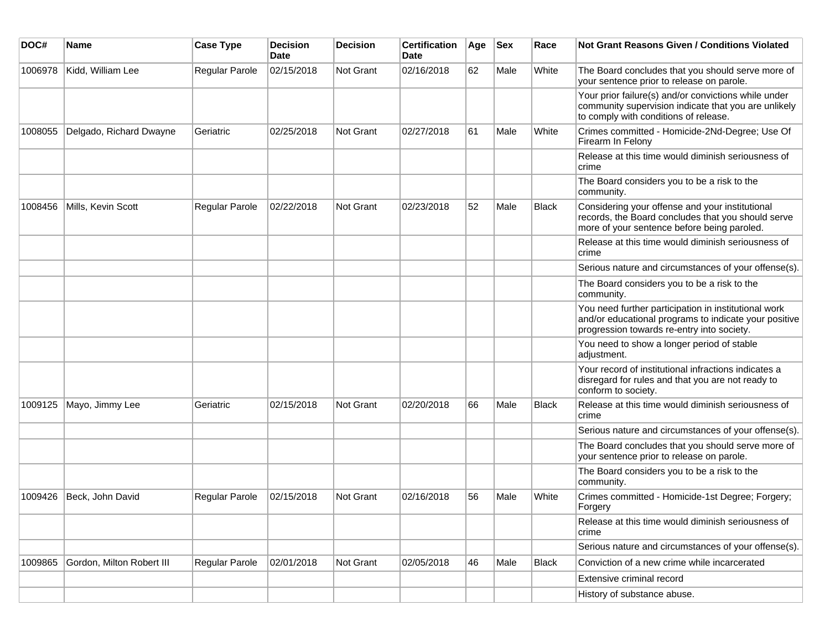| DOC#    | <b>Name</b>               | <b>Case Type</b> | <b>Decision</b><br><b>Date</b> | <b>Decision</b> | <b>Certification</b><br>Date | Age | <b>Sex</b> | Race         | <b>Not Grant Reasons Given / Conditions Violated</b>                                                                                                        |
|---------|---------------------------|------------------|--------------------------------|-----------------|------------------------------|-----|------------|--------------|-------------------------------------------------------------------------------------------------------------------------------------------------------------|
| 1006978 | Kidd, William Lee         | Regular Parole   | 02/15/2018                     | Not Grant       | 02/16/2018                   | 62  | Male       | White        | The Board concludes that you should serve more of<br>your sentence prior to release on parole.                                                              |
|         |                           |                  |                                |                 |                              |     |            |              | Your prior failure(s) and/or convictions while under<br>community supervision indicate that you are unlikely<br>to comply with conditions of release.       |
| 1008055 | Delgado, Richard Dwayne   | Geriatric        | 02/25/2018                     | Not Grant       | 02/27/2018                   | 61  | Male       | White        | Crimes committed - Homicide-2Nd-Degree; Use Of<br>Firearm In Felony                                                                                         |
|         |                           |                  |                                |                 |                              |     |            |              | Release at this time would diminish seriousness of<br>crime                                                                                                 |
|         |                           |                  |                                |                 |                              |     |            |              | The Board considers you to be a risk to the<br>community.                                                                                                   |
| 1008456 | Mills, Kevin Scott        | Regular Parole   | 02/22/2018                     | Not Grant       | 02/23/2018                   | 52  | Male       | <b>Black</b> | Considering your offense and your institutional<br>records, the Board concludes that you should serve<br>more of your sentence before being paroled.        |
|         |                           |                  |                                |                 |                              |     |            |              | Release at this time would diminish seriousness of<br>crime                                                                                                 |
|         |                           |                  |                                |                 |                              |     |            |              | Serious nature and circumstances of your offense(s).                                                                                                        |
|         |                           |                  |                                |                 |                              |     |            |              | The Board considers you to be a risk to the<br>community.                                                                                                   |
|         |                           |                  |                                |                 |                              |     |            |              | You need further participation in institutional work<br>and/or educational programs to indicate your positive<br>progression towards re-entry into society. |
|         |                           |                  |                                |                 |                              |     |            |              | You need to show a longer period of stable<br>adjustment.                                                                                                   |
|         |                           |                  |                                |                 |                              |     |            |              | Your record of institutional infractions indicates a<br>disregard for rules and that you are not ready to<br>conform to society.                            |
| 1009125 | Mayo, Jimmy Lee           | Geriatric        | 02/15/2018                     | Not Grant       | 02/20/2018                   | 66  | Male       | <b>Black</b> | Release at this time would diminish seriousness of<br>crime                                                                                                 |
|         |                           |                  |                                |                 |                              |     |            |              | Serious nature and circumstances of your offense(s).                                                                                                        |
|         |                           |                  |                                |                 |                              |     |            |              | The Board concludes that you should serve more of<br>your sentence prior to release on parole.                                                              |
|         |                           |                  |                                |                 |                              |     |            |              | The Board considers you to be a risk to the<br>community.                                                                                                   |
| 1009426 | Beck, John David          | Regular Parole   | 02/15/2018                     | Not Grant       | 02/16/2018                   | 56  | Male       | White        | Crimes committed - Homicide-1st Degree; Forgery;<br>Forgery                                                                                                 |
|         |                           |                  |                                |                 |                              |     |            |              | Release at this time would diminish seriousness of<br>crime                                                                                                 |
|         |                           |                  |                                |                 |                              |     |            |              | Serious nature and circumstances of your offense(s).                                                                                                        |
| 1009865 | Gordon, Milton Robert III | Regular Parole   | 02/01/2018                     | Not Grant       | 02/05/2018                   | 46  | Male       | <b>Black</b> | Conviction of a new crime while incarcerated                                                                                                                |
|         |                           |                  |                                |                 |                              |     |            |              | Extensive criminal record                                                                                                                                   |
|         |                           |                  |                                |                 |                              |     |            |              | History of substance abuse.                                                                                                                                 |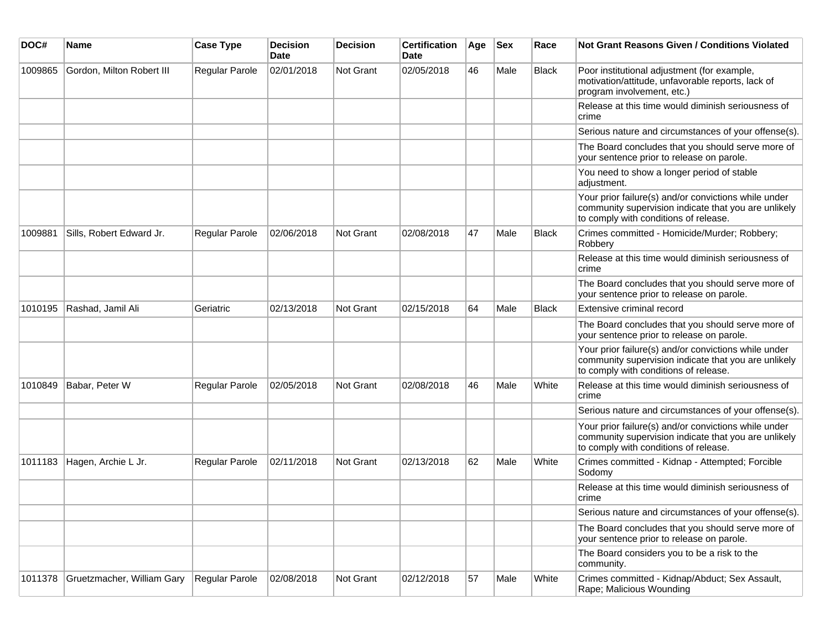| DOC#    | <b>Name</b>                | <b>Case Type</b> | <b>Decision</b><br>Date | <b>Decision</b>  | <b>Certification</b><br>Date | Age | <b>Sex</b> | Race         | <b>Not Grant Reasons Given / Conditions Violated</b>                                                                                                  |
|---------|----------------------------|------------------|-------------------------|------------------|------------------------------|-----|------------|--------------|-------------------------------------------------------------------------------------------------------------------------------------------------------|
| 1009865 | Gordon, Milton Robert III  | Regular Parole   | 02/01/2018              | <b>Not Grant</b> | 02/05/2018                   | 46  | Male       | Black        | Poor institutional adjustment (for example,<br>motivation/attitude, unfavorable reports, lack of<br>program involvement, etc.)                        |
|         |                            |                  |                         |                  |                              |     |            |              | Release at this time would diminish seriousness of<br>crime                                                                                           |
|         |                            |                  |                         |                  |                              |     |            |              | Serious nature and circumstances of your offense(s).                                                                                                  |
|         |                            |                  |                         |                  |                              |     |            |              | The Board concludes that you should serve more of<br>your sentence prior to release on parole.                                                        |
|         |                            |                  |                         |                  |                              |     |            |              | You need to show a longer period of stable<br>adjustment.                                                                                             |
|         |                            |                  |                         |                  |                              |     |            |              | Your prior failure(s) and/or convictions while under<br>community supervision indicate that you are unlikely<br>to comply with conditions of release. |
| 1009881 | Sills, Robert Edward Jr.   | Regular Parole   | 02/06/2018              | Not Grant        | 02/08/2018                   | 47  | Male       | <b>Black</b> | Crimes committed - Homicide/Murder; Robbery;<br>Robbery                                                                                               |
|         |                            |                  |                         |                  |                              |     |            |              | Release at this time would diminish seriousness of<br>crime                                                                                           |
|         |                            |                  |                         |                  |                              |     |            |              | The Board concludes that you should serve more of<br>your sentence prior to release on parole.                                                        |
| 1010195 | Rashad, Jamil Ali          | Geriatric        | 02/13/2018              | Not Grant        | 02/15/2018                   | 64  | Male       | <b>Black</b> | Extensive criminal record                                                                                                                             |
|         |                            |                  |                         |                  |                              |     |            |              | The Board concludes that you should serve more of<br>your sentence prior to release on parole.                                                        |
|         |                            |                  |                         |                  |                              |     |            |              | Your prior failure(s) and/or convictions while under<br>community supervision indicate that you are unlikely<br>to comply with conditions of release. |
| 1010849 | Babar, Peter W             | Regular Parole   | 02/05/2018              | <b>Not Grant</b> | 02/08/2018                   | 46  | Male       | White        | Release at this time would diminish seriousness of<br>crime                                                                                           |
|         |                            |                  |                         |                  |                              |     |            |              | Serious nature and circumstances of your offense(s).                                                                                                  |
|         |                            |                  |                         |                  |                              |     |            |              | Your prior failure(s) and/or convictions while under<br>community supervision indicate that you are unlikely<br>to comply with conditions of release. |
| 1011183 | Hagen, Archie L Jr.        | Regular Parole   | 02/11/2018              | <b>Not Grant</b> | 02/13/2018                   | 62  | Male       | White        | Crimes committed - Kidnap - Attempted; Forcible<br>Sodomy                                                                                             |
|         |                            |                  |                         |                  |                              |     |            |              | Release at this time would diminish seriousness of<br>crime                                                                                           |
|         |                            |                  |                         |                  |                              |     |            |              | Serious nature and circumstances of your offense(s).                                                                                                  |
|         |                            |                  |                         |                  |                              |     |            |              | The Board concludes that you should serve more of<br>your sentence prior to release on parole.                                                        |
|         |                            |                  |                         |                  |                              |     |            |              | The Board considers you to be a risk to the<br>community.                                                                                             |
| 1011378 | Gruetzmacher, William Gary | Regular Parole   | 02/08/2018              | Not Grant        | 02/12/2018                   | 57  | Male       | White        | Crimes committed - Kidnap/Abduct; Sex Assault,<br>Rape; Malicious Wounding                                                                            |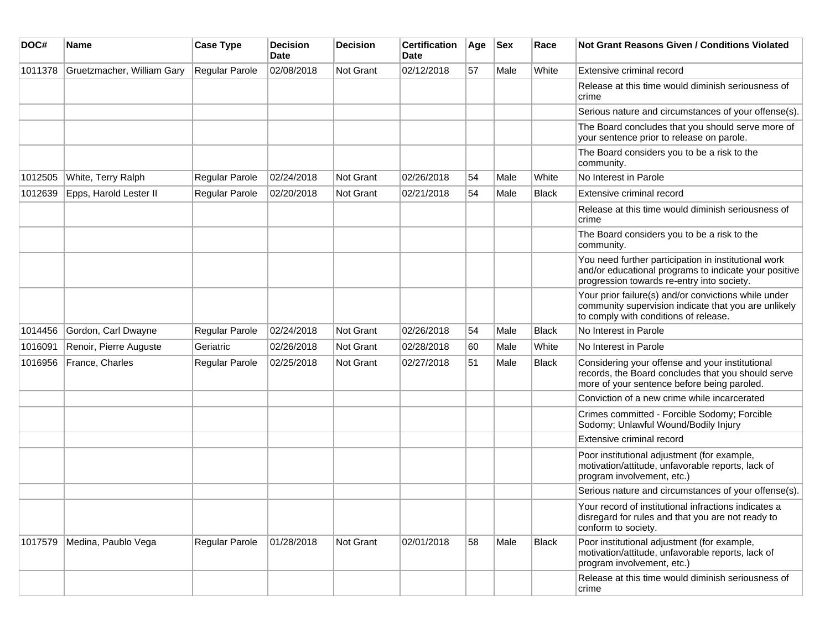| DOC#    | <b>Name</b>                | <b>Case Type</b>      | <b>Decision</b><br><b>Date</b> | <b>Decision</b> | <b>Certification</b><br>Date | Age | <b>Sex</b> | Race  | <b>Not Grant Reasons Given / Conditions Violated</b>                                                                                                        |
|---------|----------------------------|-----------------------|--------------------------------|-----------------|------------------------------|-----|------------|-------|-------------------------------------------------------------------------------------------------------------------------------------------------------------|
| 1011378 | Gruetzmacher, William Gary | Regular Parole        | 02/08/2018                     | Not Grant       | 02/12/2018                   | 57  | Male       | White | Extensive criminal record                                                                                                                                   |
|         |                            |                       |                                |                 |                              |     |            |       | Release at this time would diminish seriousness of<br>crime                                                                                                 |
|         |                            |                       |                                |                 |                              |     |            |       | Serious nature and circumstances of your offense(s).                                                                                                        |
|         |                            |                       |                                |                 |                              |     |            |       | The Board concludes that you should serve more of<br>your sentence prior to release on parole.                                                              |
|         |                            |                       |                                |                 |                              |     |            |       | The Board considers you to be a risk to the<br>community.                                                                                                   |
| 1012505 | White, Terry Ralph         | Regular Parole        | 02/24/2018                     | Not Grant       | 02/26/2018                   | 54  | Male       | White | No Interest in Parole                                                                                                                                       |
| 1012639 | Epps, Harold Lester II     | <b>Regular Parole</b> | 02/20/2018                     | Not Grant       | 02/21/2018                   | 54  | Male       | Black | Extensive criminal record                                                                                                                                   |
|         |                            |                       |                                |                 |                              |     |            |       | Release at this time would diminish seriousness of<br>crime                                                                                                 |
|         |                            |                       |                                |                 |                              |     |            |       | The Board considers you to be a risk to the<br>community.                                                                                                   |
|         |                            |                       |                                |                 |                              |     |            |       | You need further participation in institutional work<br>and/or educational programs to indicate your positive<br>progression towards re-entry into society. |
|         |                            |                       |                                |                 |                              |     |            |       | Your prior failure(s) and/or convictions while under<br>community supervision indicate that you are unlikely<br>to comply with conditions of release.       |
| 1014456 | Gordon, Carl Dwayne        | Regular Parole        | 02/24/2018                     | Not Grant       | 02/26/2018                   | 54  | Male       | Black | No Interest in Parole                                                                                                                                       |
| 1016091 | Renoir, Pierre Auguste     | Geriatric             | 02/26/2018                     | Not Grant       | 02/28/2018                   | 60  | Male       | White | No Interest in Parole                                                                                                                                       |
| 1016956 | France, Charles            | Regular Parole        | 02/25/2018                     | Not Grant       | 02/27/2018                   | 51  | Male       | Black | Considering your offense and your institutional<br>records, the Board concludes that you should serve<br>more of your sentence before being paroled.        |
|         |                            |                       |                                |                 |                              |     |            |       | Conviction of a new crime while incarcerated                                                                                                                |
|         |                            |                       |                                |                 |                              |     |            |       | Crimes committed - Forcible Sodomy; Forcible<br>Sodomy; Unlawful Wound/Bodily Injury                                                                        |
|         |                            |                       |                                |                 |                              |     |            |       | Extensive criminal record                                                                                                                                   |
|         |                            |                       |                                |                 |                              |     |            |       | Poor institutional adjustment (for example,<br>motivation/attitude, unfavorable reports, lack of<br>program involvement, etc.)                              |
|         |                            |                       |                                |                 |                              |     |            |       | Serious nature and circumstances of your offense(s).                                                                                                        |
|         |                            |                       |                                |                 |                              |     |            |       | Your record of institutional infractions indicates a<br>disregard for rules and that you are not ready to<br>conform to society.                            |
| 1017579 | Medina, Paublo Vega        | Regular Parole        | 01/28/2018                     | Not Grant       | 02/01/2018                   | 58  | Male       | Black | Poor institutional adjustment (for example,<br>motivation/attitude, unfavorable reports, lack of<br>program involvement, etc.)                              |
|         |                            |                       |                                |                 |                              |     |            |       | Release at this time would diminish seriousness of<br>crime                                                                                                 |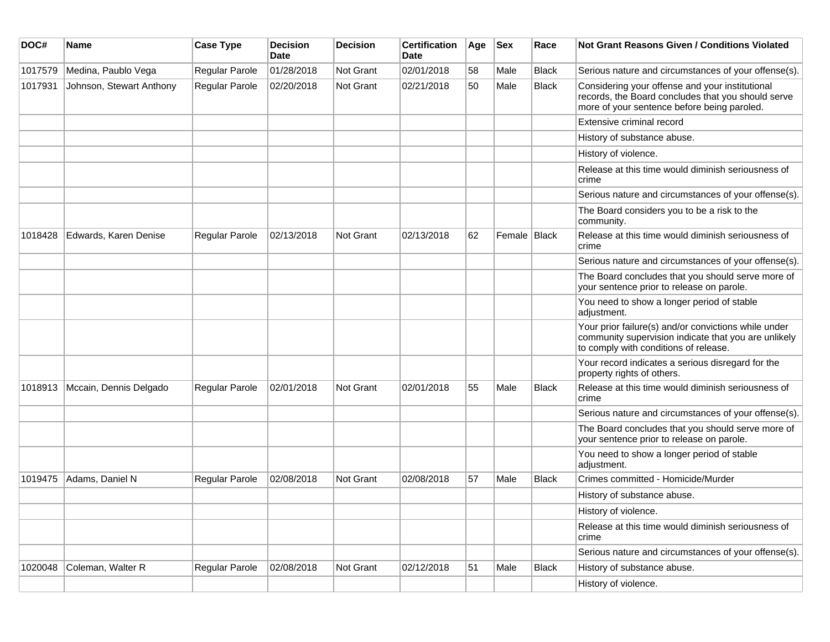| DOC#    | <b>Name</b>              | <b>Case Type</b> | <b>Decision</b><br><b>Date</b> | <b>Decision</b>  | <b>Certification</b><br>Date | Age | <b>Sex</b>   | Race         | Not Grant Reasons Given / Conditions Violated                                                                                                         |
|---------|--------------------------|------------------|--------------------------------|------------------|------------------------------|-----|--------------|--------------|-------------------------------------------------------------------------------------------------------------------------------------------------------|
| 1017579 | Medina, Paublo Vega      | Regular Parole   | 01/28/2018                     | Not Grant        | 02/01/2018                   | 58  | Male         | <b>Black</b> | Serious nature and circumstances of your offense(s).                                                                                                  |
| 1017931 | Johnson, Stewart Anthony | Regular Parole   | 02/20/2018                     | Not Grant        | 02/21/2018                   | 50  | Male         | <b>Black</b> | Considering your offense and your institutional<br>records, the Board concludes that you should serve<br>more of your sentence before being paroled.  |
|         |                          |                  |                                |                  |                              |     |              |              | Extensive criminal record                                                                                                                             |
|         |                          |                  |                                |                  |                              |     |              |              | History of substance abuse.                                                                                                                           |
|         |                          |                  |                                |                  |                              |     |              |              | History of violence.                                                                                                                                  |
|         |                          |                  |                                |                  |                              |     |              |              | Release at this time would diminish seriousness of<br>crime                                                                                           |
|         |                          |                  |                                |                  |                              |     |              |              | Serious nature and circumstances of your offense(s).                                                                                                  |
|         |                          |                  |                                |                  |                              |     |              |              | The Board considers you to be a risk to the<br>community.                                                                                             |
| 1018428 | Edwards, Karen Denise    | Regular Parole   | 02/13/2018                     | Not Grant        | 02/13/2018                   | 62  | Female Black |              | Release at this time would diminish seriousness of<br>crime                                                                                           |
|         |                          |                  |                                |                  |                              |     |              |              | Serious nature and circumstances of your offense(s).                                                                                                  |
|         |                          |                  |                                |                  |                              |     |              |              | The Board concludes that you should serve more of<br>your sentence prior to release on parole.                                                        |
|         |                          |                  |                                |                  |                              |     |              |              | You need to show a longer period of stable<br>adjustment.                                                                                             |
|         |                          |                  |                                |                  |                              |     |              |              | Your prior failure(s) and/or convictions while under<br>community supervision indicate that you are unlikely<br>to comply with conditions of release. |
|         |                          |                  |                                |                  |                              |     |              |              | Your record indicates a serious disregard for the<br>property rights of others.                                                                       |
| 1018913 | Mccain, Dennis Delgado   | Regular Parole   | 02/01/2018                     | <b>Not Grant</b> | 02/01/2018                   | 55  | Male         | <b>Black</b> | Release at this time would diminish seriousness of<br>crime                                                                                           |
|         |                          |                  |                                |                  |                              |     |              |              | Serious nature and circumstances of your offense(s).                                                                                                  |
|         |                          |                  |                                |                  |                              |     |              |              | The Board concludes that you should serve more of<br>your sentence prior to release on parole.                                                        |
|         |                          |                  |                                |                  |                              |     |              |              | You need to show a longer period of stable<br>adjustment.                                                                                             |
| 1019475 | Adams, Daniel N          | Regular Parole   | 02/08/2018                     | <b>Not Grant</b> | 02/08/2018                   | 57  | Male         | Black        | Crimes committed - Homicide/Murder                                                                                                                    |
|         |                          |                  |                                |                  |                              |     |              |              | History of substance abuse.                                                                                                                           |
|         |                          |                  |                                |                  |                              |     |              |              | History of violence.                                                                                                                                  |
|         |                          |                  |                                |                  |                              |     |              |              | Release at this time would diminish seriousness of<br>crime                                                                                           |
|         |                          |                  |                                |                  |                              |     |              |              | Serious nature and circumstances of your offense(s).                                                                                                  |
| 1020048 | Coleman, Walter R        | Regular Parole   | 02/08/2018                     | Not Grant        | 02/12/2018                   | 51  | Male         | <b>Black</b> | History of substance abuse.                                                                                                                           |
|         |                          |                  |                                |                  |                              |     |              |              | History of violence.                                                                                                                                  |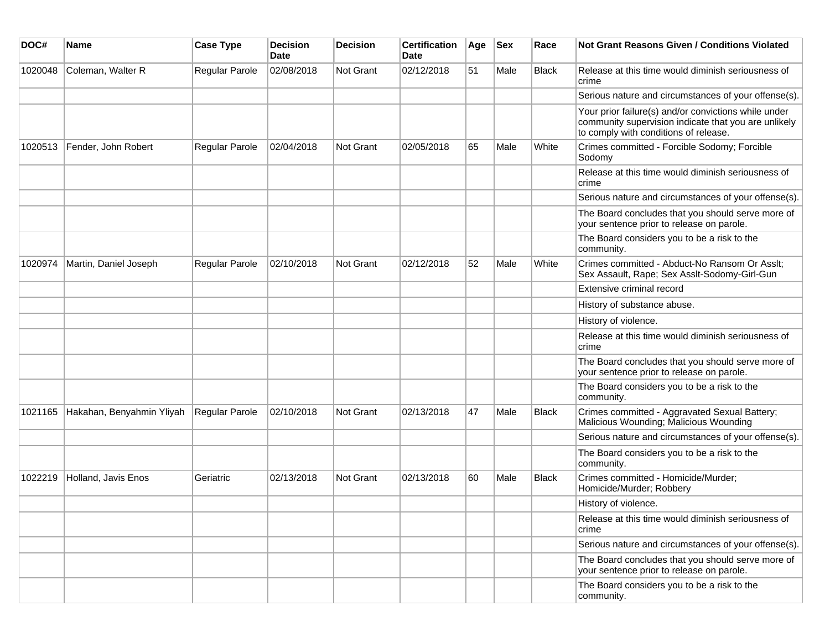| DOC#    | <b>Name</b>               | <b>Case Type</b> | <b>Decision</b><br><b>Date</b> | <b>Decision</b>  | <b>Certification</b><br>Date | Age | <b>Sex</b> | Race         | Not Grant Reasons Given / Conditions Violated                                                                                                         |
|---------|---------------------------|------------------|--------------------------------|------------------|------------------------------|-----|------------|--------------|-------------------------------------------------------------------------------------------------------------------------------------------------------|
| 1020048 | Coleman, Walter R         | Regular Parole   | 02/08/2018                     | Not Grant        | 02/12/2018                   | 51  | Male       | Black        | Release at this time would diminish seriousness of<br>crime                                                                                           |
|         |                           |                  |                                |                  |                              |     |            |              | Serious nature and circumstances of your offense(s).                                                                                                  |
|         |                           |                  |                                |                  |                              |     |            |              | Your prior failure(s) and/or convictions while under<br>community supervision indicate that you are unlikely<br>to comply with conditions of release. |
| 1020513 | Fender, John Robert       | Regular Parole   | 02/04/2018                     | <b>Not Grant</b> | 02/05/2018                   | 65  | Male       | White        | Crimes committed - Forcible Sodomy; Forcible<br>Sodomy                                                                                                |
|         |                           |                  |                                |                  |                              |     |            |              | Release at this time would diminish seriousness of<br>crime                                                                                           |
|         |                           |                  |                                |                  |                              |     |            |              | Serious nature and circumstances of your offense(s).                                                                                                  |
|         |                           |                  |                                |                  |                              |     |            |              | The Board concludes that you should serve more of<br>your sentence prior to release on parole.                                                        |
|         |                           |                  |                                |                  |                              |     |            |              | The Board considers you to be a risk to the<br>community.                                                                                             |
| 1020974 | Martin, Daniel Joseph     | Regular Parole   | 02/10/2018                     | <b>Not Grant</b> | 02/12/2018                   | 52  | Male       | White        | Crimes committed - Abduct-No Ransom Or Asslt;<br>Sex Assault, Rape; Sex Asslt-Sodomy-Girl-Gun                                                         |
|         |                           |                  |                                |                  |                              |     |            |              | Extensive criminal record                                                                                                                             |
|         |                           |                  |                                |                  |                              |     |            |              | History of substance abuse.                                                                                                                           |
|         |                           |                  |                                |                  |                              |     |            |              | History of violence.                                                                                                                                  |
|         |                           |                  |                                |                  |                              |     |            |              | Release at this time would diminish seriousness of<br>crime                                                                                           |
|         |                           |                  |                                |                  |                              |     |            |              | The Board concludes that you should serve more of<br>your sentence prior to release on parole.                                                        |
|         |                           |                  |                                |                  |                              |     |            |              | The Board considers you to be a risk to the<br>community.                                                                                             |
| 1021165 | Hakahan, Benyahmin Yliyah | Regular Parole   | 02/10/2018                     | <b>Not Grant</b> | 02/13/2018                   | 47  | Male       | <b>Black</b> | Crimes committed - Aggravated Sexual Battery;<br>Malicious Wounding; Malicious Wounding                                                               |
|         |                           |                  |                                |                  |                              |     |            |              | Serious nature and circumstances of your offense(s).                                                                                                  |
|         |                           |                  |                                |                  |                              |     |            |              | The Board considers you to be a risk to the<br>community.                                                                                             |
| 1022219 | Holland, Javis Enos       | Geriatric        | 02/13/2018                     | Not Grant        | 02/13/2018                   | 60  | Male       | <b>Black</b> | Crimes committed - Homicide/Murder;<br>Homicide/Murder; Robbery                                                                                       |
|         |                           |                  |                                |                  |                              |     |            |              | History of violence.                                                                                                                                  |
|         |                           |                  |                                |                  |                              |     |            |              | Release at this time would diminish seriousness of<br>crime                                                                                           |
|         |                           |                  |                                |                  |                              |     |            |              | Serious nature and circumstances of your offense(s).                                                                                                  |
|         |                           |                  |                                |                  |                              |     |            |              | The Board concludes that you should serve more of<br>your sentence prior to release on parole.                                                        |
|         |                           |                  |                                |                  |                              |     |            |              | The Board considers you to be a risk to the<br>community.                                                                                             |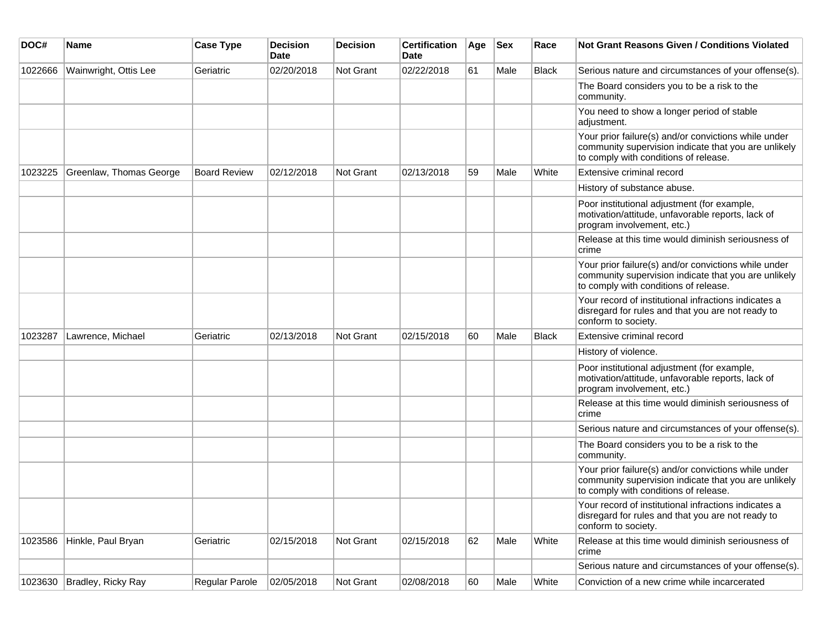| DOC#    | <b>Name</b>                | <b>Case Type</b>    | <b>Decision</b><br><b>Date</b> | <b>Decision</b> | <b>Certification</b><br>Date | Age | <b>Sex</b> | Race         | <b>Not Grant Reasons Given / Conditions Violated</b>                                                                                                  |
|---------|----------------------------|---------------------|--------------------------------|-----------------|------------------------------|-----|------------|--------------|-------------------------------------------------------------------------------------------------------------------------------------------------------|
| 1022666 | Wainwright, Ottis Lee      | Geriatric           | 02/20/2018                     | Not Grant       | 02/22/2018                   | 61  | Male       | <b>Black</b> | Serious nature and circumstances of your offense(s).                                                                                                  |
|         |                            |                     |                                |                 |                              |     |            |              | The Board considers you to be a risk to the<br>community.                                                                                             |
|         |                            |                     |                                |                 |                              |     |            |              | You need to show a longer period of stable<br>adjustment.                                                                                             |
|         |                            |                     |                                |                 |                              |     |            |              | Your prior failure(s) and/or convictions while under<br>community supervision indicate that you are unlikely<br>to comply with conditions of release. |
| 1023225 | Greenlaw, Thomas George    | <b>Board Review</b> | 02/12/2018                     | Not Grant       | 02/13/2018                   | 59  | Male       | White        | Extensive criminal record                                                                                                                             |
|         |                            |                     |                                |                 |                              |     |            |              | History of substance abuse.                                                                                                                           |
|         |                            |                     |                                |                 |                              |     |            |              | Poor institutional adjustment (for example,<br>motivation/attitude, unfavorable reports, lack of<br>program involvement, etc.)                        |
|         |                            |                     |                                |                 |                              |     |            |              | Release at this time would diminish seriousness of<br>crime                                                                                           |
|         |                            |                     |                                |                 |                              |     |            |              | Your prior failure(s) and/or convictions while under<br>community supervision indicate that you are unlikely<br>to comply with conditions of release. |
|         |                            |                     |                                |                 |                              |     |            |              | Your record of institutional infractions indicates a<br>disregard for rules and that you are not ready to<br>conform to society.                      |
| 1023287 | Lawrence, Michael          | Geriatric           | 02/13/2018                     | Not Grant       | 02/15/2018                   | 60  | Male       | <b>Black</b> | Extensive criminal record                                                                                                                             |
|         |                            |                     |                                |                 |                              |     |            |              | History of violence.                                                                                                                                  |
|         |                            |                     |                                |                 |                              |     |            |              | Poor institutional adjustment (for example,<br>motivation/attitude, unfavorable reports, lack of<br>program involvement, etc.)                        |
|         |                            |                     |                                |                 |                              |     |            |              | Release at this time would diminish seriousness of<br>crime                                                                                           |
|         |                            |                     |                                |                 |                              |     |            |              | Serious nature and circumstances of your offense(s).                                                                                                  |
|         |                            |                     |                                |                 |                              |     |            |              | The Board considers you to be a risk to the<br>community.                                                                                             |
|         |                            |                     |                                |                 |                              |     |            |              | Your prior failure(s) and/or convictions while under<br>community supervision indicate that you are unlikely<br>to comply with conditions of release. |
|         |                            |                     |                                |                 |                              |     |            |              | Your record of institutional infractions indicates a<br>disregard for rules and that you are not ready to<br>conform to society.                      |
| 1023586 | Hinkle, Paul Bryan         | Geriatric           | 02/15/2018                     | Not Grant       | 02/15/2018                   | 62  | Male       | White        | Release at this time would diminish seriousness of<br>crime                                                                                           |
|         |                            |                     |                                |                 |                              |     |            |              | Serious nature and circumstances of your offense(s).                                                                                                  |
|         | 1023630 Bradley, Ricky Ray | Regular Parole      | 02/05/2018                     | Not Grant       | 02/08/2018                   | 60  | Male       | White        | Conviction of a new crime while incarcerated                                                                                                          |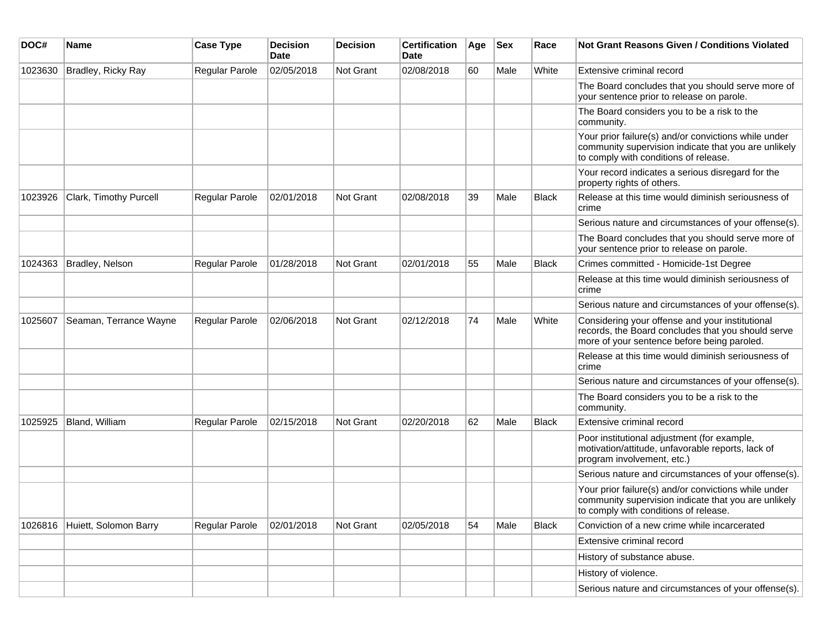| DOC#    | <b>Name</b>            | <b>Case Type</b> | <b>Decision</b><br><b>Date</b> | <b>Decision</b>  | <b>Certification</b><br>Date | Age | <b>Sex</b> | Race         | <b>Not Grant Reasons Given / Conditions Violated</b>                                                                                                  |
|---------|------------------------|------------------|--------------------------------|------------------|------------------------------|-----|------------|--------------|-------------------------------------------------------------------------------------------------------------------------------------------------------|
| 1023630 | Bradley, Ricky Ray     | Regular Parole   | 02/05/2018                     | Not Grant        | 02/08/2018                   | 60  | Male       | White        | Extensive criminal record                                                                                                                             |
|         |                        |                  |                                |                  |                              |     |            |              | The Board concludes that you should serve more of<br>your sentence prior to release on parole.                                                        |
|         |                        |                  |                                |                  |                              |     |            |              | The Board considers you to be a risk to the<br>community.                                                                                             |
|         |                        |                  |                                |                  |                              |     |            |              | Your prior failure(s) and/or convictions while under<br>community supervision indicate that you are unlikely<br>to comply with conditions of release. |
|         |                        |                  |                                |                  |                              |     |            |              | Your record indicates a serious disregard for the<br>property rights of others.                                                                       |
| 1023926 | Clark, Timothy Purcell | Regular Parole   | 02/01/2018                     | <b>Not Grant</b> | 02/08/2018                   | 39  | Male       | Black        | Release at this time would diminish seriousness of<br>crime                                                                                           |
|         |                        |                  |                                |                  |                              |     |            |              | Serious nature and circumstances of your offense(s).                                                                                                  |
|         |                        |                  |                                |                  |                              |     |            |              | The Board concludes that you should serve more of<br>your sentence prior to release on parole.                                                        |
| 1024363 | Bradley, Nelson        | Regular Parole   | 01/28/2018                     | <b>Not Grant</b> | 02/01/2018                   | 55  | Male       | <b>Black</b> | Crimes committed - Homicide-1st Degree                                                                                                                |
|         |                        |                  |                                |                  |                              |     |            |              | Release at this time would diminish seriousness of<br>crime                                                                                           |
|         |                        |                  |                                |                  |                              |     |            |              | Serious nature and circumstances of your offense(s).                                                                                                  |
| 1025607 | Seaman, Terrance Wayne | Regular Parole   | 02/06/2018                     | Not Grant        | 02/12/2018                   | 74  | Male       | White        | Considering your offense and your institutional<br>records, the Board concludes that you should serve<br>more of your sentence before being paroled.  |
|         |                        |                  |                                |                  |                              |     |            |              | Release at this time would diminish seriousness of<br>crime                                                                                           |
|         |                        |                  |                                |                  |                              |     |            |              | Serious nature and circumstances of your offense(s).                                                                                                  |
|         |                        |                  |                                |                  |                              |     |            |              | The Board considers you to be a risk to the<br>community.                                                                                             |
| 1025925 | Bland, William         | Regular Parole   | 02/15/2018                     | Not Grant        | 02/20/2018                   | 62  | Male       | <b>Black</b> | Extensive criminal record                                                                                                                             |
|         |                        |                  |                                |                  |                              |     |            |              | Poor institutional adjustment (for example,<br>motivation/attitude, unfavorable reports, lack of<br>program involvement, etc.)                        |
|         |                        |                  |                                |                  |                              |     |            |              | Serious nature and circumstances of your offense(s).                                                                                                  |
|         |                        |                  |                                |                  |                              |     |            |              | Your prior failure(s) and/or convictions while under<br>community supervision indicate that you are unlikely<br>to comply with conditions of release. |
| 1026816 | Huiett, Solomon Barry  | Regular Parole   | 02/01/2018                     | Not Grant        | 02/05/2018                   | 54  | Male       | <b>Black</b> | Conviction of a new crime while incarcerated                                                                                                          |
|         |                        |                  |                                |                  |                              |     |            |              | Extensive criminal record                                                                                                                             |
|         |                        |                  |                                |                  |                              |     |            |              | History of substance abuse.                                                                                                                           |
|         |                        |                  |                                |                  |                              |     |            |              | History of violence.                                                                                                                                  |
|         |                        |                  |                                |                  |                              |     |            |              | Serious nature and circumstances of your offense(s).                                                                                                  |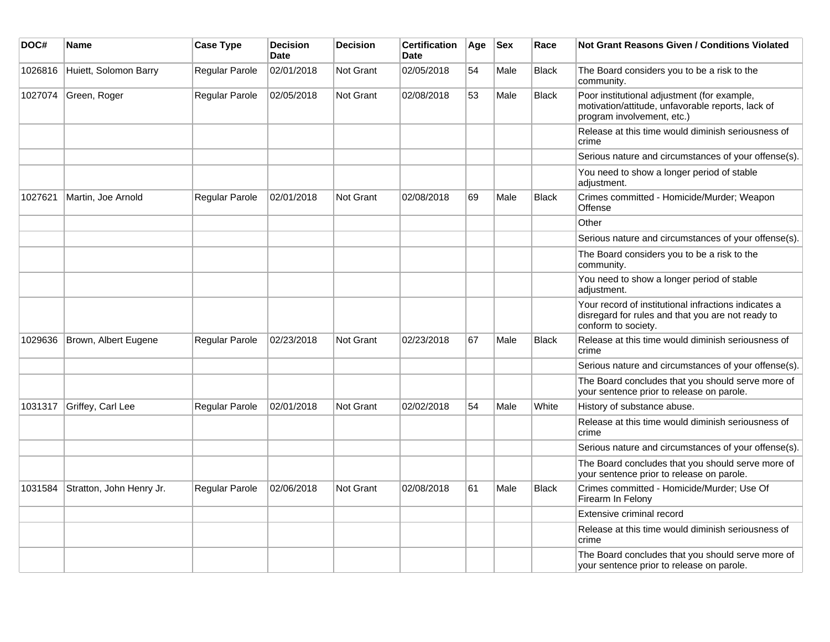| DOC#    | Name                     | <b>Case Type</b>      | <b>Decision</b><br><b>Date</b> | <b>Decision</b>  | <b>Certification</b><br><b>Date</b> | Age | <b>Sex</b> | Race         | <b>Not Grant Reasons Given / Conditions Violated</b>                                                                             |
|---------|--------------------------|-----------------------|--------------------------------|------------------|-------------------------------------|-----|------------|--------------|----------------------------------------------------------------------------------------------------------------------------------|
| 1026816 | Huiett, Solomon Barry    | Regular Parole        | 02/01/2018                     | <b>Not Grant</b> | 02/05/2018                          | 54  | Male       | <b>Black</b> | The Board considers you to be a risk to the<br>community.                                                                        |
| 1027074 | Green, Roger             | Regular Parole        | 02/05/2018                     | <b>Not Grant</b> | 02/08/2018                          | 53  | Male       | Black        | Poor institutional adjustment (for example,<br>motivation/attitude, unfavorable reports, lack of<br>program involvement, etc.)   |
|         |                          |                       |                                |                  |                                     |     |            |              | Release at this time would diminish seriousness of<br>crime                                                                      |
|         |                          |                       |                                |                  |                                     |     |            |              | Serious nature and circumstances of your offense(s).                                                                             |
|         |                          |                       |                                |                  |                                     |     |            |              | You need to show a longer period of stable<br>adjustment.                                                                        |
| 1027621 | Martin, Joe Arnold       | Regular Parole        | 02/01/2018                     | <b>Not Grant</b> | 02/08/2018                          | 69  | Male       | Black        | Crimes committed - Homicide/Murder; Weapon<br>Offense                                                                            |
|         |                          |                       |                                |                  |                                     |     |            |              | Other                                                                                                                            |
|         |                          |                       |                                |                  |                                     |     |            |              | Serious nature and circumstances of your offense(s).                                                                             |
|         |                          |                       |                                |                  |                                     |     |            |              | The Board considers you to be a risk to the<br>community.                                                                        |
|         |                          |                       |                                |                  |                                     |     |            |              | You need to show a longer period of stable<br>adjustment.                                                                        |
|         |                          |                       |                                |                  |                                     |     |            |              | Your record of institutional infractions indicates a<br>disregard for rules and that you are not ready to<br>conform to society. |
| 1029636 | Brown, Albert Eugene     | Regular Parole        | 02/23/2018                     | <b>Not Grant</b> | 02/23/2018                          | 67  | Male       | <b>Black</b> | Release at this time would diminish seriousness of<br>crime                                                                      |
|         |                          |                       |                                |                  |                                     |     |            |              | Serious nature and circumstances of your offense(s).                                                                             |
|         |                          |                       |                                |                  |                                     |     |            |              | The Board concludes that you should serve more of<br>your sentence prior to release on parole.                                   |
| 1031317 | Griffey, Carl Lee        | Regular Parole        | 02/01/2018                     | Not Grant        | 02/02/2018                          | 54  | Male       | White        | History of substance abuse.                                                                                                      |
|         |                          |                       |                                |                  |                                     |     |            |              | Release at this time would diminish seriousness of<br>crime                                                                      |
|         |                          |                       |                                |                  |                                     |     |            |              | Serious nature and circumstances of your offense(s).                                                                             |
|         |                          |                       |                                |                  |                                     |     |            |              | The Board concludes that you should serve more of<br>your sentence prior to release on parole.                                   |
| 1031584 | Stratton, John Henry Jr. | <b>Regular Parole</b> | 02/06/2018                     | <b>Not Grant</b> | 02/08/2018                          | 61  | Male       | <b>Black</b> | Crimes committed - Homicide/Murder; Use Of<br>Firearm In Felony                                                                  |
|         |                          |                       |                                |                  |                                     |     |            |              | Extensive criminal record                                                                                                        |
|         |                          |                       |                                |                  |                                     |     |            |              | Release at this time would diminish seriousness of<br>crime                                                                      |
|         |                          |                       |                                |                  |                                     |     |            |              | The Board concludes that you should serve more of<br>your sentence prior to release on parole.                                   |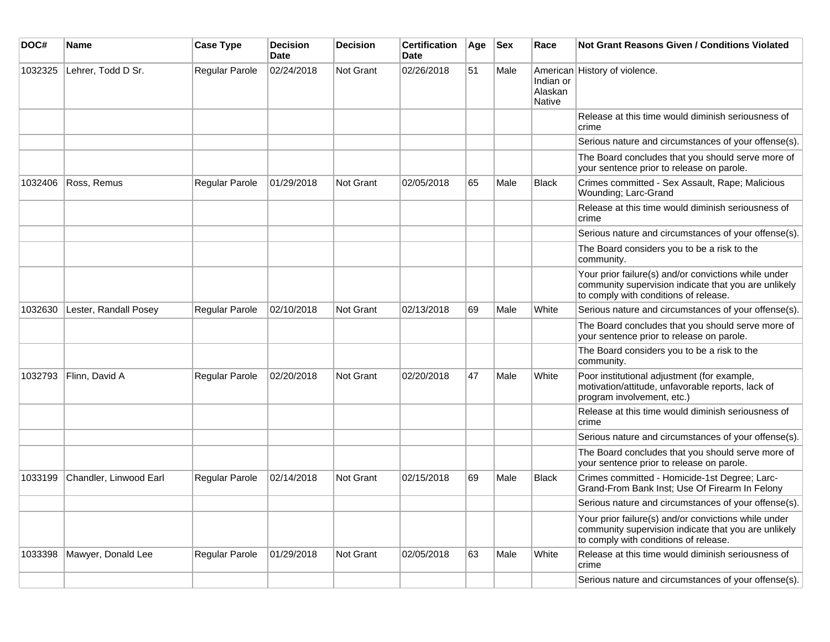| DOC#    | <b>Name</b>            | <b>Case Type</b>      | <b>Decision</b><br><b>Date</b> | <b>Decision</b>  | <b>Certification</b><br>Date | Age | <b>Sex</b> | Race                           | <b>Not Grant Reasons Given / Conditions Violated</b>                                                                                                  |
|---------|------------------------|-----------------------|--------------------------------|------------------|------------------------------|-----|------------|--------------------------------|-------------------------------------------------------------------------------------------------------------------------------------------------------|
| 1032325 | Lehrer, Todd D Sr.     | Regular Parole        | 02/24/2018                     | <b>Not Grant</b> | 02/26/2018                   | 51  | Male       | Indian or<br>Alaskan<br>Native | American History of violence.                                                                                                                         |
|         |                        |                       |                                |                  |                              |     |            |                                | Release at this time would diminish seriousness of<br>crime                                                                                           |
|         |                        |                       |                                |                  |                              |     |            |                                | Serious nature and circumstances of your offense(s).                                                                                                  |
|         |                        |                       |                                |                  |                              |     |            |                                | The Board concludes that you should serve more of<br>your sentence prior to release on parole.                                                        |
| 1032406 | Ross, Remus            | Regular Parole        | 01/29/2018                     | Not Grant        | 02/05/2018                   | 65  | Male       | <b>Black</b>                   | Crimes committed - Sex Assault, Rape; Malicious<br>Wounding; Larc-Grand                                                                               |
|         |                        |                       |                                |                  |                              |     |            |                                | Release at this time would diminish seriousness of<br>crime                                                                                           |
|         |                        |                       |                                |                  |                              |     |            |                                | Serious nature and circumstances of your offense(s).                                                                                                  |
|         |                        |                       |                                |                  |                              |     |            |                                | The Board considers you to be a risk to the<br>community.                                                                                             |
|         |                        |                       |                                |                  |                              |     |            |                                | Your prior failure(s) and/or convictions while under<br>community supervision indicate that you are unlikely<br>to comply with conditions of release. |
| 1032630 | Lester, Randall Posey  | <b>Regular Parole</b> | 02/10/2018                     | <b>Not Grant</b> | 02/13/2018                   | 69  | Male       | White                          | Serious nature and circumstances of your offense(s).                                                                                                  |
|         |                        |                       |                                |                  |                              |     |            |                                | The Board concludes that you should serve more of<br>your sentence prior to release on parole.                                                        |
|         |                        |                       |                                |                  |                              |     |            |                                | The Board considers you to be a risk to the<br>community.                                                                                             |
| 1032793 | Flinn, David A         | Regular Parole        | 02/20/2018                     | Not Grant        | 02/20/2018                   | 47  | Male       | White                          | Poor institutional adjustment (for example,<br>motivation/attitude, unfavorable reports, lack of<br>program involvement, etc.)                        |
|         |                        |                       |                                |                  |                              |     |            |                                | Release at this time would diminish seriousness of<br>crime                                                                                           |
|         |                        |                       |                                |                  |                              |     |            |                                | Serious nature and circumstances of your offense(s).                                                                                                  |
|         |                        |                       |                                |                  |                              |     |            |                                | The Board concludes that you should serve more of<br>your sentence prior to release on parole.                                                        |
| 1033199 | Chandler, Linwood Earl | Regular Parole        | 02/14/2018                     | Not Grant        | 02/15/2018                   | 69  | Male       | <b>Black</b>                   | Crimes committed - Homicide-1st Degree; Larc-<br>Grand-From Bank Inst; Use Of Firearm In Felony                                                       |
|         |                        |                       |                                |                  |                              |     |            |                                | Serious nature and circumstances of your offense(s).                                                                                                  |
|         |                        |                       |                                |                  |                              |     |            |                                | Your prior failure(s) and/or convictions while under<br>community supervision indicate that you are unlikely<br>to comply with conditions of release. |
| 1033398 | Mawyer, Donald Lee     | Regular Parole        | 01/29/2018                     | Not Grant        | 02/05/2018                   | 63  | Male       | White                          | Release at this time would diminish seriousness of<br>crime                                                                                           |
|         |                        |                       |                                |                  |                              |     |            |                                | Serious nature and circumstances of your offense(s).                                                                                                  |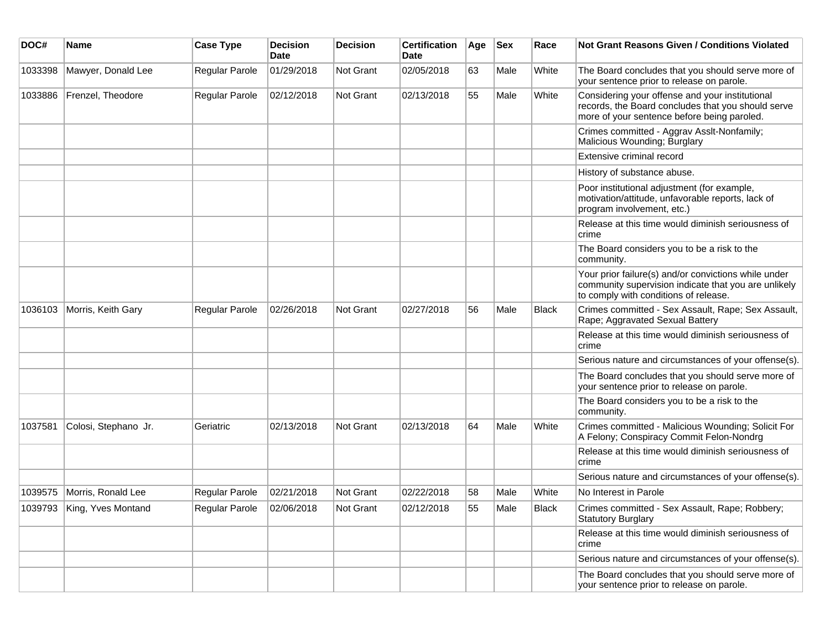| DOC#    | <b>Name</b>                | <b>Case Type</b>            | <b>Decision</b><br><b>Date</b> | <b>Decision</b> | <b>Certification</b><br>Date | Age | <b>Sex</b> | Race         | Not Grant Reasons Given / Conditions Violated                                                                                                         |
|---------|----------------------------|-----------------------------|--------------------------------|-----------------|------------------------------|-----|------------|--------------|-------------------------------------------------------------------------------------------------------------------------------------------------------|
| 1033398 | Mawyer, Donald Lee         | Regular Parole              | 01/29/2018                     | Not Grant       | 02/05/2018                   | 63  | Male       | White        | The Board concludes that you should serve more of<br>your sentence prior to release on parole.                                                        |
| 1033886 | Frenzel, Theodore          | Regular Parole              | 02/12/2018                     | Not Grant       | 02/13/2018                   | 55  | Male       | White        | Considering your offense and your institutional<br>records, the Board concludes that you should serve<br>more of your sentence before being paroled.  |
|         |                            |                             |                                |                 |                              |     |            |              | Crimes committed - Aggrav Asslt-Nonfamily;<br>Malicious Wounding; Burglary                                                                            |
|         |                            |                             |                                |                 |                              |     |            |              | Extensive criminal record                                                                                                                             |
|         |                            |                             |                                |                 |                              |     |            |              | History of substance abuse.                                                                                                                           |
|         |                            |                             |                                |                 |                              |     |            |              | Poor institutional adjustment (for example,<br>motivation/attitude, unfavorable reports, lack of<br>program involvement, etc.)                        |
|         |                            |                             |                                |                 |                              |     |            |              | Release at this time would diminish seriousness of<br>crime                                                                                           |
|         |                            |                             |                                |                 |                              |     |            |              | The Board considers you to be a risk to the<br>community.                                                                                             |
|         |                            |                             |                                |                 |                              |     |            |              | Your prior failure(s) and/or convictions while under<br>community supervision indicate that you are unlikely<br>to comply with conditions of release. |
| 1036103 | Morris, Keith Gary         | Regular Parole              | 02/26/2018                     | Not Grant       | 02/27/2018                   | 56  | Male       | <b>Black</b> | Crimes committed - Sex Assault, Rape; Sex Assault,<br>Rape; Aggravated Sexual Battery                                                                 |
|         |                            |                             |                                |                 |                              |     |            |              | Release at this time would diminish seriousness of<br>crime                                                                                           |
|         |                            |                             |                                |                 |                              |     |            |              | Serious nature and circumstances of your offense(s).                                                                                                  |
|         |                            |                             |                                |                 |                              |     |            |              | The Board concludes that you should serve more of<br>your sentence prior to release on parole.                                                        |
|         |                            |                             |                                |                 |                              |     |            |              | The Board considers you to be a risk to the<br>community.                                                                                             |
| 1037581 | Colosi, Stephano Jr.       | Geriatric                   | 02/13/2018                     | Not Grant       | 02/13/2018                   | 64  | Male       | White        | Crimes committed - Malicious Wounding; Solicit For<br>A Felony; Conspiracy Commit Felon-Nondrg                                                        |
|         |                            |                             |                                |                 |                              |     |            |              | Release at this time would diminish seriousness of<br>crime                                                                                           |
|         |                            |                             |                                |                 |                              |     |            |              | Serious nature and circumstances of your offense(s).                                                                                                  |
| 1039575 | Morris, Ronald Lee         | Regular Parole              | 02/21/2018                     | Not Grant       | 02/22/2018                   | 58  | Male       | White        | No Interest in Parole                                                                                                                                 |
|         | 1039793 King, Yves Montand | Regular Parole   02/06/2018 |                                | Not Grant       | 02/12/2018                   | 55  | Male       | <b>Black</b> | Crimes committed - Sex Assault, Rape; Robbery;<br><b>Statutory Burglary</b>                                                                           |
|         |                            |                             |                                |                 |                              |     |            |              | Release at this time would diminish seriousness of<br>crime                                                                                           |
|         |                            |                             |                                |                 |                              |     |            |              | Serious nature and circumstances of your offense(s).                                                                                                  |
|         |                            |                             |                                |                 |                              |     |            |              | The Board concludes that you should serve more of<br>your sentence prior to release on parole.                                                        |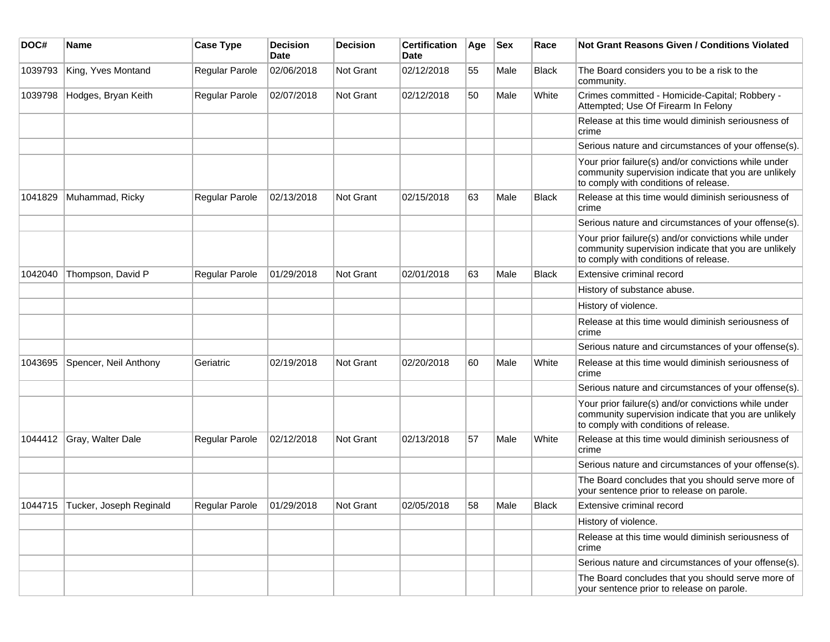| DOC#    | Name                            | <b>Case Type</b> | <b>Decision</b><br>Date | <b>Decision</b> | <b>Certification</b><br><b>Date</b> | Age | <b>Sex</b> | Race         | <b>Not Grant Reasons Given / Conditions Violated</b>                                                                                                  |
|---------|---------------------------------|------------------|-------------------------|-----------------|-------------------------------------|-----|------------|--------------|-------------------------------------------------------------------------------------------------------------------------------------------------------|
| 1039793 | King, Yves Montand              | Regular Parole   | 02/06/2018              | Not Grant       | 02/12/2018                          | 55  | Male       | <b>Black</b> | The Board considers you to be a risk to the<br>community.                                                                                             |
| 1039798 | Hodges, Bryan Keith             | Regular Parole   | 02/07/2018              | Not Grant       | 02/12/2018                          | 50  | Male       | White        | Crimes committed - Homicide-Capital; Robbery -<br>Attempted; Use Of Firearm In Felony                                                                 |
|         |                                 |                  |                         |                 |                                     |     |            |              | Release at this time would diminish seriousness of<br>crime                                                                                           |
|         |                                 |                  |                         |                 |                                     |     |            |              | Serious nature and circumstances of your offense(s).                                                                                                  |
|         |                                 |                  |                         |                 |                                     |     |            |              | Your prior failure(s) and/or convictions while under<br>community supervision indicate that you are unlikely<br>to comply with conditions of release. |
| 1041829 | Muhammad, Ricky                 | Regular Parole   | 02/13/2018              | Not Grant       | 02/15/2018                          | 63  | Male       | Black        | Release at this time would diminish seriousness of<br>crime                                                                                           |
|         |                                 |                  |                         |                 |                                     |     |            |              | Serious nature and circumstances of your offense(s).                                                                                                  |
|         |                                 |                  |                         |                 |                                     |     |            |              | Your prior failure(s) and/or convictions while under<br>community supervision indicate that you are unlikely<br>to comply with conditions of release. |
| 1042040 | Thompson, David P               | Regular Parole   | 01/29/2018              | Not Grant       | 02/01/2018                          | 63  | Male       | <b>Black</b> | Extensive criminal record                                                                                                                             |
|         |                                 |                  |                         |                 |                                     |     |            |              | History of substance abuse.                                                                                                                           |
|         |                                 |                  |                         |                 |                                     |     |            |              | History of violence.                                                                                                                                  |
|         |                                 |                  |                         |                 |                                     |     |            |              | Release at this time would diminish seriousness of<br>crime                                                                                           |
|         |                                 |                  |                         |                 |                                     |     |            |              | Serious nature and circumstances of your offense(s).                                                                                                  |
| 1043695 | Spencer, Neil Anthony           | Geriatric        | 02/19/2018              | Not Grant       | 02/20/2018                          | 60  | Male       | White        | Release at this time would diminish seriousness of<br>crime                                                                                           |
|         |                                 |                  |                         |                 |                                     |     |            |              | Serious nature and circumstances of your offense(s).                                                                                                  |
|         |                                 |                  |                         |                 |                                     |     |            |              | Your prior failure(s) and/or convictions while under<br>community supervision indicate that you are unlikely<br>to comply with conditions of release. |
| 1044412 | Gray, Walter Dale               | Regular Parole   | 02/12/2018              | Not Grant       | 02/13/2018                          | 57  | Male       | White        | Release at this time would diminish seriousness of<br>crime                                                                                           |
|         |                                 |                  |                         |                 |                                     |     |            |              | Serious nature and circumstances of your offense(s).                                                                                                  |
|         |                                 |                  |                         |                 |                                     |     |            |              | The Board concludes that you should serve more of<br>your sentence prior to release on parole.                                                        |
|         | 1044715 Tucker, Joseph Reginald | Regular Parole   | 01/29/2018              | Not Grant       | 02/05/2018                          | 58  | Male       | Black        | Extensive criminal record                                                                                                                             |
|         |                                 |                  |                         |                 |                                     |     |            |              | History of violence.                                                                                                                                  |
|         |                                 |                  |                         |                 |                                     |     |            |              | Release at this time would diminish seriousness of<br>crime                                                                                           |
|         |                                 |                  |                         |                 |                                     |     |            |              | Serious nature and circumstances of your offense(s).                                                                                                  |
|         |                                 |                  |                         |                 |                                     |     |            |              | The Board concludes that you should serve more of<br>your sentence prior to release on parole.                                                        |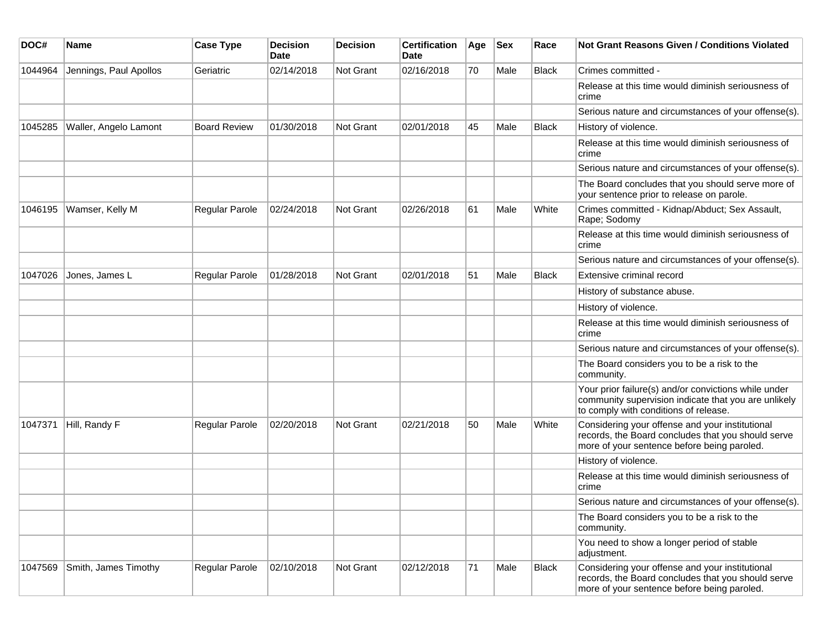| DOC#    | <b>Name</b>            | <b>Case Type</b>    | <b>Decision</b><br><b>Date</b> | <b>Decision</b>  | <b>Certification</b><br>Date | Age | <b>Sex</b> | Race         | <b>Not Grant Reasons Given / Conditions Violated</b>                                                                                                  |
|---------|------------------------|---------------------|--------------------------------|------------------|------------------------------|-----|------------|--------------|-------------------------------------------------------------------------------------------------------------------------------------------------------|
| 1044964 | Jennings, Paul Apollos | Geriatric           | 02/14/2018                     | <b>Not Grant</b> | 02/16/2018                   | 70  | Male       | <b>Black</b> | Crimes committed -                                                                                                                                    |
|         |                        |                     |                                |                  |                              |     |            |              | Release at this time would diminish seriousness of<br>crime                                                                                           |
|         |                        |                     |                                |                  |                              |     |            |              | Serious nature and circumstances of your offense(s).                                                                                                  |
| 1045285 | Waller, Angelo Lamont  | <b>Board Review</b> | 01/30/2018                     | <b>Not Grant</b> | 02/01/2018                   | 45  | Male       | Black        | History of violence.                                                                                                                                  |
|         |                        |                     |                                |                  |                              |     |            |              | Release at this time would diminish seriousness of<br>crime                                                                                           |
|         |                        |                     |                                |                  |                              |     |            |              | Serious nature and circumstances of your offense(s).                                                                                                  |
|         |                        |                     |                                |                  |                              |     |            |              | The Board concludes that you should serve more of<br>your sentence prior to release on parole.                                                        |
| 1046195 | Wamser, Kelly M        | Regular Parole      | 02/24/2018                     | Not Grant        | 02/26/2018                   | 61  | Male       | White        | Crimes committed - Kidnap/Abduct; Sex Assault,<br>Rape; Sodomy                                                                                        |
|         |                        |                     |                                |                  |                              |     |            |              | Release at this time would diminish seriousness of<br>crime                                                                                           |
|         |                        |                     |                                |                  |                              |     |            |              | Serious nature and circumstances of your offense(s).                                                                                                  |
| 1047026 | Jones, James L         | Regular Parole      | 01/28/2018                     | Not Grant        | 02/01/2018                   | 51  | Male       | <b>Black</b> | Extensive criminal record                                                                                                                             |
|         |                        |                     |                                |                  |                              |     |            |              | History of substance abuse.                                                                                                                           |
|         |                        |                     |                                |                  |                              |     |            |              | History of violence.                                                                                                                                  |
|         |                        |                     |                                |                  |                              |     |            |              | Release at this time would diminish seriousness of<br>crime                                                                                           |
|         |                        |                     |                                |                  |                              |     |            |              | Serious nature and circumstances of your offense(s).                                                                                                  |
|         |                        |                     |                                |                  |                              |     |            |              | The Board considers you to be a risk to the<br>community.                                                                                             |
|         |                        |                     |                                |                  |                              |     |            |              | Your prior failure(s) and/or convictions while under<br>community supervision indicate that you are unlikely<br>to comply with conditions of release. |
| 1047371 | Hill, Randy F          | Regular Parole      | 02/20/2018                     | Not Grant        | 02/21/2018                   | 50  | Male       | White        | Considering your offense and your institutional<br>records, the Board concludes that you should serve<br>more of your sentence before being paroled.  |
|         |                        |                     |                                |                  |                              |     |            |              | History of violence.                                                                                                                                  |
|         |                        |                     |                                |                  |                              |     |            |              | Release at this time would diminish seriousness of<br>crime                                                                                           |
|         |                        |                     |                                |                  |                              |     |            |              | Serious nature and circumstances of your offense(s).                                                                                                  |
|         |                        |                     |                                |                  |                              |     |            |              | The Board considers you to be a risk to the<br>community.                                                                                             |
|         |                        |                     |                                |                  |                              |     |            |              | You need to show a longer period of stable<br>adjustment.                                                                                             |
| 1047569 | Smith, James Timothy   | Regular Parole      | 02/10/2018                     | Not Grant        | 02/12/2018                   | 71  | Male       | Black        | Considering your offense and your institutional<br>records, the Board concludes that you should serve<br>more of your sentence before being paroled.  |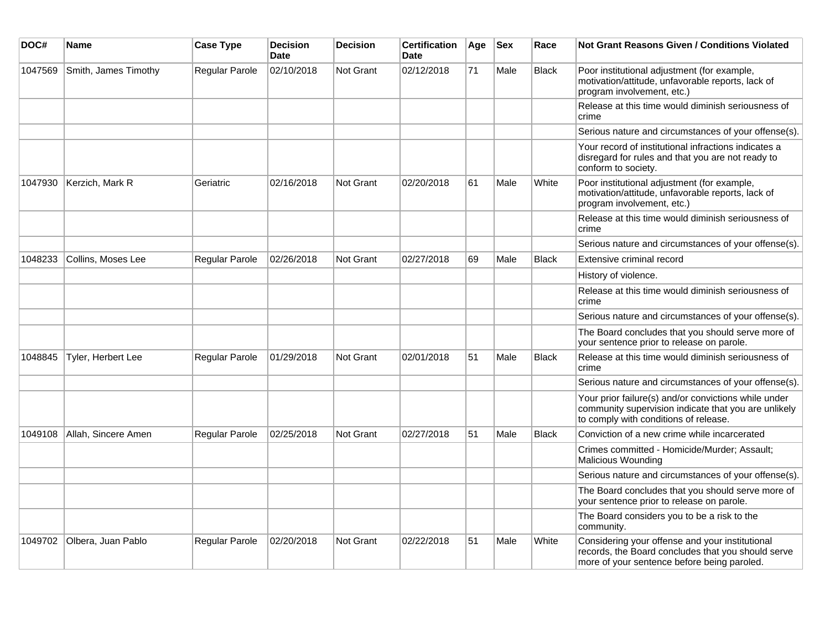| DOC#    | Name                         | <b>Case Type</b> | <b>Decision</b><br><b>Date</b> | <b>Decision</b>  | <b>Certification</b><br><b>Date</b> | Age | <b>Sex</b> | Race         | <b>Not Grant Reasons Given / Conditions Violated</b>                                                                                                  |
|---------|------------------------------|------------------|--------------------------------|------------------|-------------------------------------|-----|------------|--------------|-------------------------------------------------------------------------------------------------------------------------------------------------------|
| 1047569 | Smith, James Timothy         | Regular Parole   | 02/10/2018                     | Not Grant        | 02/12/2018                          | 71  | Male       | <b>Black</b> | Poor institutional adjustment (for example,<br>motivation/attitude, unfavorable reports, lack of<br>program involvement, etc.)                        |
|         |                              |                  |                                |                  |                                     |     |            |              | Release at this time would diminish seriousness of<br>crime                                                                                           |
|         |                              |                  |                                |                  |                                     |     |            |              | Serious nature and circumstances of your offense(s).                                                                                                  |
|         |                              |                  |                                |                  |                                     |     |            |              | Your record of institutional infractions indicates a<br>disregard for rules and that you are not ready to<br>conform to society.                      |
| 1047930 | Kerzich, Mark R              | Geriatric        | 02/16/2018                     | <b>Not Grant</b> | 02/20/2018                          | 61  | Male       | White        | Poor institutional adjustment (for example,<br>motivation/attitude, unfavorable reports, lack of<br>program involvement, etc.)                        |
|         |                              |                  |                                |                  |                                     |     |            |              | Release at this time would diminish seriousness of<br>crime                                                                                           |
|         |                              |                  |                                |                  |                                     |     |            |              | Serious nature and circumstances of your offense(s).                                                                                                  |
| 1048233 | Collins, Moses Lee           | Regular Parole   | 02/26/2018                     | Not Grant        | 02/27/2018                          | 69  | Male       | <b>Black</b> | Extensive criminal record                                                                                                                             |
|         |                              |                  |                                |                  |                                     |     |            |              | History of violence.                                                                                                                                  |
|         |                              |                  |                                |                  |                                     |     |            |              | Release at this time would diminish seriousness of<br>crime                                                                                           |
|         |                              |                  |                                |                  |                                     |     |            |              | Serious nature and circumstances of your offense(s).                                                                                                  |
|         |                              |                  |                                |                  |                                     |     |            |              | The Board concludes that you should serve more of<br>your sentence prior to release on parole.                                                        |
| 1048845 | Tyler, Herbert Lee           | Regular Parole   | 01/29/2018                     | Not Grant        | 02/01/2018                          | 51  | Male       | <b>Black</b> | Release at this time would diminish seriousness of<br>crime                                                                                           |
|         |                              |                  |                                |                  |                                     |     |            |              | Serious nature and circumstances of your offense(s).                                                                                                  |
|         |                              |                  |                                |                  |                                     |     |            |              | Your prior failure(s) and/or convictions while under<br>community supervision indicate that you are unlikely<br>to comply with conditions of release. |
| 1049108 | Allah, Sincere Amen          | Regular Parole   | 02/25/2018                     | Not Grant        | 02/27/2018                          | 51  | Male       | <b>Black</b> | Conviction of a new crime while incarcerated                                                                                                          |
|         |                              |                  |                                |                  |                                     |     |            |              | Crimes committed - Homicide/Murder; Assault;<br><b>Malicious Wounding</b>                                                                             |
|         |                              |                  |                                |                  |                                     |     |            |              | Serious nature and circumstances of your offense(s).                                                                                                  |
|         |                              |                  |                                |                  |                                     |     |            |              | The Board concludes that you should serve more of<br>your sentence prior to release on parole.                                                        |
|         |                              |                  |                                |                  |                                     |     |            |              | The Board considers you to be a risk to the<br>community.                                                                                             |
|         | 1049702   Olbera, Juan Pablo | Regular Parole   | 02/20/2018                     | <b>Not Grant</b> | 02/22/2018                          | 51  | Male       | White        | Considering your offense and your institutional<br>records, the Board concludes that you should serve<br>more of your sentence before being paroled.  |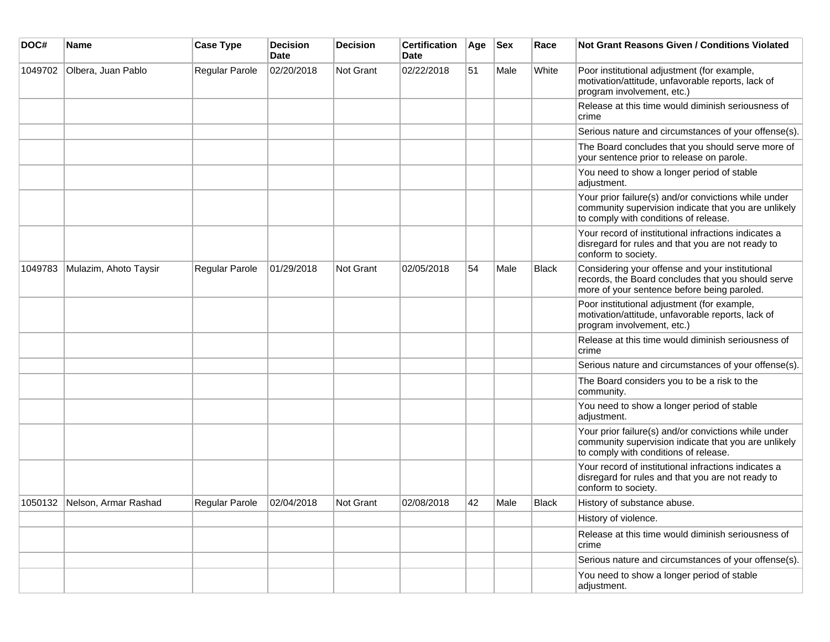| DOC#    | <b>Name</b>                  | <b>Case Type</b> | Decision<br><b>Date</b> | Decision  | <b>Certification</b><br>Date | Age | <b>Sex</b> | Race         | <b>Not Grant Reasons Given / Conditions Violated</b>                                                                                                  |
|---------|------------------------------|------------------|-------------------------|-----------|------------------------------|-----|------------|--------------|-------------------------------------------------------------------------------------------------------------------------------------------------------|
| 1049702 | Olbera, Juan Pablo           | Regular Parole   | 02/20/2018              | Not Grant | 02/22/2018                   | 51  | Male       | White        | Poor institutional adjustment (for example,<br>motivation/attitude, unfavorable reports, lack of<br>program involvement, etc.)                        |
|         |                              |                  |                         |           |                              |     |            |              | Release at this time would diminish seriousness of<br>crime                                                                                           |
|         |                              |                  |                         |           |                              |     |            |              | Serious nature and circumstances of your offense(s).                                                                                                  |
|         |                              |                  |                         |           |                              |     |            |              | The Board concludes that you should serve more of<br>your sentence prior to release on parole.                                                        |
|         |                              |                  |                         |           |                              |     |            |              | You need to show a longer period of stable<br>adjustment.                                                                                             |
|         |                              |                  |                         |           |                              |     |            |              | Your prior failure(s) and/or convictions while under<br>community supervision indicate that you are unlikely<br>to comply with conditions of release. |
|         |                              |                  |                         |           |                              |     |            |              | Your record of institutional infractions indicates a<br>disregard for rules and that you are not ready to<br>conform to society.                      |
| 1049783 | Mulazim, Ahoto Taysir        | Regular Parole   | 01/29/2018              | Not Grant | 02/05/2018                   | 54  | Male       | <b>Black</b> | Considering your offense and your institutional<br>records, the Board concludes that you should serve<br>more of your sentence before being paroled.  |
|         |                              |                  |                         |           |                              |     |            |              | Poor institutional adjustment (for example,<br>motivation/attitude, unfavorable reports, lack of<br>program involvement, etc.)                        |
|         |                              |                  |                         |           |                              |     |            |              | Release at this time would diminish seriousness of<br>crime                                                                                           |
|         |                              |                  |                         |           |                              |     |            |              | Serious nature and circumstances of your offense(s).                                                                                                  |
|         |                              |                  |                         |           |                              |     |            |              | The Board considers you to be a risk to the<br>community.                                                                                             |
|         |                              |                  |                         |           |                              |     |            |              | You need to show a longer period of stable<br>adjustment.                                                                                             |
|         |                              |                  |                         |           |                              |     |            |              | Your prior failure(s) and/or convictions while under<br>community supervision indicate that you are unlikely<br>to comply with conditions of release. |
|         |                              |                  |                         |           |                              |     |            |              | Your record of institutional infractions indicates a<br>disregard for rules and that you are not ready to<br>conform to society.                      |
|         | 1050132 Nelson, Armar Rashad | Regular Parole   | 02/04/2018              | Not Grant | 02/08/2018                   | 42  | Male       | <b>Black</b> | History of substance abuse.                                                                                                                           |
|         |                              |                  |                         |           |                              |     |            |              | History of violence.                                                                                                                                  |
|         |                              |                  |                         |           |                              |     |            |              | Release at this time would diminish seriousness of<br>crime                                                                                           |
|         |                              |                  |                         |           |                              |     |            |              | Serious nature and circumstances of your offense(s).                                                                                                  |
|         |                              |                  |                         |           |                              |     |            |              | You need to show a longer period of stable<br>adjustment.                                                                                             |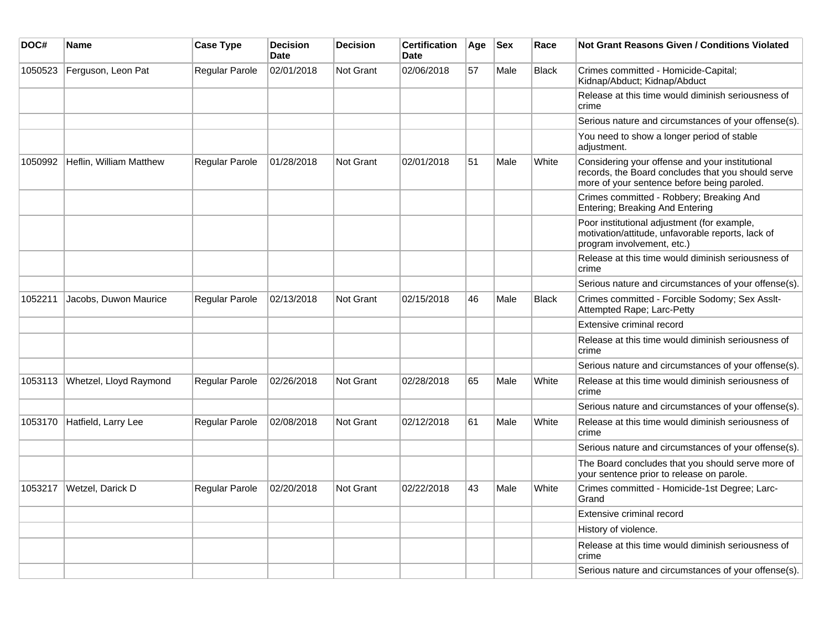| DOC#    | Name                    | <b>Case Type</b>      | <b>Decision</b><br><b>Date</b> | <b>Decision</b> | <b>Certification</b><br><b>Date</b> | Age | $ $ Sex | Race         | Not Grant Reasons Given / Conditions Violated                                                                                                        |
|---------|-------------------------|-----------------------|--------------------------------|-----------------|-------------------------------------|-----|---------|--------------|------------------------------------------------------------------------------------------------------------------------------------------------------|
| 1050523 | Ferguson, Leon Pat      | Regular Parole        | 02/01/2018                     | Not Grant       | 02/06/2018                          | 57  | Male    | <b>Black</b> | Crimes committed - Homicide-Capital;<br>Kidnap/Abduct; Kidnap/Abduct                                                                                 |
|         |                         |                       |                                |                 |                                     |     |         |              | Release at this time would diminish seriousness of<br>crime                                                                                          |
|         |                         |                       |                                |                 |                                     |     |         |              | Serious nature and circumstances of your offense(s).                                                                                                 |
|         |                         |                       |                                |                 |                                     |     |         |              | You need to show a longer period of stable<br>adjustment.                                                                                            |
| 1050992 | Heflin, William Matthew | <b>Regular Parole</b> | 01/28/2018                     | Not Grant       | 02/01/2018                          | 51  | Male    | White        | Considering your offense and your institutional<br>records, the Board concludes that you should serve<br>more of your sentence before being paroled. |
|         |                         |                       |                                |                 |                                     |     |         |              | Crimes committed - Robbery; Breaking And<br>Entering; Breaking And Entering                                                                          |
|         |                         |                       |                                |                 |                                     |     |         |              | Poor institutional adjustment (for example,<br>motivation/attitude, unfavorable reports, lack of<br>program involvement, etc.)                       |
|         |                         |                       |                                |                 |                                     |     |         |              | Release at this time would diminish seriousness of<br>crime                                                                                          |
|         |                         |                       |                                |                 |                                     |     |         |              | Serious nature and circumstances of your offense(s).                                                                                                 |
| 1052211 | Jacobs, Duwon Maurice   | Regular Parole        | 02/13/2018                     | Not Grant       | 02/15/2018                          | 46  | Male    | <b>Black</b> | Crimes committed - Forcible Sodomy; Sex Asslt-<br>Attempted Rape; Larc-Petty                                                                         |
|         |                         |                       |                                |                 |                                     |     |         |              | Extensive criminal record                                                                                                                            |
|         |                         |                       |                                |                 |                                     |     |         |              | Release at this time would diminish seriousness of<br>crime                                                                                          |
|         |                         |                       |                                |                 |                                     |     |         |              | Serious nature and circumstances of your offense(s).                                                                                                 |
| 1053113 | Whetzel, Lloyd Raymond  | Regular Parole        | 02/26/2018                     | Not Grant       | 02/28/2018                          | 65  | Male    | White        | Release at this time would diminish seriousness of<br>crime                                                                                          |
|         |                         |                       |                                |                 |                                     |     |         |              | Serious nature and circumstances of your offense(s).                                                                                                 |
| 1053170 | Hatfield, Larry Lee     | Regular Parole        | 02/08/2018                     | Not Grant       | 02/12/2018                          | 61  | Male    | White        | Release at this time would diminish seriousness of<br>crime                                                                                          |
|         |                         |                       |                                |                 |                                     |     |         |              | Serious nature and circumstances of your offense(s).                                                                                                 |
|         |                         |                       |                                |                 |                                     |     |         |              | The Board concludes that you should serve more of<br>your sentence prior to release on parole.                                                       |
| 1053217 | Wetzel, Darick D        | Regular Parole        | 02/20/2018                     | Not Grant       | 02/22/2018                          | 43  | Male    | White        | Crimes committed - Homicide-1st Degree; Larc-<br>Grand                                                                                               |
|         |                         |                       |                                |                 |                                     |     |         |              | Extensive criminal record                                                                                                                            |
|         |                         |                       |                                |                 |                                     |     |         |              | History of violence.                                                                                                                                 |
|         |                         |                       |                                |                 |                                     |     |         |              | Release at this time would diminish seriousness of<br>crime                                                                                          |
|         |                         |                       |                                |                 |                                     |     |         |              | Serious nature and circumstances of your offense(s).                                                                                                 |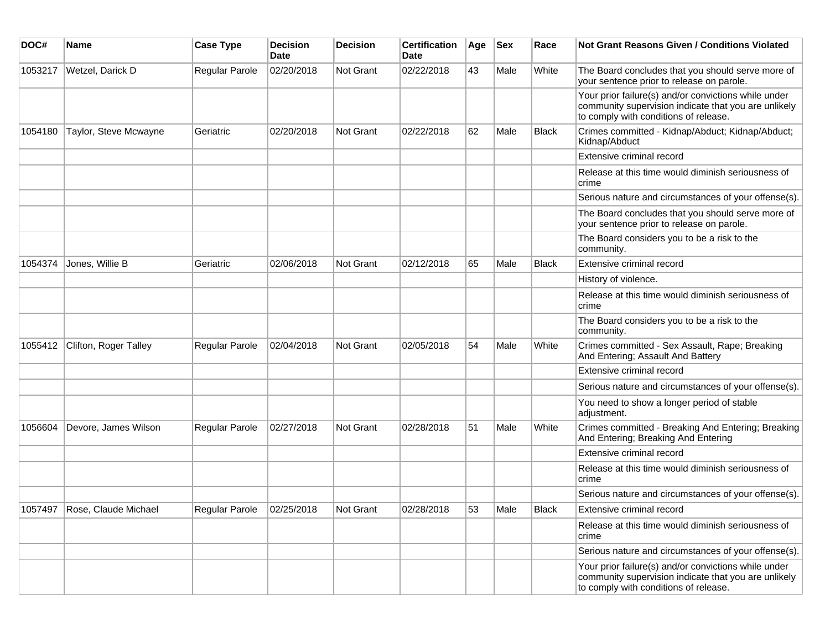| DOC#    | Name                         | <b>Case Type</b> | <b>Decision</b><br><b>Date</b> | <b>Decision</b> | <b>Certification</b><br>Date | Age | <b>Sex</b> | Race  | <b>Not Grant Reasons Given / Conditions Violated</b>                                                                                                  |
|---------|------------------------------|------------------|--------------------------------|-----------------|------------------------------|-----|------------|-------|-------------------------------------------------------------------------------------------------------------------------------------------------------|
| 1053217 | Wetzel, Darick D             | Regular Parole   | 02/20/2018                     | Not Grant       | 02/22/2018                   | 43  | Male       | White | The Board concludes that you should serve more of<br>your sentence prior to release on parole.                                                        |
|         |                              |                  |                                |                 |                              |     |            |       | Your prior failure(s) and/or convictions while under<br>community supervision indicate that you are unlikely<br>to comply with conditions of release. |
| 1054180 | Taylor, Steve Mcwayne        | Geriatric        | 02/20/2018                     | Not Grant       | 02/22/2018                   | 62  | Male       | Black | Crimes committed - Kidnap/Abduct; Kidnap/Abduct;<br>Kidnap/Abduct                                                                                     |
|         |                              |                  |                                |                 |                              |     |            |       | Extensive criminal record                                                                                                                             |
|         |                              |                  |                                |                 |                              |     |            |       | Release at this time would diminish seriousness of<br>crime                                                                                           |
|         |                              |                  |                                |                 |                              |     |            |       | Serious nature and circumstances of your offense(s).                                                                                                  |
|         |                              |                  |                                |                 |                              |     |            |       | The Board concludes that you should serve more of<br>your sentence prior to release on parole.                                                        |
|         |                              |                  |                                |                 |                              |     |            |       | The Board considers you to be a risk to the<br>community.                                                                                             |
| 1054374 | Jones, Willie B              | Geriatric        | 02/06/2018                     | Not Grant       | 02/12/2018                   | 65  | Male       | Black | Extensive criminal record                                                                                                                             |
|         |                              |                  |                                |                 |                              |     |            |       | History of violence.                                                                                                                                  |
|         |                              |                  |                                |                 |                              |     |            |       | Release at this time would diminish seriousness of<br>crime                                                                                           |
|         |                              |                  |                                |                 |                              |     |            |       | The Board considers you to be a risk to the<br>community.                                                                                             |
| 1055412 | Clifton, Roger Talley        | Regular Parole   | 02/04/2018                     | Not Grant       | 02/05/2018                   | 54  | Male       | White | Crimes committed - Sex Assault, Rape; Breaking<br>And Entering; Assault And Battery                                                                   |
|         |                              |                  |                                |                 |                              |     |            |       | Extensive criminal record                                                                                                                             |
|         |                              |                  |                                |                 |                              |     |            |       | Serious nature and circumstances of your offense(s).                                                                                                  |
|         |                              |                  |                                |                 |                              |     |            |       | You need to show a longer period of stable<br>adjustment.                                                                                             |
| 1056604 | Devore, James Wilson         | Regular Parole   | 02/27/2018                     | Not Grant       | 02/28/2018                   | 51  | Male       | White | Crimes committed - Breaking And Entering; Breaking<br>And Entering; Breaking And Entering                                                             |
|         |                              |                  |                                |                 |                              |     |            |       | Extensive criminal record                                                                                                                             |
|         |                              |                  |                                |                 |                              |     |            |       | Release at this time would diminish seriousness of<br>crime                                                                                           |
|         |                              |                  |                                |                 |                              |     |            |       | Serious nature and circumstances of your offense(s).                                                                                                  |
|         | 1057497 Rose, Claude Michael | Regular Parole   | 02/25/2018                     | Not Grant       | 02/28/2018                   | 53  | Male       | Black | Extensive criminal record                                                                                                                             |
|         |                              |                  |                                |                 |                              |     |            |       | Release at this time would diminish seriousness of<br>crime                                                                                           |
|         |                              |                  |                                |                 |                              |     |            |       | Serious nature and circumstances of your offense(s).                                                                                                  |
|         |                              |                  |                                |                 |                              |     |            |       | Your prior failure(s) and/or convictions while under<br>community supervision indicate that you are unlikely<br>to comply with conditions of release. |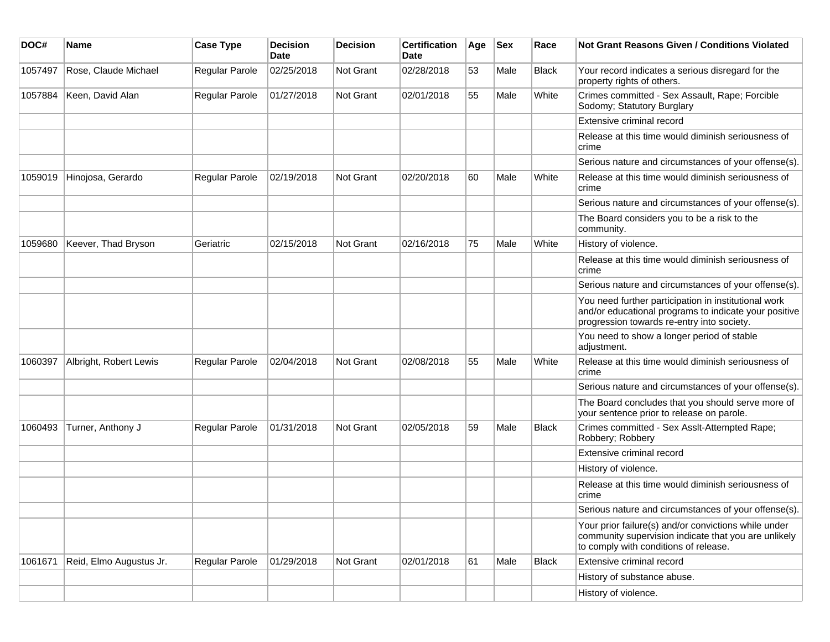| DOC#    | Name                    | <b>Case Type</b>      | <b>Decision</b><br>Date | <b>Decision</b> | <b>Certification</b><br>Date | Age | <b>Sex</b> | Race         | Not Grant Reasons Given / Conditions Violated                                                                                                               |
|---------|-------------------------|-----------------------|-------------------------|-----------------|------------------------------|-----|------------|--------------|-------------------------------------------------------------------------------------------------------------------------------------------------------------|
| 1057497 | Rose, Claude Michael    | Regular Parole        | 02/25/2018              | Not Grant       | 02/28/2018                   | 53  | Male       | <b>Black</b> | Your record indicates a serious disregard for the<br>property rights of others.                                                                             |
| 1057884 | Keen, David Alan        | Regular Parole        | 01/27/2018              | Not Grant       | 02/01/2018                   | 55  | Male       | White        | Crimes committed - Sex Assault, Rape; Forcible<br>Sodomy; Statutory Burglary                                                                                |
|         |                         |                       |                         |                 |                              |     |            |              | Extensive criminal record                                                                                                                                   |
|         |                         |                       |                         |                 |                              |     |            |              | Release at this time would diminish seriousness of<br>crime                                                                                                 |
|         |                         |                       |                         |                 |                              |     |            |              | Serious nature and circumstances of your offense(s).                                                                                                        |
| 1059019 | Hinojosa, Gerardo       | Regular Parole        | 02/19/2018              | Not Grant       | 02/20/2018                   | 60  | Male       | White        | Release at this time would diminish seriousness of<br>crime                                                                                                 |
|         |                         |                       |                         |                 |                              |     |            |              | Serious nature and circumstances of your offense(s).                                                                                                        |
|         |                         |                       |                         |                 |                              |     |            |              | The Board considers you to be a risk to the<br>community.                                                                                                   |
| 1059680 | Keever, Thad Bryson     | Geriatric             | 02/15/2018              | Not Grant       | 02/16/2018                   | 75  | Male       | White        | History of violence.                                                                                                                                        |
|         |                         |                       |                         |                 |                              |     |            |              | Release at this time would diminish seriousness of<br>crime                                                                                                 |
|         |                         |                       |                         |                 |                              |     |            |              | Serious nature and circumstances of your offense(s).                                                                                                        |
|         |                         |                       |                         |                 |                              |     |            |              | You need further participation in institutional work<br>and/or educational programs to indicate your positive<br>progression towards re-entry into society. |
|         |                         |                       |                         |                 |                              |     |            |              | You need to show a longer period of stable<br>adjustment.                                                                                                   |
| 1060397 | Albright, Robert Lewis  | <b>Regular Parole</b> | 02/04/2018              | Not Grant       | 02/08/2018                   | 55  | Male       | White        | Release at this time would diminish seriousness of<br>crime                                                                                                 |
|         |                         |                       |                         |                 |                              |     |            |              | Serious nature and circumstances of your offense(s).                                                                                                        |
|         |                         |                       |                         |                 |                              |     |            |              | The Board concludes that you should serve more of<br>your sentence prior to release on parole.                                                              |
| 1060493 | Turner, Anthony J       | Regular Parole        | 01/31/2018              | Not Grant       | 02/05/2018                   | 59  | Male       | <b>Black</b> | Crimes committed - Sex Asslt-Attempted Rape;<br>Robbery; Robbery                                                                                            |
|         |                         |                       |                         |                 |                              |     |            |              | Extensive criminal record                                                                                                                                   |
|         |                         |                       |                         |                 |                              |     |            |              | History of violence.                                                                                                                                        |
|         |                         |                       |                         |                 |                              |     |            |              | Release at this time would diminish seriousness of<br>crime                                                                                                 |
|         |                         |                       |                         |                 |                              |     |            |              | Serious nature and circumstances of your offense(s).                                                                                                        |
|         |                         |                       |                         |                 |                              |     |            |              | Your prior failure(s) and/or convictions while under<br>community supervision indicate that you are unlikely<br>to comply with conditions of release.       |
| 1061671 | Reid, Elmo Augustus Jr. | <b>Regular Parole</b> | 01/29/2018              | Not Grant       | 02/01/2018                   | 61  | Male       | <b>Black</b> | Extensive criminal record                                                                                                                                   |
|         |                         |                       |                         |                 |                              |     |            |              | History of substance abuse.                                                                                                                                 |
|         |                         |                       |                         |                 |                              |     |            |              | History of violence.                                                                                                                                        |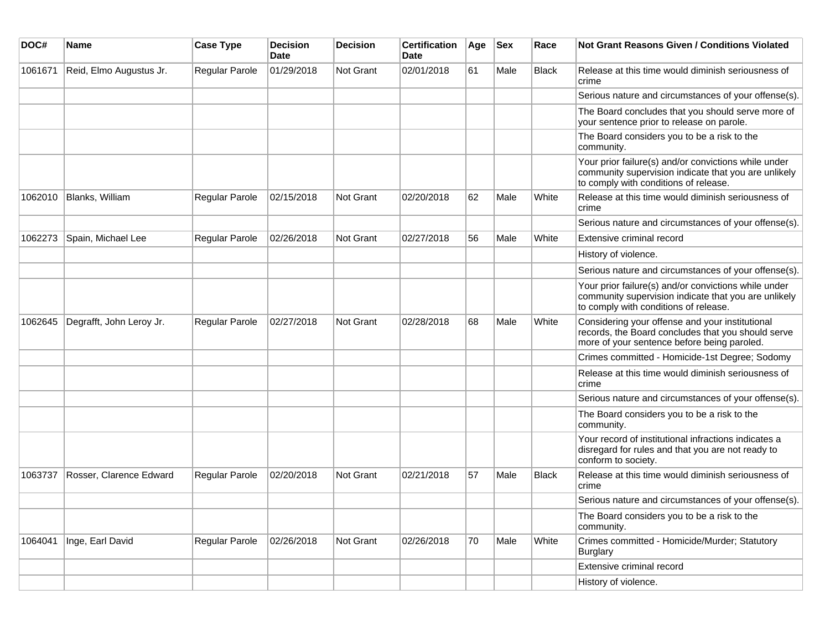| DOC#    | Name                     | <b>Case Type</b>      | <b>Decision</b><br><b>Date</b> | <b>Decision</b>  | <b>Certification</b><br><b>Date</b> | Age | <b>Sex</b> | Race         | Not Grant Reasons Given / Conditions Violated                                                                                                         |
|---------|--------------------------|-----------------------|--------------------------------|------------------|-------------------------------------|-----|------------|--------------|-------------------------------------------------------------------------------------------------------------------------------------------------------|
| 1061671 | Reid, Elmo Augustus Jr.  | Regular Parole        | 01/29/2018                     | <b>Not Grant</b> | 02/01/2018                          | 61  | Male       | Black        | Release at this time would diminish seriousness of<br>crime                                                                                           |
|         |                          |                       |                                |                  |                                     |     |            |              | Serious nature and circumstances of your offense(s).                                                                                                  |
|         |                          |                       |                                |                  |                                     |     |            |              | The Board concludes that you should serve more of<br>your sentence prior to release on parole.                                                        |
|         |                          |                       |                                |                  |                                     |     |            |              | The Board considers you to be a risk to the<br>community.                                                                                             |
|         |                          |                       |                                |                  |                                     |     |            |              | Your prior failure(s) and/or convictions while under<br>community supervision indicate that you are unlikely<br>to comply with conditions of release. |
| 1062010 | Blanks, William          | Regular Parole        | 02/15/2018                     | <b>Not Grant</b> | 02/20/2018                          | 62  | Male       | White        | Release at this time would diminish seriousness of<br>crime                                                                                           |
|         |                          |                       |                                |                  |                                     |     |            |              | Serious nature and circumstances of your offense(s).                                                                                                  |
| 1062273 | Spain, Michael Lee       | Regular Parole        | 02/26/2018                     | <b>Not Grant</b> | 02/27/2018                          | 56  | Male       | White        | Extensive criminal record                                                                                                                             |
|         |                          |                       |                                |                  |                                     |     |            |              | History of violence.                                                                                                                                  |
|         |                          |                       |                                |                  |                                     |     |            |              | Serious nature and circumstances of your offense(s).                                                                                                  |
|         |                          |                       |                                |                  |                                     |     |            |              | Your prior failure(s) and/or convictions while under<br>community supervision indicate that you are unlikely<br>to comply with conditions of release. |
| 1062645 | Degrafft, John Leroy Jr. | Regular Parole        | 02/27/2018                     | <b>Not Grant</b> | 02/28/2018                          | 68  | Male       | White        | Considering your offense and your institutional<br>records, the Board concludes that you should serve<br>more of your sentence before being paroled.  |
|         |                          |                       |                                |                  |                                     |     |            |              | Crimes committed - Homicide-1st Degree; Sodomy                                                                                                        |
|         |                          |                       |                                |                  |                                     |     |            |              | Release at this time would diminish seriousness of<br>crime                                                                                           |
|         |                          |                       |                                |                  |                                     |     |            |              | Serious nature and circumstances of your offense(s).                                                                                                  |
|         |                          |                       |                                |                  |                                     |     |            |              | The Board considers you to be a risk to the<br>community.                                                                                             |
|         |                          |                       |                                |                  |                                     |     |            |              | Your record of institutional infractions indicates a<br>disregard for rules and that you are not ready to<br>conform to society.                      |
| 1063737 | Rosser, Clarence Edward  | <b>Regular Parole</b> | 02/20/2018                     | Not Grant        | 02/21/2018                          | 57  | Male       | <b>Black</b> | Release at this time would diminish seriousness of<br>crime                                                                                           |
|         |                          |                       |                                |                  |                                     |     |            |              | Serious nature and circumstances of your offense(s).                                                                                                  |
|         |                          |                       |                                |                  |                                     |     |            |              | The Board considers you to be a risk to the<br>community.                                                                                             |
| 1064041 | Inge, Earl David         | Regular Parole        | 02/26/2018                     | Not Grant        | 02/26/2018                          | 70  | Male       | White        | Crimes committed - Homicide/Murder; Statutory<br><b>Burglary</b>                                                                                      |
|         |                          |                       |                                |                  |                                     |     |            |              | Extensive criminal record                                                                                                                             |
|         |                          |                       |                                |                  |                                     |     |            |              | History of violence.                                                                                                                                  |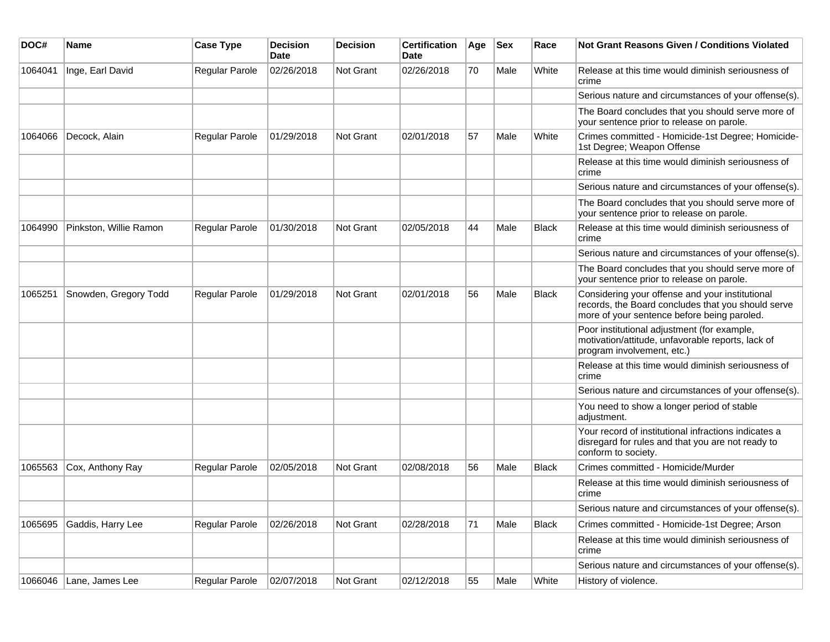| DOC#    | Name                   | <b>Case Type</b>      | <b>Decision</b><br><b>Date</b> | <b>Decision</b> | <b>Certification</b><br>Date | Age | <b>Sex</b> | Race         | Not Grant Reasons Given / Conditions Violated                                                                                                        |
|---------|------------------------|-----------------------|--------------------------------|-----------------|------------------------------|-----|------------|--------------|------------------------------------------------------------------------------------------------------------------------------------------------------|
| 1064041 | Inge, Earl David       | Regular Parole        | 02/26/2018                     | Not Grant       | 02/26/2018                   | 70  | Male       | White        | Release at this time would diminish seriousness of<br>crime                                                                                          |
|         |                        |                       |                                |                 |                              |     |            |              | Serious nature and circumstances of your offense(s).                                                                                                 |
|         |                        |                       |                                |                 |                              |     |            |              | The Board concludes that you should serve more of<br>your sentence prior to release on parole.                                                       |
| 1064066 | Decock, Alain          | Regular Parole        | 01/29/2018                     | Not Grant       | 02/01/2018                   | 57  | Male       | White        | Crimes committed - Homicide-1st Degree; Homicide-<br>1st Degree; Weapon Offense                                                                      |
|         |                        |                       |                                |                 |                              |     |            |              | Release at this time would diminish seriousness of<br>crime                                                                                          |
|         |                        |                       |                                |                 |                              |     |            |              | Serious nature and circumstances of your offense(s).                                                                                                 |
|         |                        |                       |                                |                 |                              |     |            |              | The Board concludes that you should serve more of<br>your sentence prior to release on parole.                                                       |
| 1064990 | Pinkston, Willie Ramon | Regular Parole        | 01/30/2018                     | Not Grant       | 02/05/2018                   | 44  | Male       | <b>Black</b> | Release at this time would diminish seriousness of<br>crime                                                                                          |
|         |                        |                       |                                |                 |                              |     |            |              | Serious nature and circumstances of your offense(s).                                                                                                 |
|         |                        |                       |                                |                 |                              |     |            |              | The Board concludes that you should serve more of<br>your sentence prior to release on parole.                                                       |
| 1065251 | Snowden, Gregory Todd  | <b>Regular Parole</b> | 01/29/2018                     | Not Grant       | 02/01/2018                   | 56  | Male       | <b>Black</b> | Considering your offense and your institutional<br>records, the Board concludes that you should serve<br>more of your sentence before being paroled. |
|         |                        |                       |                                |                 |                              |     |            |              | Poor institutional adjustment (for example,<br>motivation/attitude, unfavorable reports, lack of<br>program involvement, etc.)                       |
|         |                        |                       |                                |                 |                              |     |            |              | Release at this time would diminish seriousness of<br>crime                                                                                          |
|         |                        |                       |                                |                 |                              |     |            |              | Serious nature and circumstances of your offense(s).                                                                                                 |
|         |                        |                       |                                |                 |                              |     |            |              | You need to show a longer period of stable<br>adjustment.                                                                                            |
|         |                        |                       |                                |                 |                              |     |            |              | Your record of institutional infractions indicates a<br>disregard for rules and that you are not ready to<br>conform to society.                     |
| 1065563 | Cox, Anthony Ray       | <b>Regular Parole</b> | 02/05/2018                     | Not Grant       | 02/08/2018                   | 56  | Male       | <b>Black</b> | Crimes committed - Homicide/Murder                                                                                                                   |
|         |                        |                       |                                |                 |                              |     |            |              | Release at this time would diminish seriousness of<br>crime                                                                                          |
|         |                        |                       |                                |                 |                              |     |            |              | Serious nature and circumstances of your offense(s).                                                                                                 |
| 1065695 | Gaddis, Harry Lee      | <b>Regular Parole</b> | 02/26/2018                     | Not Grant       | 02/28/2018                   | 71  | Male       | <b>Black</b> | Crimes committed - Homicide-1st Degree; Arson                                                                                                        |
|         |                        |                       |                                |                 |                              |     |            |              | Release at this time would diminish seriousness of<br>crime                                                                                          |
|         |                        |                       |                                |                 |                              |     |            |              | Serious nature and circumstances of your offense(s).                                                                                                 |
| 1066046 | Lane, James Lee        | Regular Parole        | 02/07/2018                     | Not Grant       | 02/12/2018                   | 55  | Male       | White        | History of violence.                                                                                                                                 |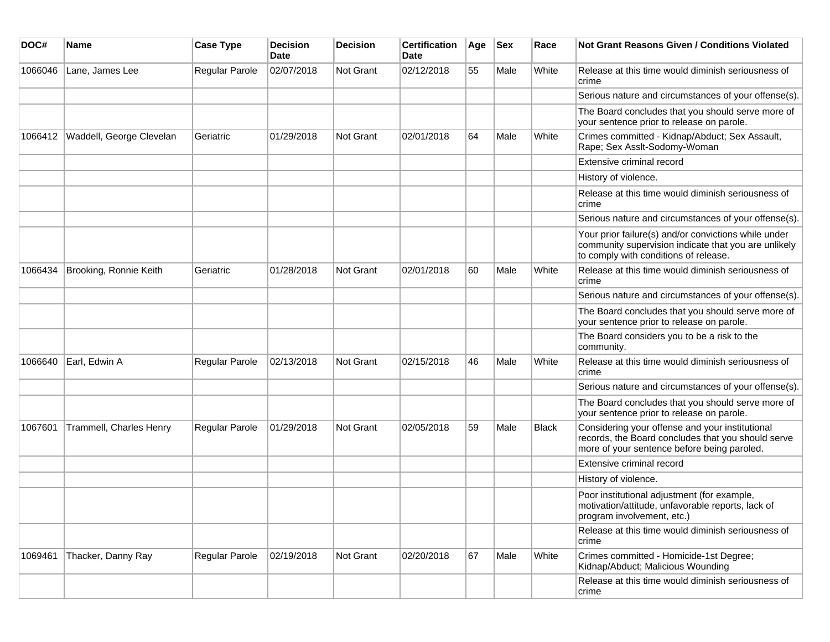| DOC#    | Name                     | <b>Case Type</b> | <b>Decision</b><br>Date | <b>Decision</b>  | <b>Certification</b><br>Date | Age | <b>Sex</b> | Race         | Not Grant Reasons Given / Conditions Violated                                                                                                         |
|---------|--------------------------|------------------|-------------------------|------------------|------------------------------|-----|------------|--------------|-------------------------------------------------------------------------------------------------------------------------------------------------------|
| 1066046 | Lane, James Lee          | Regular Parole   | 02/07/2018              | Not Grant        | 02/12/2018                   | 55  | Male       | White        | Release at this time would diminish seriousness of<br>crime                                                                                           |
|         |                          |                  |                         |                  |                              |     |            |              | Serious nature and circumstances of your offense(s).                                                                                                  |
|         |                          |                  |                         |                  |                              |     |            |              | The Board concludes that you should serve more of<br>your sentence prior to release on parole.                                                        |
| 1066412 | Waddell, George Clevelan | Geriatric        | 01/29/2018              | Not Grant        | 02/01/2018                   | 64  | Male       | White        | Crimes committed - Kidnap/Abduct; Sex Assault,<br>Rape; Sex Asslt-Sodomy-Woman                                                                        |
|         |                          |                  |                         |                  |                              |     |            |              | Extensive criminal record                                                                                                                             |
|         |                          |                  |                         |                  |                              |     |            |              | History of violence.                                                                                                                                  |
|         |                          |                  |                         |                  |                              |     |            |              | Release at this time would diminish seriousness of<br>crime                                                                                           |
|         |                          |                  |                         |                  |                              |     |            |              | Serious nature and circumstances of your offense(s).                                                                                                  |
|         |                          |                  |                         |                  |                              |     |            |              | Your prior failure(s) and/or convictions while under<br>community supervision indicate that you are unlikely<br>to comply with conditions of release. |
| 1066434 | Brooking, Ronnie Keith   | Geriatric        | 01/28/2018              | Not Grant        | 02/01/2018                   | 60  | Male       | White        | Release at this time would diminish seriousness of<br>crime                                                                                           |
|         |                          |                  |                         |                  |                              |     |            |              | Serious nature and circumstances of your offense(s).                                                                                                  |
|         |                          |                  |                         |                  |                              |     |            |              | The Board concludes that you should serve more of<br>your sentence prior to release on parole.                                                        |
|         |                          |                  |                         |                  |                              |     |            |              | The Board considers you to be a risk to the<br>community.                                                                                             |
| 1066640 | Earl, Edwin A            | Regular Parole   | 02/13/2018              | <b>Not Grant</b> | 02/15/2018                   | 46  | Male       | White        | Release at this time would diminish seriousness of<br>crime                                                                                           |
|         |                          |                  |                         |                  |                              |     |            |              | Serious nature and circumstances of your offense(s).                                                                                                  |
|         |                          |                  |                         |                  |                              |     |            |              | The Board concludes that you should serve more of<br>your sentence prior to release on parole.                                                        |
| 1067601 | Trammell, Charles Henry  | Regular Parole   | 01/29/2018              | Not Grant        | 02/05/2018                   | 59  | Male       | <b>Black</b> | Considering your offense and your institutional<br>records, the Board concludes that you should serve<br>more of your sentence before being paroled.  |
|         |                          |                  |                         |                  |                              |     |            |              | Extensive criminal record                                                                                                                             |
|         |                          |                  |                         |                  |                              |     |            |              | History of violence.                                                                                                                                  |
|         |                          |                  |                         |                  |                              |     |            |              | Poor institutional adjustment (for example,<br>motivation/attitude, unfavorable reports, lack of<br>program involvement, etc.)                        |
|         |                          |                  |                         |                  |                              |     |            |              | Release at this time would diminish seriousness of<br>crime                                                                                           |
| 1069461 | Thacker, Danny Ray       | Regular Parole   | 02/19/2018              | Not Grant        | 02/20/2018                   | 67  | Male       | White        | Crimes committed - Homicide-1st Degree;<br>Kidnap/Abduct; Malicious Wounding                                                                          |
|         |                          |                  |                         |                  |                              |     |            |              | Release at this time would diminish seriousness of<br>crime                                                                                           |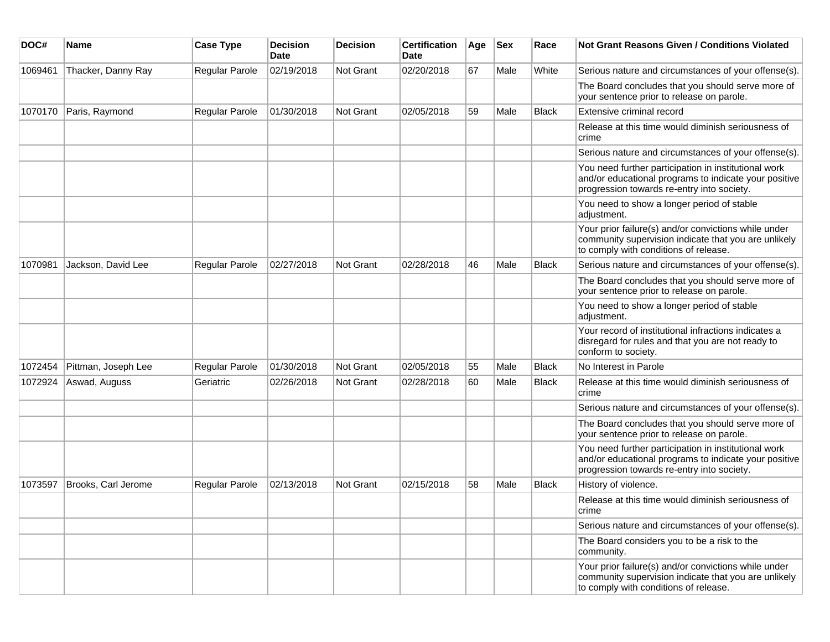| DOC#    | Name                | <b>Case Type</b>      | <b>Decision</b><br><b>Date</b> | <b>Decision</b>  | <b>Certification</b><br><b>Date</b> | Age | <b>Sex</b> | Race         | <b>Not Grant Reasons Given / Conditions Violated</b>                                                                                                        |
|---------|---------------------|-----------------------|--------------------------------|------------------|-------------------------------------|-----|------------|--------------|-------------------------------------------------------------------------------------------------------------------------------------------------------------|
| 1069461 | Thacker, Danny Ray  | Regular Parole        | 02/19/2018                     | <b>Not Grant</b> | 02/20/2018                          | 67  | Male       | White        | Serious nature and circumstances of your offense(s).                                                                                                        |
|         |                     |                       |                                |                  |                                     |     |            |              | The Board concludes that you should serve more of<br>your sentence prior to release on parole.                                                              |
| 1070170 | Paris, Raymond      | Regular Parole        | 01/30/2018                     | <b>Not Grant</b> | 02/05/2018                          | 59  | Male       | <b>Black</b> | Extensive criminal record                                                                                                                                   |
|         |                     |                       |                                |                  |                                     |     |            |              | Release at this time would diminish seriousness of<br>crime                                                                                                 |
|         |                     |                       |                                |                  |                                     |     |            |              | Serious nature and circumstances of your offense(s).                                                                                                        |
|         |                     |                       |                                |                  |                                     |     |            |              | You need further participation in institutional work<br>and/or educational programs to indicate your positive<br>progression towards re-entry into society. |
|         |                     |                       |                                |                  |                                     |     |            |              | You need to show a longer period of stable<br>adjustment.                                                                                                   |
|         |                     |                       |                                |                  |                                     |     |            |              | Your prior failure(s) and/or convictions while under<br>community supervision indicate that you are unlikely<br>to comply with conditions of release.       |
| 1070981 | Jackson, David Lee  | <b>Regular Parole</b> | 02/27/2018                     | Not Grant        | 02/28/2018                          | 46  | Male       | <b>Black</b> | Serious nature and circumstances of your offense(s).                                                                                                        |
|         |                     |                       |                                |                  |                                     |     |            |              | The Board concludes that you should serve more of<br>your sentence prior to release on parole.                                                              |
|         |                     |                       |                                |                  |                                     |     |            |              | You need to show a longer period of stable<br>adjustment.                                                                                                   |
|         |                     |                       |                                |                  |                                     |     |            |              | Your record of institutional infractions indicates a<br>disregard for rules and that you are not ready to<br>conform to society.                            |
| 1072454 | Pittman, Joseph Lee | <b>Regular Parole</b> | 01/30/2018                     | Not Grant        | 02/05/2018                          | 55  | Male       | <b>Black</b> | No Interest in Parole                                                                                                                                       |
| 1072924 | Aswad, Auguss       | Geriatric             | 02/26/2018                     | <b>Not Grant</b> | 02/28/2018                          | 60  | Male       | <b>Black</b> | Release at this time would diminish seriousness of<br>crime                                                                                                 |
|         |                     |                       |                                |                  |                                     |     |            |              | Serious nature and circumstances of your offense(s).                                                                                                        |
|         |                     |                       |                                |                  |                                     |     |            |              | The Board concludes that you should serve more of<br>your sentence prior to release on parole.                                                              |
|         |                     |                       |                                |                  |                                     |     |            |              | You need further participation in institutional work<br>and/or educational programs to indicate your positive<br>progression towards re-entry into society. |
| 1073597 | Brooks, Carl Jerome | <b>Regular Parole</b> | 02/13/2018                     | Not Grant        | 02/15/2018                          | 58  | Male       | <b>Black</b> | History of violence.                                                                                                                                        |
|         |                     |                       |                                |                  |                                     |     |            |              | Release at this time would diminish seriousness of<br>crime                                                                                                 |
|         |                     |                       |                                |                  |                                     |     |            |              | Serious nature and circumstances of your offense(s).                                                                                                        |
|         |                     |                       |                                |                  |                                     |     |            |              | The Board considers you to be a risk to the<br>community.                                                                                                   |
|         |                     |                       |                                |                  |                                     |     |            |              | Your prior failure(s) and/or convictions while under<br>community supervision indicate that you are unlikely<br>to comply with conditions of release.       |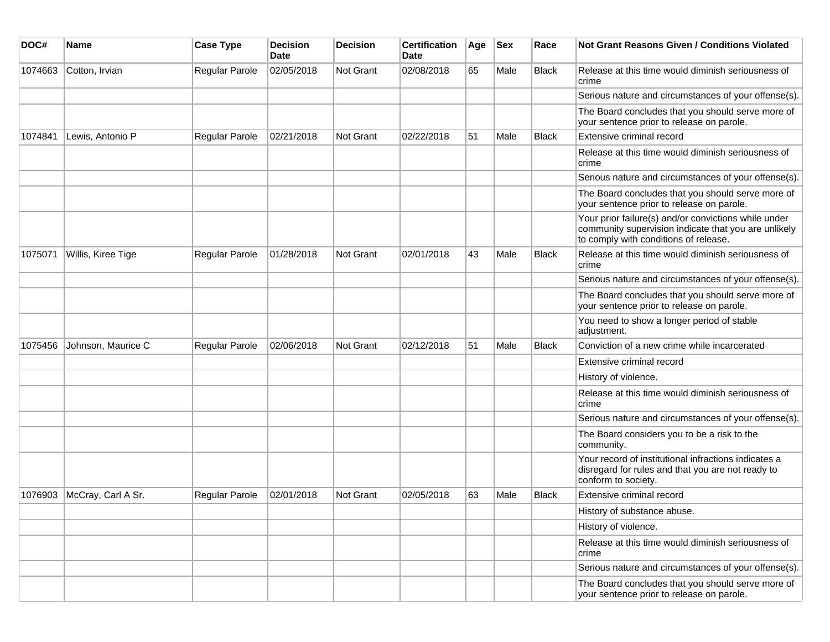| DOC#    | <b>Name</b>        | <b>Case Type</b> | <b>Decision</b><br><b>Date</b> | <b>Decision</b>  | <b>Certification</b><br>Date | Age | <b>Sex</b> | Race         | Not Grant Reasons Given / Conditions Violated                                                                                                         |
|---------|--------------------|------------------|--------------------------------|------------------|------------------------------|-----|------------|--------------|-------------------------------------------------------------------------------------------------------------------------------------------------------|
| 1074663 | Cotton, Irvian     | Regular Parole   | 02/05/2018                     | Not Grant        | 02/08/2018                   | 65  | Male       | Black        | Release at this time would diminish seriousness of<br>crime                                                                                           |
|         |                    |                  |                                |                  |                              |     |            |              | Serious nature and circumstances of your offense(s).                                                                                                  |
|         |                    |                  |                                |                  |                              |     |            |              | The Board concludes that you should serve more of<br>your sentence prior to release on parole.                                                        |
| 1074841 | Lewis, Antonio P   | Regular Parole   | 02/21/2018                     | <b>Not Grant</b> | 02/22/2018                   | 51  | Male       | Black        | Extensive criminal record                                                                                                                             |
|         |                    |                  |                                |                  |                              |     |            |              | Release at this time would diminish seriousness of<br>crime                                                                                           |
|         |                    |                  |                                |                  |                              |     |            |              | Serious nature and circumstances of your offense(s).                                                                                                  |
|         |                    |                  |                                |                  |                              |     |            |              | The Board concludes that you should serve more of<br>your sentence prior to release on parole.                                                        |
|         |                    |                  |                                |                  |                              |     |            |              | Your prior failure(s) and/or convictions while under<br>community supervision indicate that you are unlikely<br>to comply with conditions of release. |
| 1075071 | Willis, Kiree Tige | Regular Parole   | 01/28/2018                     | <b>Not Grant</b> | 02/01/2018                   | 43  | Male       | <b>Black</b> | Release at this time would diminish seriousness of<br>crime                                                                                           |
|         |                    |                  |                                |                  |                              |     |            |              | Serious nature and circumstances of your offense(s).                                                                                                  |
|         |                    |                  |                                |                  |                              |     |            |              | The Board concludes that you should serve more of<br>your sentence prior to release on parole.                                                        |
|         |                    |                  |                                |                  |                              |     |            |              | You need to show a longer period of stable<br>adjustment.                                                                                             |
| 1075456 | Johnson, Maurice C | Regular Parole   | 02/06/2018                     | Not Grant        | 02/12/2018                   | 51  | Male       | Black        | Conviction of a new crime while incarcerated                                                                                                          |
|         |                    |                  |                                |                  |                              |     |            |              | Extensive criminal record                                                                                                                             |
|         |                    |                  |                                |                  |                              |     |            |              | History of violence.                                                                                                                                  |
|         |                    |                  |                                |                  |                              |     |            |              | Release at this time would diminish seriousness of<br>crime                                                                                           |
|         |                    |                  |                                |                  |                              |     |            |              | Serious nature and circumstances of your offense(s).                                                                                                  |
|         |                    |                  |                                |                  |                              |     |            |              | The Board considers you to be a risk to the<br>community.                                                                                             |
|         |                    |                  |                                |                  |                              |     |            |              | Your record of institutional infractions indicates a<br>disregard for rules and that you are not ready to<br>conform to society.                      |
| 1076903 | McCray, Carl A Sr. | Regular Parole   | 02/01/2018                     | Not Grant        | 02/05/2018                   | 63  | Male       | Black        | Extensive criminal record                                                                                                                             |
|         |                    |                  |                                |                  |                              |     |            |              | History of substance abuse.                                                                                                                           |
|         |                    |                  |                                |                  |                              |     |            |              | History of violence.                                                                                                                                  |
|         |                    |                  |                                |                  |                              |     |            |              | Release at this time would diminish seriousness of<br>crime                                                                                           |
|         |                    |                  |                                |                  |                              |     |            |              | Serious nature and circumstances of your offense(s).                                                                                                  |
|         |                    |                  |                                |                  |                              |     |            |              | The Board concludes that you should serve more of<br>your sentence prior to release on parole.                                                        |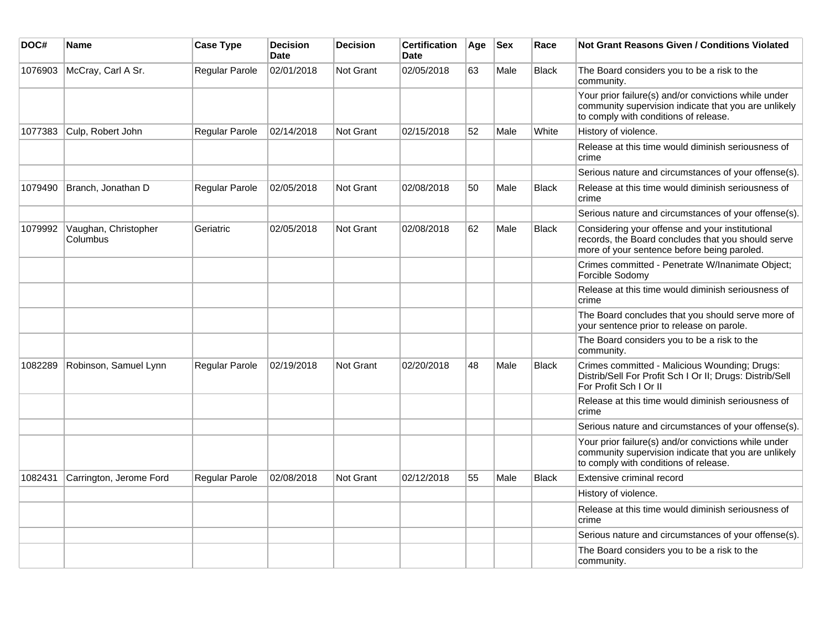| DOC#    | <b>Name</b>                      | <b>Case Type</b> | <b>Decision</b><br><b>Date</b> | <b>Decision</b>  | <b>Certification</b><br>Date | Age | <b>Sex</b> | Race         | Not Grant Reasons Given / Conditions Violated                                                                                                         |
|---------|----------------------------------|------------------|--------------------------------|------------------|------------------------------|-----|------------|--------------|-------------------------------------------------------------------------------------------------------------------------------------------------------|
| 1076903 | McCray, Carl A Sr.               | Regular Parole   | 02/01/2018                     | <b>Not Grant</b> | 02/05/2018                   | 63  | Male       | <b>Black</b> | The Board considers you to be a risk to the<br>community.                                                                                             |
|         |                                  |                  |                                |                  |                              |     |            |              | Your prior failure(s) and/or convictions while under<br>community supervision indicate that you are unlikely<br>to comply with conditions of release. |
| 1077383 | Culp, Robert John                | Regular Parole   | 02/14/2018                     | <b>Not Grant</b> | 02/15/2018                   | 52  | Male       | White        | History of violence.                                                                                                                                  |
|         |                                  |                  |                                |                  |                              |     |            |              | Release at this time would diminish seriousness of<br>crime                                                                                           |
|         |                                  |                  |                                |                  |                              |     |            |              | Serious nature and circumstances of your offense(s).                                                                                                  |
| 1079490 | Branch, Jonathan D               | Regular Parole   | 02/05/2018                     | <b>Not Grant</b> | 02/08/2018                   | 50  | Male       | <b>Black</b> | Release at this time would diminish seriousness of<br>crime                                                                                           |
|         |                                  |                  |                                |                  |                              |     |            |              | Serious nature and circumstances of your offense(s).                                                                                                  |
| 1079992 | Vaughan, Christopher<br>Columbus | Geriatric        | 02/05/2018                     | <b>Not Grant</b> | 02/08/2018                   | 62  | Male       | <b>Black</b> | Considering your offense and your institutional<br>records, the Board concludes that you should serve<br>more of your sentence before being paroled.  |
|         |                                  |                  |                                |                  |                              |     |            |              | Crimes committed - Penetrate W/Inanimate Object;<br>Forcible Sodomy                                                                                   |
|         |                                  |                  |                                |                  |                              |     |            |              | Release at this time would diminish seriousness of<br>crime                                                                                           |
|         |                                  |                  |                                |                  |                              |     |            |              | The Board concludes that you should serve more of<br>your sentence prior to release on parole.                                                        |
|         |                                  |                  |                                |                  |                              |     |            |              | The Board considers you to be a risk to the<br>community.                                                                                             |
| 1082289 | Robinson, Samuel Lynn            | Regular Parole   | 02/19/2018                     | <b>Not Grant</b> | 02/20/2018                   | 48  | Male       | <b>Black</b> | Crimes committed - Malicious Wounding; Drugs:<br>Distrib/Sell For Profit Sch I Or II; Drugs: Distrib/Sell<br>For Profit Sch I Or II                   |
|         |                                  |                  |                                |                  |                              |     |            |              | Release at this time would diminish seriousness of<br>crime                                                                                           |
|         |                                  |                  |                                |                  |                              |     |            |              | Serious nature and circumstances of your offense(s).                                                                                                  |
|         |                                  |                  |                                |                  |                              |     |            |              | Your prior failure(s) and/or convictions while under<br>community supervision indicate that you are unlikely<br>to comply with conditions of release. |
| 1082431 | Carrington, Jerome Ford          | Regular Parole   | 02/08/2018                     | <b>Not Grant</b> | 02/12/2018                   | 55  | Male       | <b>Black</b> | Extensive criminal record                                                                                                                             |
|         |                                  |                  |                                |                  |                              |     |            |              | History of violence.                                                                                                                                  |
|         |                                  |                  |                                |                  |                              |     |            |              | Release at this time would diminish seriousness of<br>crime                                                                                           |
|         |                                  |                  |                                |                  |                              |     |            |              | Serious nature and circumstances of your offense(s).                                                                                                  |
|         |                                  |                  |                                |                  |                              |     |            |              | The Board considers you to be a risk to the<br>community.                                                                                             |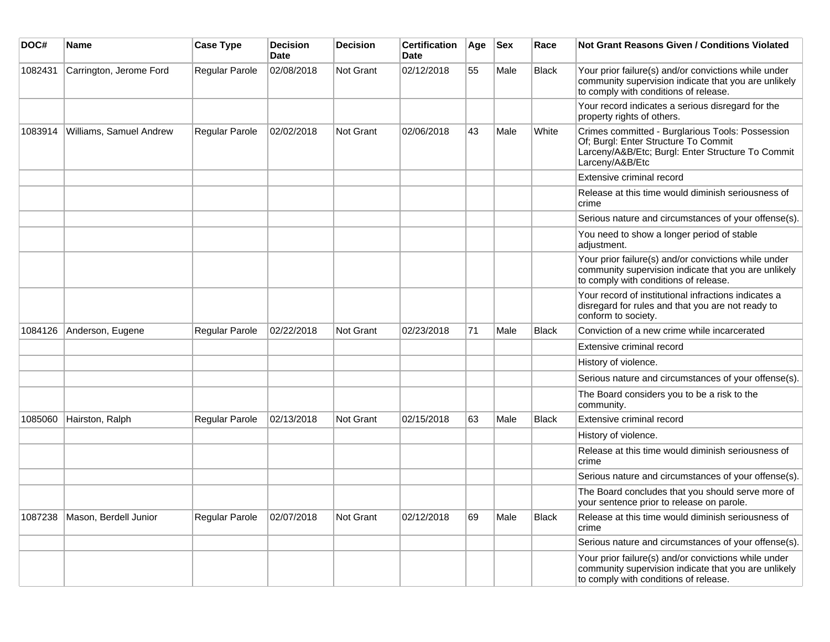| DOC#    | Name                    | <b>Case Type</b> | <b>Decision</b><br><b>Date</b> | <b>Decision</b>  | <b>Certification</b><br><b>Date</b> | Age | <b>Sex</b> | Race         | <b>Not Grant Reasons Given / Conditions Violated</b>                                                                                                             |
|---------|-------------------------|------------------|--------------------------------|------------------|-------------------------------------|-----|------------|--------------|------------------------------------------------------------------------------------------------------------------------------------------------------------------|
| 1082431 | Carrington, Jerome Ford | Regular Parole   | 02/08/2018                     | Not Grant        | 02/12/2018                          | 55  | Male       | <b>Black</b> | Your prior failure(s) and/or convictions while under<br>community supervision indicate that you are unlikely<br>to comply with conditions of release.            |
|         |                         |                  |                                |                  |                                     |     |            |              | Your record indicates a serious disregard for the<br>property rights of others.                                                                                  |
| 1083914 | Williams, Samuel Andrew | Regular Parole   | 02/02/2018                     | <b>Not Grant</b> | 02/06/2018                          | 43  | Male       | White        | Crimes committed - Burglarious Tools: Possession<br>Of; Burgl: Enter Structure To Commit<br>Larceny/A&B/Etc; Burgl: Enter Structure To Commit<br>Larceny/A&B/Etc |
|         |                         |                  |                                |                  |                                     |     |            |              | Extensive criminal record                                                                                                                                        |
|         |                         |                  |                                |                  |                                     |     |            |              | Release at this time would diminish seriousness of<br>crime                                                                                                      |
|         |                         |                  |                                |                  |                                     |     |            |              | Serious nature and circumstances of your offense(s).                                                                                                             |
|         |                         |                  |                                |                  |                                     |     |            |              | You need to show a longer period of stable<br>adjustment.                                                                                                        |
|         |                         |                  |                                |                  |                                     |     |            |              | Your prior failure(s) and/or convictions while under<br>community supervision indicate that you are unlikely<br>to comply with conditions of release.            |
|         |                         |                  |                                |                  |                                     |     |            |              | Your record of institutional infractions indicates a<br>disregard for rules and that you are not ready to<br>conform to society.                                 |
| 1084126 | Anderson, Eugene        | Regular Parole   | 02/22/2018                     | <b>Not Grant</b> | 02/23/2018                          | 71  | Male       | <b>Black</b> | Conviction of a new crime while incarcerated                                                                                                                     |
|         |                         |                  |                                |                  |                                     |     |            |              | Extensive criminal record                                                                                                                                        |
|         |                         |                  |                                |                  |                                     |     |            |              | History of violence.                                                                                                                                             |
|         |                         |                  |                                |                  |                                     |     |            |              | Serious nature and circumstances of your offense(s).                                                                                                             |
|         |                         |                  |                                |                  |                                     |     |            |              | The Board considers you to be a risk to the<br>community.                                                                                                        |
| 1085060 | Hairston, Ralph         | Regular Parole   | 02/13/2018                     | <b>Not Grant</b> | 02/15/2018                          | 63  | Male       | <b>Black</b> | Extensive criminal record                                                                                                                                        |
|         |                         |                  |                                |                  |                                     |     |            |              | History of violence.                                                                                                                                             |
|         |                         |                  |                                |                  |                                     |     |            |              | Release at this time would diminish seriousness of<br>crime                                                                                                      |
|         |                         |                  |                                |                  |                                     |     |            |              | Serious nature and circumstances of your offense(s).                                                                                                             |
|         |                         |                  |                                |                  |                                     |     |            |              | The Board concludes that you should serve more of<br>your sentence prior to release on parole.                                                                   |
| 1087238 | Mason, Berdell Junior   | Regular Parole   | 02/07/2018                     | Not Grant        | 02/12/2018                          | 69  | Male       | <b>Black</b> | Release at this time would diminish seriousness of<br>crime                                                                                                      |
|         |                         |                  |                                |                  |                                     |     |            |              | Serious nature and circumstances of your offense(s).                                                                                                             |
|         |                         |                  |                                |                  |                                     |     |            |              | Your prior failure(s) and/or convictions while under<br>community supervision indicate that you are unlikely<br>to comply with conditions of release.            |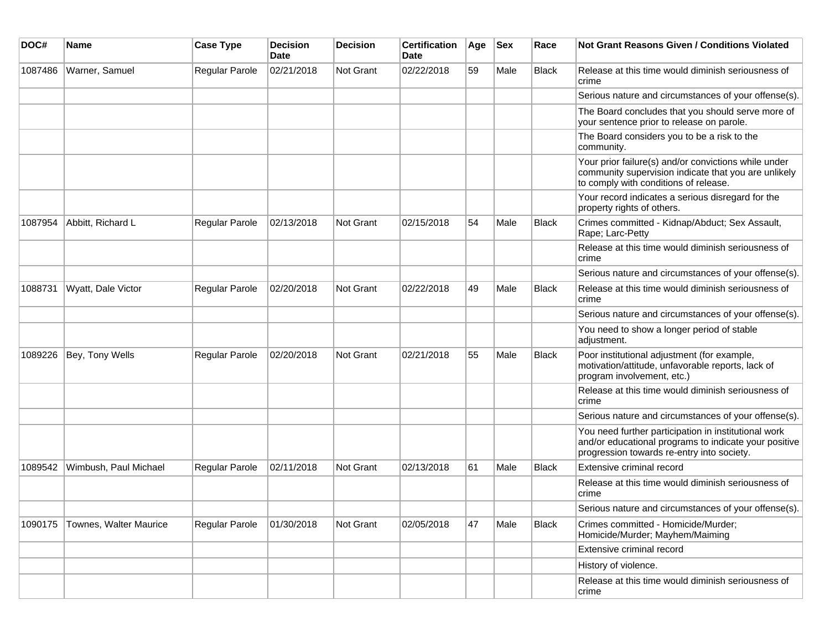| DOC#    | <b>Name</b>            | <b>Case Type</b>      | <b>Decision</b><br>Date | <b>Decision</b> | <b>Certification</b><br><b>Date</b> | Age | <b>Sex</b> | Race         | Not Grant Reasons Given / Conditions Violated                                                                                                               |
|---------|------------------------|-----------------------|-------------------------|-----------------|-------------------------------------|-----|------------|--------------|-------------------------------------------------------------------------------------------------------------------------------------------------------------|
| 1087486 | Warner, Samuel         | Regular Parole        | 02/21/2018              | Not Grant       | 02/22/2018                          | 59  | Male       | Black        | Release at this time would diminish seriousness of<br>crime                                                                                                 |
|         |                        |                       |                         |                 |                                     |     |            |              | Serious nature and circumstances of your offense(s).                                                                                                        |
|         |                        |                       |                         |                 |                                     |     |            |              | The Board concludes that you should serve more of<br>your sentence prior to release on parole.                                                              |
|         |                        |                       |                         |                 |                                     |     |            |              | The Board considers you to be a risk to the<br>community.                                                                                                   |
|         |                        |                       |                         |                 |                                     |     |            |              | Your prior failure(s) and/or convictions while under<br>community supervision indicate that you are unlikely<br>to comply with conditions of release.       |
|         |                        |                       |                         |                 |                                     |     |            |              | Your record indicates a serious disregard for the<br>property rights of others.                                                                             |
| 1087954 | Abbitt, Richard L      | Regular Parole        | 02/13/2018              | Not Grant       | 02/15/2018                          | 54  | Male       | <b>Black</b> | Crimes committed - Kidnap/Abduct; Sex Assault,<br>Rape; Larc-Petty                                                                                          |
|         |                        |                       |                         |                 |                                     |     |            |              | Release at this time would diminish seriousness of<br>crime                                                                                                 |
|         |                        |                       |                         |                 |                                     |     |            |              | Serious nature and circumstances of your offense(s).                                                                                                        |
| 1088731 | Wyatt, Dale Victor     | <b>Regular Parole</b> | 02/20/2018              | Not Grant       | 02/22/2018                          | 49  | Male       | Black        | Release at this time would diminish seriousness of<br>crime                                                                                                 |
|         |                        |                       |                         |                 |                                     |     |            |              | Serious nature and circumstances of your offense(s).                                                                                                        |
|         |                        |                       |                         |                 |                                     |     |            |              | You need to show a longer period of stable<br>adjustment.                                                                                                   |
| 1089226 | Bey, Tony Wells        | <b>Regular Parole</b> | 02/20/2018              | Not Grant       | 02/21/2018                          | 55  | Male       | <b>Black</b> | Poor institutional adjustment (for example,<br>motivation/attitude, unfavorable reports, lack of<br>program involvement, etc.)                              |
|         |                        |                       |                         |                 |                                     |     |            |              | Release at this time would diminish seriousness of<br>crime                                                                                                 |
|         |                        |                       |                         |                 |                                     |     |            |              | Serious nature and circumstances of your offense(s).                                                                                                        |
|         |                        |                       |                         |                 |                                     |     |            |              | You need further participation in institutional work<br>and/or educational programs to indicate your positive<br>progression towards re-entry into society. |
| 1089542 | Wimbush, Paul Michael  | <b>Regular Parole</b> | 02/11/2018              | Not Grant       | 02/13/2018                          | 61  | Male       | <b>Black</b> | Extensive criminal record                                                                                                                                   |
|         |                        |                       |                         |                 |                                     |     |            |              | Release at this time would diminish seriousness of<br>crime                                                                                                 |
|         |                        |                       |                         |                 |                                     |     |            |              | Serious nature and circumstances of your offense(s).                                                                                                        |
| 1090175 | Townes, Walter Maurice | Regular Parole        | 01/30/2018              | Not Grant       | 02/05/2018                          | 47  | Male       | Black        | Crimes committed - Homicide/Murder;<br>Homicide/Murder; Mayhem/Maiming                                                                                      |
|         |                        |                       |                         |                 |                                     |     |            |              | Extensive criminal record                                                                                                                                   |
|         |                        |                       |                         |                 |                                     |     |            |              | History of violence.                                                                                                                                        |
|         |                        |                       |                         |                 |                                     |     |            |              | Release at this time would diminish seriousness of<br>crime                                                                                                 |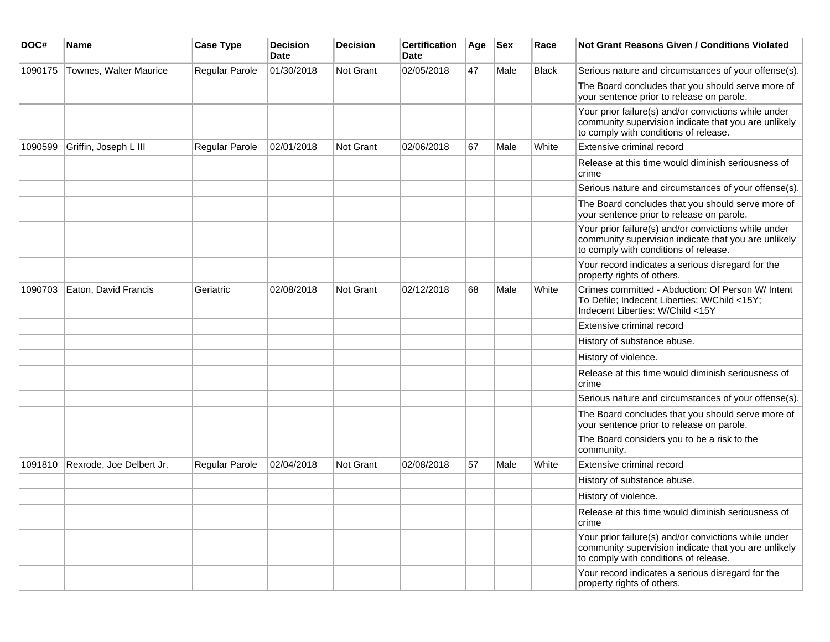| DOC#    | Name                     | <b>Case Type</b> | <b>Decision</b><br><b>Date</b> | <b>Decision</b> | <b>Certification</b><br>Date | Age | <b>Sex</b> | Race         | Not Grant Reasons Given / Conditions Violated                                                                                                         |
|---------|--------------------------|------------------|--------------------------------|-----------------|------------------------------|-----|------------|--------------|-------------------------------------------------------------------------------------------------------------------------------------------------------|
| 1090175 | Townes, Walter Maurice   | Regular Parole   | 01/30/2018                     | Not Grant       | 02/05/2018                   | 47  | Male       | <b>Black</b> | Serious nature and circumstances of your offense(s).                                                                                                  |
|         |                          |                  |                                |                 |                              |     |            |              | The Board concludes that you should serve more of<br>your sentence prior to release on parole.                                                        |
|         |                          |                  |                                |                 |                              |     |            |              | Your prior failure(s) and/or convictions while under<br>community supervision indicate that you are unlikely<br>to comply with conditions of release. |
| 1090599 | Griffin, Joseph L III    | Regular Parole   | 02/01/2018                     | Not Grant       | 02/06/2018                   | 67  | Male       | White        | Extensive criminal record                                                                                                                             |
|         |                          |                  |                                |                 |                              |     |            |              | Release at this time would diminish seriousness of<br>crime                                                                                           |
|         |                          |                  |                                |                 |                              |     |            |              | Serious nature and circumstances of your offense(s).                                                                                                  |
|         |                          |                  |                                |                 |                              |     |            |              | The Board concludes that you should serve more of<br>your sentence prior to release on parole.                                                        |
|         |                          |                  |                                |                 |                              |     |            |              | Your prior failure(s) and/or convictions while under<br>community supervision indicate that you are unlikely<br>to comply with conditions of release. |
|         |                          |                  |                                |                 |                              |     |            |              | Your record indicates a serious disregard for the<br>property rights of others.                                                                       |
| 1090703 | Eaton, David Francis     | Geriatric        | 02/08/2018                     | Not Grant       | 02/12/2018                   | 68  | Male       | White        | Crimes committed - Abduction: Of Person W/ Intent<br>To Defile; Indecent Liberties: W/Child <15Y;<br>Indecent Liberties: W/Child <15Y                 |
|         |                          |                  |                                |                 |                              |     |            |              | Extensive criminal record                                                                                                                             |
|         |                          |                  |                                |                 |                              |     |            |              | History of substance abuse.                                                                                                                           |
|         |                          |                  |                                |                 |                              |     |            |              | History of violence.                                                                                                                                  |
|         |                          |                  |                                |                 |                              |     |            |              | Release at this time would diminish seriousness of<br>crime                                                                                           |
|         |                          |                  |                                |                 |                              |     |            |              | Serious nature and circumstances of your offense(s).                                                                                                  |
|         |                          |                  |                                |                 |                              |     |            |              | The Board concludes that you should serve more of<br>your sentence prior to release on parole.                                                        |
|         |                          |                  |                                |                 |                              |     |            |              | The Board considers you to be a risk to the<br>community.                                                                                             |
| 1091810 | Rexrode, Joe Delbert Jr. | Regular Parole   | 02/04/2018                     | Not Grant       | 02/08/2018                   | 57  | Male       | White        | Extensive criminal record                                                                                                                             |
|         |                          |                  |                                |                 |                              |     |            |              | History of substance abuse.                                                                                                                           |
|         |                          |                  |                                |                 |                              |     |            |              | History of violence.                                                                                                                                  |
|         |                          |                  |                                |                 |                              |     |            |              | Release at this time would diminish seriousness of<br>crime                                                                                           |
|         |                          |                  |                                |                 |                              |     |            |              | Your prior failure(s) and/or convictions while under<br>community supervision indicate that you are unlikely<br>to comply with conditions of release. |
|         |                          |                  |                                |                 |                              |     |            |              | Your record indicates a serious disregard for the<br>property rights of others.                                                                       |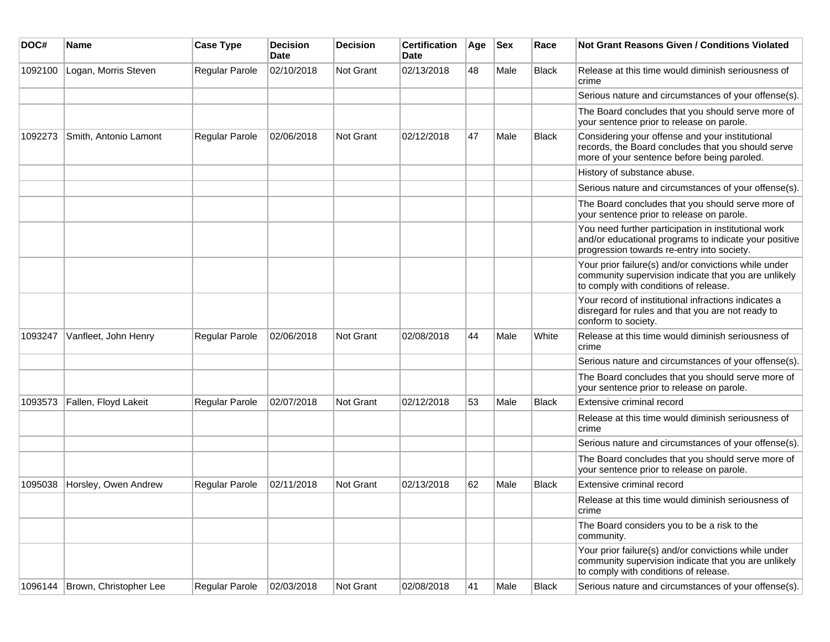| DOC#    | <b>Name</b>            | <b>Case Type</b>      | <b>Decision</b><br><b>Date</b> | <b>Decision</b> | <b>Certification</b><br>Date | Age | <b>Sex</b> | Race         | Not Grant Reasons Given / Conditions Violated                                                                                                               |
|---------|------------------------|-----------------------|--------------------------------|-----------------|------------------------------|-----|------------|--------------|-------------------------------------------------------------------------------------------------------------------------------------------------------------|
| 1092100 | Logan, Morris Steven   | Regular Parole        | 02/10/2018                     | Not Grant       | 02/13/2018                   | 48  | Male       | Black        | Release at this time would diminish seriousness of<br>crime                                                                                                 |
|         |                        |                       |                                |                 |                              |     |            |              | Serious nature and circumstances of your offense(s).                                                                                                        |
|         |                        |                       |                                |                 |                              |     |            |              | The Board concludes that you should serve more of<br>your sentence prior to release on parole.                                                              |
| 1092273 | Smith, Antonio Lamont  | Regular Parole        | 02/06/2018                     | Not Grant       | 02/12/2018                   | 47  | Male       | <b>Black</b> | Considering your offense and your institutional<br>records, the Board concludes that you should serve<br>more of your sentence before being paroled.        |
|         |                        |                       |                                |                 |                              |     |            |              | History of substance abuse.                                                                                                                                 |
|         |                        |                       |                                |                 |                              |     |            |              | Serious nature and circumstances of your offense(s).                                                                                                        |
|         |                        |                       |                                |                 |                              |     |            |              | The Board concludes that you should serve more of<br>your sentence prior to release on parole.                                                              |
|         |                        |                       |                                |                 |                              |     |            |              | You need further participation in institutional work<br>and/or educational programs to indicate your positive<br>progression towards re-entry into society. |
|         |                        |                       |                                |                 |                              |     |            |              | Your prior failure(s) and/or convictions while under<br>community supervision indicate that you are unlikely<br>to comply with conditions of release.       |
|         |                        |                       |                                |                 |                              |     |            |              | Your record of institutional infractions indicates a<br>disregard for rules and that you are not ready to<br>conform to society.                            |
| 1093247 | Vanfleet, John Henry   | Regular Parole        | 02/06/2018                     | Not Grant       | 02/08/2018                   | 44  | Male       | White        | Release at this time would diminish seriousness of<br>crime                                                                                                 |
|         |                        |                       |                                |                 |                              |     |            |              | Serious nature and circumstances of your offense(s).                                                                                                        |
|         |                        |                       |                                |                 |                              |     |            |              | The Board concludes that you should serve more of<br>your sentence prior to release on parole.                                                              |
| 1093573 | Fallen, Floyd Lakeit   | Regular Parole        | 02/07/2018                     | Not Grant       | 02/12/2018                   | 53  | Male       | Black        | Extensive criminal record                                                                                                                                   |
|         |                        |                       |                                |                 |                              |     |            |              | Release at this time would diminish seriousness of<br>crime                                                                                                 |
|         |                        |                       |                                |                 |                              |     |            |              | Serious nature and circumstances of your offense(s).                                                                                                        |
|         |                        |                       |                                |                 |                              |     |            |              | The Board concludes that you should serve more of<br>your sentence prior to release on parole.                                                              |
| 1095038 | Horsley, Owen Andrew   | Regular Parole        | 02/11/2018                     | Not Grant       | 02/13/2018                   | 62  | Male       | <b>Black</b> | Extensive criminal record                                                                                                                                   |
|         |                        |                       |                                |                 |                              |     |            |              | Release at this time would diminish seriousness of<br>crime                                                                                                 |
|         |                        |                       |                                |                 |                              |     |            |              | The Board considers you to be a risk to the<br>community.                                                                                                   |
|         |                        |                       |                                |                 |                              |     |            |              | Your prior failure(s) and/or convictions while under<br>community supervision indicate that you are unlikely<br>to comply with conditions of release.       |
| 1096144 | Brown, Christopher Lee | <b>Regular Parole</b> | 02/03/2018                     | Not Grant       | 02/08/2018                   | 41  | Male       | Black        | Serious nature and circumstances of your offense(s).                                                                                                        |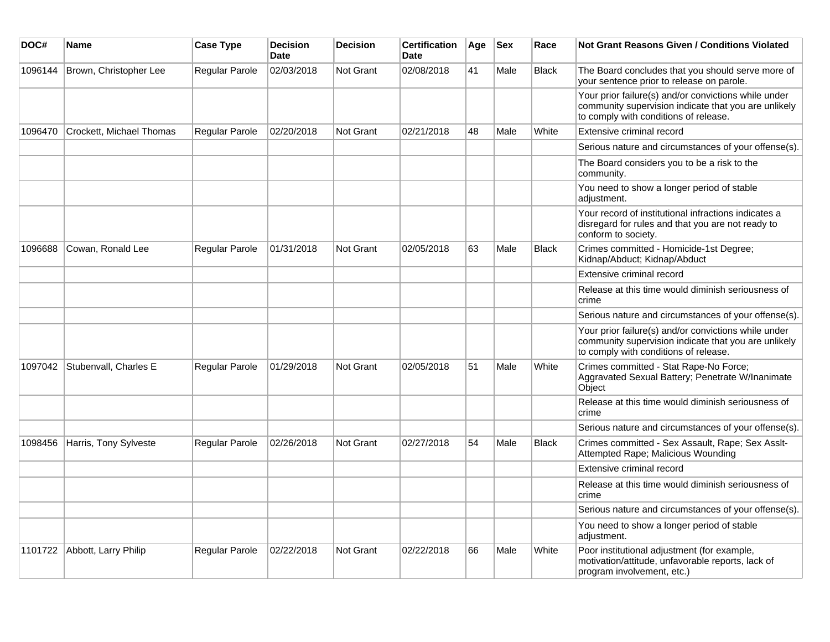| DOC#    | Name                         | <b>Case Type</b>      | <b>Decision</b><br><b>Date</b> | <b>Decision</b>  | <b>Certification</b><br><b>Date</b> | Age | $ $ Sex | Race         | <b>Not Grant Reasons Given / Conditions Violated</b>                                                                                                  |
|---------|------------------------------|-----------------------|--------------------------------|------------------|-------------------------------------|-----|---------|--------------|-------------------------------------------------------------------------------------------------------------------------------------------------------|
| 1096144 | Brown, Christopher Lee       | Regular Parole        | 02/03/2018                     | Not Grant        | 02/08/2018                          | 41  | Male    | <b>Black</b> | The Board concludes that you should serve more of<br>your sentence prior to release on parole.                                                        |
|         |                              |                       |                                |                  |                                     |     |         |              | Your prior failure(s) and/or convictions while under<br>community supervision indicate that you are unlikely<br>to comply with conditions of release. |
| 1096470 | Crockett, Michael Thomas     | Regular Parole        | 02/20/2018                     | Not Grant        | 02/21/2018                          | 48  | Male    | White        | Extensive criminal record                                                                                                                             |
|         |                              |                       |                                |                  |                                     |     |         |              | Serious nature and circumstances of your offense(s).                                                                                                  |
|         |                              |                       |                                |                  |                                     |     |         |              | The Board considers you to be a risk to the<br>community.                                                                                             |
|         |                              |                       |                                |                  |                                     |     |         |              | You need to show a longer period of stable<br>adjustment.                                                                                             |
|         |                              |                       |                                |                  |                                     |     |         |              | Your record of institutional infractions indicates a<br>disregard for rules and that you are not ready to<br>conform to society.                      |
| 1096688 | Cowan, Ronald Lee            | <b>Regular Parole</b> | 01/31/2018                     | Not Grant        | 02/05/2018                          | 63  | Male    | <b>Black</b> | Crimes committed - Homicide-1st Degree;<br>Kidnap/Abduct; Kidnap/Abduct                                                                               |
|         |                              |                       |                                |                  |                                     |     |         |              | Extensive criminal record                                                                                                                             |
|         |                              |                       |                                |                  |                                     |     |         |              | Release at this time would diminish seriousness of<br>crime                                                                                           |
|         |                              |                       |                                |                  |                                     |     |         |              | Serious nature and circumstances of your offense(s).                                                                                                  |
|         |                              |                       |                                |                  |                                     |     |         |              | Your prior failure(s) and/or convictions while under<br>community supervision indicate that you are unlikely<br>to comply with conditions of release. |
| 1097042 | Stubenvall, Charles E        | <b>Regular Parole</b> | 01/29/2018                     | Not Grant        | 02/05/2018                          | 51  | Male    | White        | Crimes committed - Stat Rape-No Force;<br>Aggravated Sexual Battery; Penetrate W/Inanimate<br>Object                                                  |
|         |                              |                       |                                |                  |                                     |     |         |              | Release at this time would diminish seriousness of<br>crime                                                                                           |
|         |                              |                       |                                |                  |                                     |     |         |              | Serious nature and circumstances of your offense(s).                                                                                                  |
| 1098456 | Harris, Tony Sylveste        | Regular Parole        | 02/26/2018                     | <b>Not Grant</b> | 02/27/2018                          | 54  | Male    | Black        | Crimes committed - Sex Assault, Rape; Sex Asslt-<br>Attempted Rape; Malicious Wounding                                                                |
|         |                              |                       |                                |                  |                                     |     |         |              | Extensive criminal record                                                                                                                             |
|         |                              |                       |                                |                  |                                     |     |         |              | Release at this time would diminish seriousness of<br>crime                                                                                           |
|         |                              |                       |                                |                  |                                     |     |         |              | Serious nature and circumstances of your offense(s).                                                                                                  |
|         |                              |                       |                                |                  |                                     |     |         |              | You need to show a longer period of stable<br>adjustment.                                                                                             |
|         | 1101722 Abbott, Larry Philip | <b>Regular Parole</b> | 02/22/2018                     | <b>Not Grant</b> | 02/22/2018                          | 66  | Male    | White        | Poor institutional adjustment (for example,<br>motivation/attitude, unfavorable reports, lack of<br>program involvement, etc.)                        |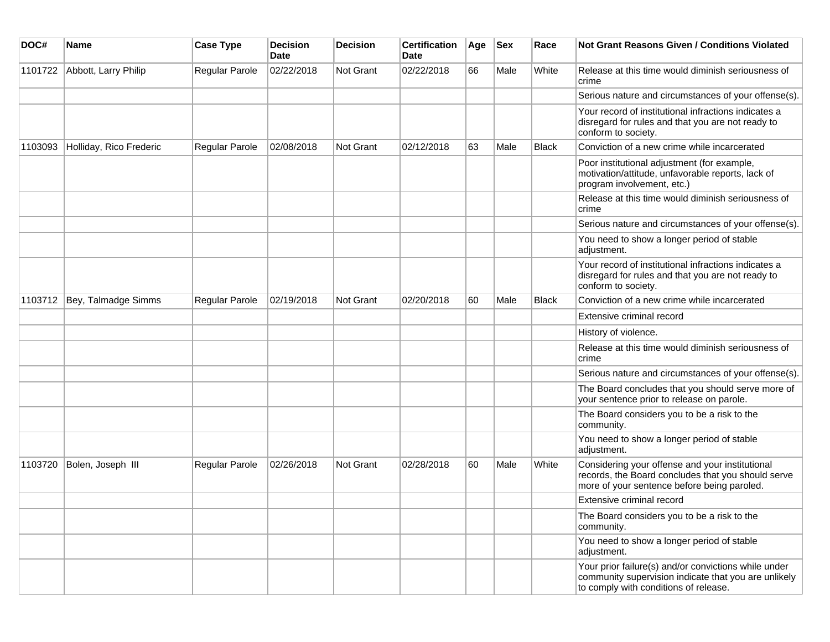| DOC#    | <b>Name</b>             | <b>Case Type</b>      | <b>Decision</b><br><b>Date</b> | <b>Decision</b>  | <b>Certification</b><br><b>Date</b> | Age | <b>Sex</b> | Race  | Not Grant Reasons Given / Conditions Violated                                                                                                         |
|---------|-------------------------|-----------------------|--------------------------------|------------------|-------------------------------------|-----|------------|-------|-------------------------------------------------------------------------------------------------------------------------------------------------------|
| 1101722 | Abbott, Larry Philip    | Regular Parole        | 02/22/2018                     | Not Grant        | 02/22/2018                          | 66  | Male       | White | Release at this time would diminish seriousness of<br>crime                                                                                           |
|         |                         |                       |                                |                  |                                     |     |            |       | Serious nature and circumstances of your offense(s).                                                                                                  |
|         |                         |                       |                                |                  |                                     |     |            |       | Your record of institutional infractions indicates a<br>disregard for rules and that you are not ready to<br>conform to society.                      |
| 1103093 | Holliday, Rico Frederic | <b>Regular Parole</b> | 02/08/2018                     | <b>Not Grant</b> | 02/12/2018                          | 63  | Male       | Black | Conviction of a new crime while incarcerated                                                                                                          |
|         |                         |                       |                                |                  |                                     |     |            |       | Poor institutional adjustment (for example,<br>motivation/attitude, unfavorable reports, lack of<br>program involvement, etc.)                        |
|         |                         |                       |                                |                  |                                     |     |            |       | Release at this time would diminish seriousness of<br>crime                                                                                           |
|         |                         |                       |                                |                  |                                     |     |            |       | Serious nature and circumstances of your offense(s).                                                                                                  |
|         |                         |                       |                                |                  |                                     |     |            |       | You need to show a longer period of stable<br>adjustment.                                                                                             |
|         |                         |                       |                                |                  |                                     |     |            |       | Your record of institutional infractions indicates a<br>disregard for rules and that you are not ready to<br>conform to society.                      |
| 1103712 | Bey, Talmadge Simms     | Regular Parole        | 02/19/2018                     | <b>Not Grant</b> | 02/20/2018                          | 60  | Male       | Black | Conviction of a new crime while incarcerated                                                                                                          |
|         |                         |                       |                                |                  |                                     |     |            |       | Extensive criminal record                                                                                                                             |
|         |                         |                       |                                |                  |                                     |     |            |       | History of violence.                                                                                                                                  |
|         |                         |                       |                                |                  |                                     |     |            |       | Release at this time would diminish seriousness of<br>crime                                                                                           |
|         |                         |                       |                                |                  |                                     |     |            |       | Serious nature and circumstances of your offense(s).                                                                                                  |
|         |                         |                       |                                |                  |                                     |     |            |       | The Board concludes that you should serve more of<br>your sentence prior to release on parole.                                                        |
|         |                         |                       |                                |                  |                                     |     |            |       | The Board considers you to be a risk to the<br>community.                                                                                             |
|         |                         |                       |                                |                  |                                     |     |            |       | You need to show a longer period of stable<br>adjustment.                                                                                             |
| 1103720 | Bolen, Joseph III       | Regular Parole        | 02/26/2018                     | <b>Not Grant</b> | 02/28/2018                          | 60  | Male       | White | Considering your offense and your institutional<br>records, the Board concludes that you should serve<br>more of your sentence before being paroled.  |
|         |                         |                       |                                |                  |                                     |     |            |       | Extensive criminal record                                                                                                                             |
|         |                         |                       |                                |                  |                                     |     |            |       | The Board considers you to be a risk to the<br>community.                                                                                             |
|         |                         |                       |                                |                  |                                     |     |            |       | You need to show a longer period of stable<br>adjustment.                                                                                             |
|         |                         |                       |                                |                  |                                     |     |            |       | Your prior failure(s) and/or convictions while under<br>community supervision indicate that you are unlikely<br>to comply with conditions of release. |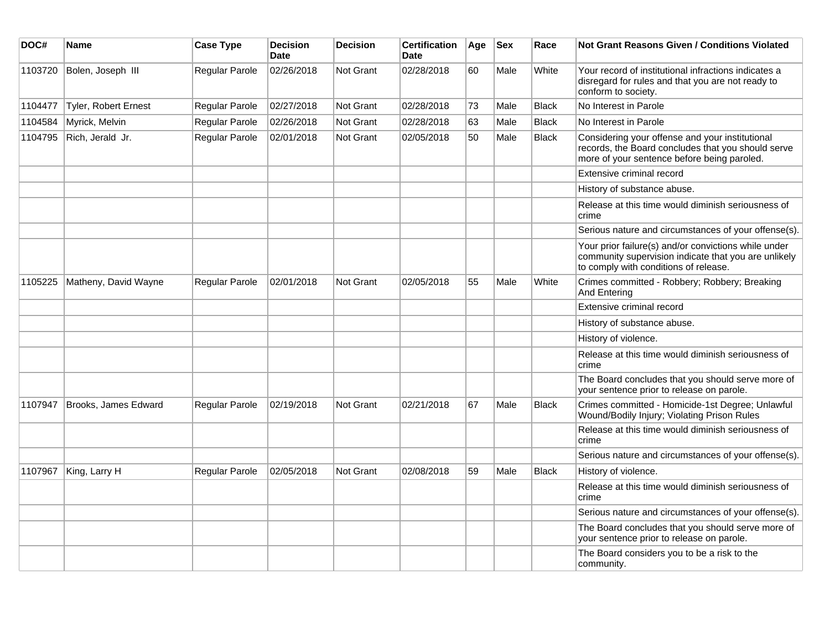| DOC#    | Name                 | <b>Case Type</b>      | <b>Decision</b><br><b>Date</b> | <b>Decision</b>  | <b>Certification</b><br><b>Date</b> | Age | <b>Sex</b> | Race         | <b>Not Grant Reasons Given / Conditions Violated</b>                                                                                                  |
|---------|----------------------|-----------------------|--------------------------------|------------------|-------------------------------------|-----|------------|--------------|-------------------------------------------------------------------------------------------------------------------------------------------------------|
| 1103720 | Bolen, Joseph III    | Regular Parole        | 02/26/2018                     | <b>Not Grant</b> | 02/28/2018                          | 60  | Male       | White        | Your record of institutional infractions indicates a<br>disregard for rules and that you are not ready to<br>conform to society.                      |
| 1104477 | Tyler, Robert Ernest | Regular Parole        | 02/27/2018                     | <b>Not Grant</b> | 02/28/2018                          | 73  | Male       | <b>Black</b> | No Interest in Parole                                                                                                                                 |
| 1104584 | Myrick, Melvin       | Regular Parole        | 02/26/2018                     | <b>Not Grant</b> | 02/28/2018                          | 63  | Male       | <b>Black</b> | No Interest in Parole                                                                                                                                 |
| 1104795 | Rich, Jerald Jr.     | Regular Parole        | 02/01/2018                     | <b>Not Grant</b> | 02/05/2018                          | 50  | Male       | <b>Black</b> | Considering your offense and your institutional<br>records, the Board concludes that you should serve<br>more of your sentence before being paroled.  |
|         |                      |                       |                                |                  |                                     |     |            |              | Extensive criminal record                                                                                                                             |
|         |                      |                       |                                |                  |                                     |     |            |              | History of substance abuse.                                                                                                                           |
|         |                      |                       |                                |                  |                                     |     |            |              | Release at this time would diminish seriousness of<br>crime                                                                                           |
|         |                      |                       |                                |                  |                                     |     |            |              | Serious nature and circumstances of your offense(s).                                                                                                  |
|         |                      |                       |                                |                  |                                     |     |            |              | Your prior failure(s) and/or convictions while under<br>community supervision indicate that you are unlikely<br>to comply with conditions of release. |
| 1105225 | Matheny, David Wayne | Regular Parole        | 02/01/2018                     | <b>Not Grant</b> | 02/05/2018                          | 55  | Male       | White        | Crimes committed - Robbery; Robbery; Breaking<br>And Entering                                                                                         |
|         |                      |                       |                                |                  |                                     |     |            |              | Extensive criminal record                                                                                                                             |
|         |                      |                       |                                |                  |                                     |     |            |              | History of substance abuse.                                                                                                                           |
|         |                      |                       |                                |                  |                                     |     |            |              | History of violence.                                                                                                                                  |
|         |                      |                       |                                |                  |                                     |     |            |              | Release at this time would diminish seriousness of<br>crime                                                                                           |
|         |                      |                       |                                |                  |                                     |     |            |              | The Board concludes that you should serve more of<br>your sentence prior to release on parole.                                                        |
| 1107947 | Brooks, James Edward | Regular Parole        | 02/19/2018                     | <b>Not Grant</b> | 02/21/2018                          | 67  | Male       | Black        | Crimes committed - Homicide-1st Degree; Unlawful<br>Wound/Bodily Injury; Violating Prison Rules                                                       |
|         |                      |                       |                                |                  |                                     |     |            |              | Release at this time would diminish seriousness of<br>crime                                                                                           |
|         |                      |                       |                                |                  |                                     |     |            |              | Serious nature and circumstances of your offense(s).                                                                                                  |
| 1107967 | King, Larry H        | <b>Regular Parole</b> | 02/05/2018                     | Not Grant        | 02/08/2018                          | 59  | Male       | <b>Black</b> | History of violence.                                                                                                                                  |
|         |                      |                       |                                |                  |                                     |     |            |              | Release at this time would diminish seriousness of<br>crime                                                                                           |
|         |                      |                       |                                |                  |                                     |     |            |              | Serious nature and circumstances of your offense(s).                                                                                                  |
|         |                      |                       |                                |                  |                                     |     |            |              | The Board concludes that you should serve more of<br>your sentence prior to release on parole.                                                        |
|         |                      |                       |                                |                  |                                     |     |            |              | The Board considers you to be a risk to the<br>community.                                                                                             |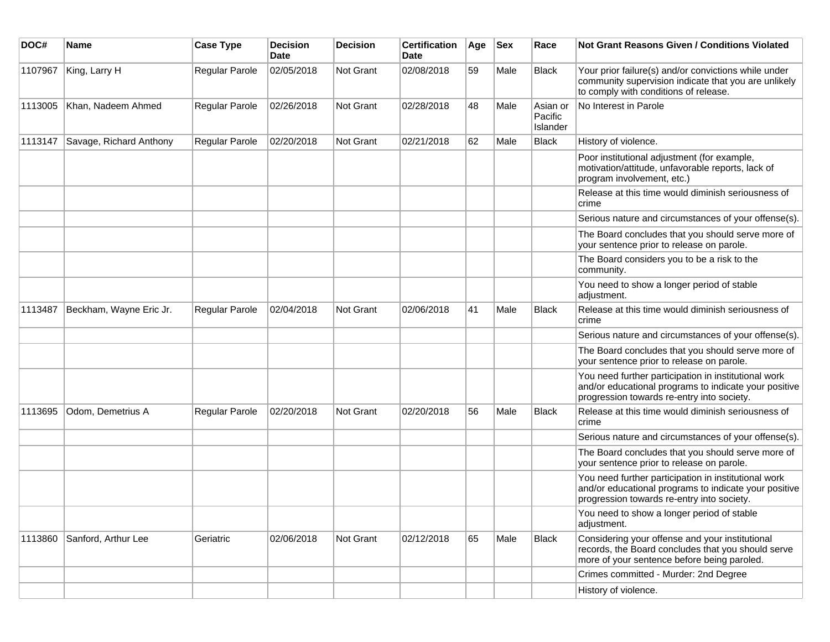| DOC#    | <b>Name</b>             | <b>Case Type</b> | <b>Decision</b><br><b>Date</b> | <b>Decision</b> | <b>Certification</b><br>Date | Age | <b>Sex</b> | Race                            | <b>Not Grant Reasons Given / Conditions Violated</b>                                                                                                        |
|---------|-------------------------|------------------|--------------------------------|-----------------|------------------------------|-----|------------|---------------------------------|-------------------------------------------------------------------------------------------------------------------------------------------------------------|
| 1107967 | King, Larry H           | Regular Parole   | 02/05/2018                     | Not Grant       | 02/08/2018                   | 59  | Male       | <b>Black</b>                    | Your prior failure(s) and/or convictions while under<br>community supervision indicate that you are unlikely<br>to comply with conditions of release.       |
| 1113005 | Khan, Nadeem Ahmed      | Regular Parole   | 02/26/2018                     | Not Grant       | 02/28/2018                   | 48  | Male       | Asian or<br>Pacific<br>Islander | No Interest in Parole                                                                                                                                       |
| 1113147 | Savage, Richard Anthony | Regular Parole   | 02/20/2018                     | Not Grant       | 02/21/2018                   | 62  | Male       | <b>Black</b>                    | History of violence.                                                                                                                                        |
|         |                         |                  |                                |                 |                              |     |            |                                 | Poor institutional adjustment (for example,<br>motivation/attitude, unfavorable reports, lack of<br>program involvement, etc.)                              |
|         |                         |                  |                                |                 |                              |     |            |                                 | Release at this time would diminish seriousness of<br>crime                                                                                                 |
|         |                         |                  |                                |                 |                              |     |            |                                 | Serious nature and circumstances of your offense(s).                                                                                                        |
|         |                         |                  |                                |                 |                              |     |            |                                 | The Board concludes that you should serve more of<br>your sentence prior to release on parole.                                                              |
|         |                         |                  |                                |                 |                              |     |            |                                 | The Board considers you to be a risk to the<br>community.                                                                                                   |
|         |                         |                  |                                |                 |                              |     |            |                                 | You need to show a longer period of stable<br>adjustment.                                                                                                   |
| 1113487 | Beckham, Wayne Eric Jr. | Regular Parole   | 02/04/2018                     | Not Grant       | 02/06/2018                   | 41  | Male       | Black                           | Release at this time would diminish seriousness of<br>crime                                                                                                 |
|         |                         |                  |                                |                 |                              |     |            |                                 | Serious nature and circumstances of your offense(s).                                                                                                        |
|         |                         |                  |                                |                 |                              |     |            |                                 | The Board concludes that you should serve more of<br>your sentence prior to release on parole.                                                              |
|         |                         |                  |                                |                 |                              |     |            |                                 | You need further participation in institutional work<br>and/or educational programs to indicate your positive<br>progression towards re-entry into society. |
| 1113695 | Odom, Demetrius A       | Regular Parole   | 02/20/2018                     | Not Grant       | 02/20/2018                   | 56  | Male       | Black                           | Release at this time would diminish seriousness of<br>crime                                                                                                 |
|         |                         |                  |                                |                 |                              |     |            |                                 | Serious nature and circumstances of your offense(s).                                                                                                        |
|         |                         |                  |                                |                 |                              |     |            |                                 | The Board concludes that you should serve more of<br>your sentence prior to release on parole.                                                              |
|         |                         |                  |                                |                 |                              |     |            |                                 | You need further participation in institutional work<br>and/or educational programs to indicate your positive<br>progression towards re-entry into society. |
|         |                         |                  |                                |                 |                              |     |            |                                 | You need to show a longer period of stable<br>adjustment.                                                                                                   |
| 1113860 | Sanford, Arthur Lee     | Geriatric        | 02/06/2018                     | Not Grant       | 02/12/2018                   | 65  | Male       | <b>Black</b>                    | Considering your offense and your institutional<br>records, the Board concludes that you should serve<br>more of your sentence before being paroled.        |
|         |                         |                  |                                |                 |                              |     |            |                                 | Crimes committed - Murder: 2nd Degree                                                                                                                       |
|         |                         |                  |                                |                 |                              |     |            |                                 | History of violence.                                                                                                                                        |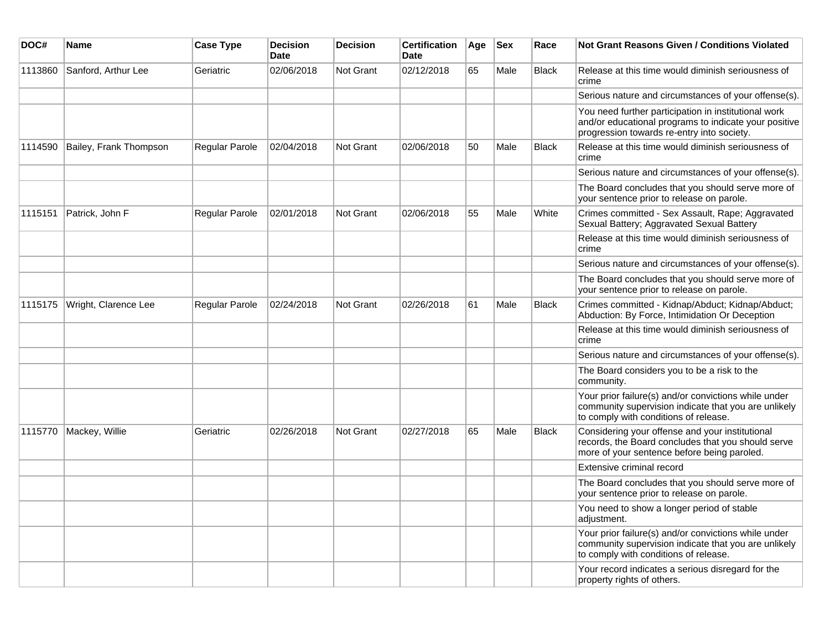| DOC#    | Name                   | <b>Case Type</b> | <b>Decision</b><br><b>Date</b> | <b>Decision</b> | <b>Certification</b><br><b>Date</b> | Age | <b>Sex</b> | Race         | <b>Not Grant Reasons Given / Conditions Violated</b>                                                                                                        |
|---------|------------------------|------------------|--------------------------------|-----------------|-------------------------------------|-----|------------|--------------|-------------------------------------------------------------------------------------------------------------------------------------------------------------|
| 1113860 | Sanford, Arthur Lee    | Geriatric        | 02/06/2018                     | Not Grant       | 02/12/2018                          | 65  | Male       | <b>Black</b> | Release at this time would diminish seriousness of<br>crime                                                                                                 |
|         |                        |                  |                                |                 |                                     |     |            |              | Serious nature and circumstances of your offense(s).                                                                                                        |
|         |                        |                  |                                |                 |                                     |     |            |              | You need further participation in institutional work<br>and/or educational programs to indicate your positive<br>progression towards re-entry into society. |
| 1114590 | Bailey, Frank Thompson | Regular Parole   | 02/04/2018                     | Not Grant       | 02/06/2018                          | 50  | Male       | Black        | Release at this time would diminish seriousness of<br>crime                                                                                                 |
|         |                        |                  |                                |                 |                                     |     |            |              | Serious nature and circumstances of your offense(s).                                                                                                        |
|         |                        |                  |                                |                 |                                     |     |            |              | The Board concludes that you should serve more of<br>your sentence prior to release on parole.                                                              |
| 1115151 | Patrick, John F        | Regular Parole   | 02/01/2018                     | Not Grant       | 02/06/2018                          | 55  | Male       | White        | Crimes committed - Sex Assault, Rape; Aggravated<br>Sexual Battery; Aggravated Sexual Battery                                                               |
|         |                        |                  |                                |                 |                                     |     |            |              | Release at this time would diminish seriousness of<br>crime                                                                                                 |
|         |                        |                  |                                |                 |                                     |     |            |              | Serious nature and circumstances of your offense(s).                                                                                                        |
|         |                        |                  |                                |                 |                                     |     |            |              | The Board concludes that you should serve more of<br>your sentence prior to release on parole.                                                              |
| 1115175 | Wright, Clarence Lee   | Regular Parole   | 02/24/2018                     | Not Grant       | 02/26/2018                          | 61  | Male       | <b>Black</b> | Crimes committed - Kidnap/Abduct; Kidnap/Abduct;<br>Abduction: By Force, Intimidation Or Deception                                                          |
|         |                        |                  |                                |                 |                                     |     |            |              | Release at this time would diminish seriousness of<br>crime                                                                                                 |
|         |                        |                  |                                |                 |                                     |     |            |              | Serious nature and circumstances of your offense(s).                                                                                                        |
|         |                        |                  |                                |                 |                                     |     |            |              | The Board considers you to be a risk to the<br>community.                                                                                                   |
|         |                        |                  |                                |                 |                                     |     |            |              | Your prior failure(s) and/or convictions while under<br>community supervision indicate that you are unlikely<br>to comply with conditions of release.       |
| 1115770 | Mackey, Willie         | Geriatric        | 02/26/2018                     | Not Grant       | 02/27/2018                          | 65  | Male       | <b>Black</b> | Considering your offense and your institutional<br>records, the Board concludes that you should serve<br>more of your sentence before being paroled.        |
|         |                        |                  |                                |                 |                                     |     |            |              | Extensive criminal record                                                                                                                                   |
|         |                        |                  |                                |                 |                                     |     |            |              | The Board concludes that you should serve more of<br>your sentence prior to release on parole.                                                              |
|         |                        |                  |                                |                 |                                     |     |            |              | You need to show a longer period of stable<br>adjustment.                                                                                                   |
|         |                        |                  |                                |                 |                                     |     |            |              | Your prior failure(s) and/or convictions while under<br>community supervision indicate that you are unlikely<br>to comply with conditions of release.       |
|         |                        |                  |                                |                 |                                     |     |            |              | Your record indicates a serious disregard for the<br>property rights of others.                                                                             |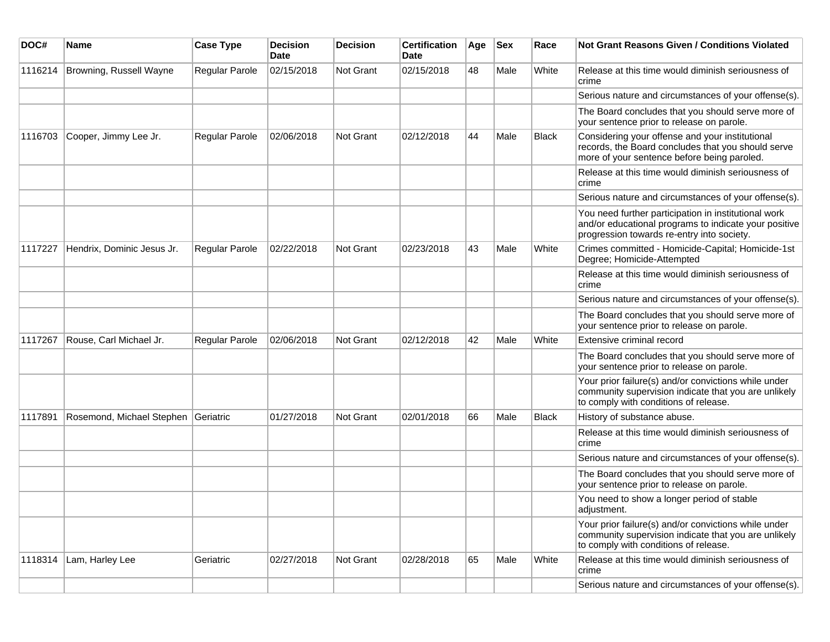| DOC#    | <b>Name</b>                | <b>Case Type</b> | <b>Decision</b><br><b>Date</b> | <b>Decision</b>  | <b>Certification</b><br>Date | Age | <b>Sex</b> | Race         | Not Grant Reasons Given / Conditions Violated                                                                                                               |
|---------|----------------------------|------------------|--------------------------------|------------------|------------------------------|-----|------------|--------------|-------------------------------------------------------------------------------------------------------------------------------------------------------------|
| 1116214 | Browning, Russell Wayne    | Regular Parole   | 02/15/2018                     | Not Grant        | 02/15/2018                   | 48  | Male       | White        | Release at this time would diminish seriousness of<br>crime                                                                                                 |
|         |                            |                  |                                |                  |                              |     |            |              | Serious nature and circumstances of your offense(s).                                                                                                        |
|         |                            |                  |                                |                  |                              |     |            |              | The Board concludes that you should serve more of<br>your sentence prior to release on parole.                                                              |
| 1116703 | Cooper, Jimmy Lee Jr.      | Regular Parole   | 02/06/2018                     | Not Grant        | 02/12/2018                   | 44  | Male       | <b>Black</b> | Considering your offense and your institutional<br>records, the Board concludes that you should serve<br>more of your sentence before being paroled.        |
|         |                            |                  |                                |                  |                              |     |            |              | Release at this time would diminish seriousness of<br>crime                                                                                                 |
|         |                            |                  |                                |                  |                              |     |            |              | Serious nature and circumstances of your offense(s).                                                                                                        |
|         |                            |                  |                                |                  |                              |     |            |              | You need further participation in institutional work<br>and/or educational programs to indicate your positive<br>progression towards re-entry into society. |
| 1117227 | Hendrix, Dominic Jesus Jr. | Regular Parole   | 02/22/2018                     | Not Grant        | 02/23/2018                   | 43  | Male       | White        | Crimes committed - Homicide-Capital; Homicide-1st<br>Degree; Homicide-Attempted                                                                             |
|         |                            |                  |                                |                  |                              |     |            |              | Release at this time would diminish seriousness of<br>crime                                                                                                 |
|         |                            |                  |                                |                  |                              |     |            |              | Serious nature and circumstances of your offense(s).                                                                                                        |
|         |                            |                  |                                |                  |                              |     |            |              | The Board concludes that you should serve more of<br>your sentence prior to release on parole.                                                              |
| 1117267 | Rouse, Carl Michael Jr.    | Regular Parole   | 02/06/2018                     | Not Grant        | 02/12/2018                   | 42  | Male       | White        | Extensive criminal record                                                                                                                                   |
|         |                            |                  |                                |                  |                              |     |            |              | The Board concludes that you should serve more of<br>your sentence prior to release on parole.                                                              |
|         |                            |                  |                                |                  |                              |     |            |              | Your prior failure(s) and/or convictions while under<br>community supervision indicate that you are unlikely<br>to comply with conditions of release.       |
| 1117891 | Rosemond, Michael Stephen  | Geriatric        | 01/27/2018                     | <b>Not Grant</b> | 02/01/2018                   | 66  | Male       | <b>Black</b> | History of substance abuse.                                                                                                                                 |
|         |                            |                  |                                |                  |                              |     |            |              | Release at this time would diminish seriousness of<br>crime                                                                                                 |
|         |                            |                  |                                |                  |                              |     |            |              | Serious nature and circumstances of your offense(s).                                                                                                        |
|         |                            |                  |                                |                  |                              |     |            |              | The Board concludes that you should serve more of<br>your sentence prior to release on parole.                                                              |
|         |                            |                  |                                |                  |                              |     |            |              | You need to show a longer period of stable<br>adjustment.                                                                                                   |
|         |                            |                  |                                |                  |                              |     |            |              | Your prior failure(s) and/or convictions while under<br>community supervision indicate that you are unlikely<br>to comply with conditions of release.       |
| 1118314 | Lam, Harley Lee            | Geriatric        | 02/27/2018                     | Not Grant        | 02/28/2018                   | 65  | Male       | White        | Release at this time would diminish seriousness of<br>crime                                                                                                 |
|         |                            |                  |                                |                  |                              |     |            |              | Serious nature and circumstances of your offense(s).                                                                                                        |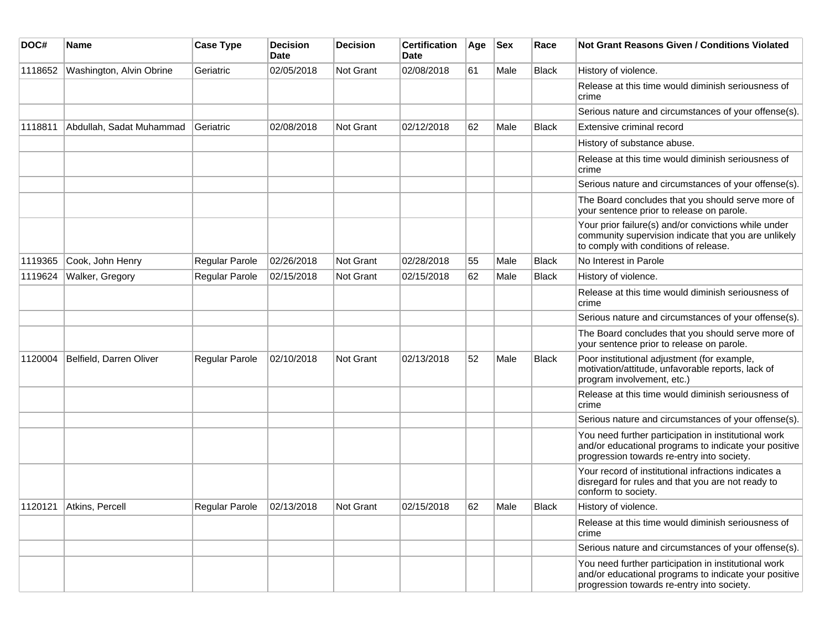| DOC#    | <b>Name</b>              | <b>Case Type</b>            | <b>Decision</b><br>Date | <b>Decision</b> | <b>Certification</b><br><b>Date</b> | Age | <b>Sex</b> | Race         | Not Grant Reasons Given / Conditions Violated                                                                                                               |
|---------|--------------------------|-----------------------------|-------------------------|-----------------|-------------------------------------|-----|------------|--------------|-------------------------------------------------------------------------------------------------------------------------------------------------------------|
| 1118652 | Washington, Alvin Obrine | Geriatric                   | 02/05/2018              | Not Grant       | 02/08/2018                          | 61  | Male       | <b>Black</b> | History of violence.                                                                                                                                        |
|         |                          |                             |                         |                 |                                     |     |            |              | Release at this time would diminish seriousness of<br>crime                                                                                                 |
|         |                          |                             |                         |                 |                                     |     |            |              | Serious nature and circumstances of your offense(s).                                                                                                        |
| 1118811 | Abdullah, Sadat Muhammad | Geriatric                   | 02/08/2018              | Not Grant       | 02/12/2018                          | 62  | Male       | <b>Black</b> | Extensive criminal record                                                                                                                                   |
|         |                          |                             |                         |                 |                                     |     |            |              | History of substance abuse.                                                                                                                                 |
|         |                          |                             |                         |                 |                                     |     |            |              | Release at this time would diminish seriousness of<br>crime                                                                                                 |
|         |                          |                             |                         |                 |                                     |     |            |              | Serious nature and circumstances of your offense(s).                                                                                                        |
|         |                          |                             |                         |                 |                                     |     |            |              | The Board concludes that you should serve more of<br>your sentence prior to release on parole.                                                              |
|         |                          |                             |                         |                 |                                     |     |            |              | Your prior failure(s) and/or convictions while under<br>community supervision indicate that you are unlikely<br>to comply with conditions of release.       |
| 1119365 | Cook, John Henry         | Regular Parole              | 02/26/2018              | Not Grant       | 02/28/2018                          | 55  | Male       | <b>Black</b> | No Interest in Parole                                                                                                                                       |
| 1119624 | Walker, Gregory          | Regular Parole              | 02/15/2018              | Not Grant       | 02/15/2018                          | 62  | Male       | <b>Black</b> | History of violence.                                                                                                                                        |
|         |                          |                             |                         |                 |                                     |     |            |              | Release at this time would diminish seriousness of<br>crime                                                                                                 |
|         |                          |                             |                         |                 |                                     |     |            |              | Serious nature and circumstances of your offense(s).                                                                                                        |
|         |                          |                             |                         |                 |                                     |     |            |              | The Board concludes that you should serve more of<br>your sentence prior to release on parole.                                                              |
| 1120004 | Belfield, Darren Oliver  | Regular Parole              | 02/10/2018              | Not Grant       | 02/13/2018                          | 52  | Male       | <b>Black</b> | Poor institutional adjustment (for example,<br>motivation/attitude, unfavorable reports, lack of<br>program involvement, etc.)                              |
|         |                          |                             |                         |                 |                                     |     |            |              | Release at this time would diminish seriousness of<br>crime                                                                                                 |
|         |                          |                             |                         |                 |                                     |     |            |              | Serious nature and circumstances of your offense(s).                                                                                                        |
|         |                          |                             |                         |                 |                                     |     |            |              | You need further participation in institutional work<br>and/or educational programs to indicate your positive<br>progression towards re-entry into society. |
|         |                          |                             |                         |                 |                                     |     |            |              | Your record of institutional infractions indicates a<br>disregard for rules and that you are not ready to<br>conform to society.                            |
|         | 1120121 Atkins, Percell  | Regular Parole   02/13/2018 |                         | Not Grant       | 02/15/2018                          | 62  | Male       | <b>Black</b> | History of violence.                                                                                                                                        |
|         |                          |                             |                         |                 |                                     |     |            |              | Release at this time would diminish seriousness of<br>crime                                                                                                 |
|         |                          |                             |                         |                 |                                     |     |            |              | Serious nature and circumstances of your offense(s).                                                                                                        |
|         |                          |                             |                         |                 |                                     |     |            |              | You need further participation in institutional work<br>and/or educational programs to indicate your positive<br>progression towards re-entry into society. |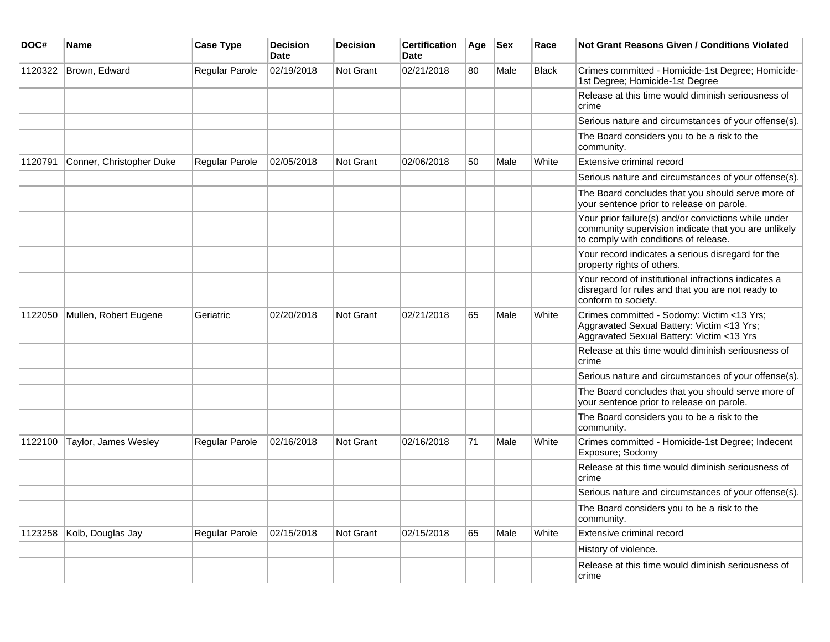| DOC#    | Name                     | <b>Case Type</b> | <b>Decision</b><br><b>Date</b> | <b>Decision</b>  | <b>Certification</b><br>Date | Age | <b>Sex</b> | Race         | <b>Not Grant Reasons Given / Conditions Violated</b>                                                                                                  |
|---------|--------------------------|------------------|--------------------------------|------------------|------------------------------|-----|------------|--------------|-------------------------------------------------------------------------------------------------------------------------------------------------------|
| 1120322 | Brown, Edward            | Regular Parole   | 02/19/2018                     | Not Grant        | 02/21/2018                   | 80  | Male       | <b>Black</b> | Crimes committed - Homicide-1st Degree; Homicide-<br>1st Degree; Homicide-1st Degree                                                                  |
|         |                          |                  |                                |                  |                              |     |            |              | Release at this time would diminish seriousness of<br>crime                                                                                           |
|         |                          |                  |                                |                  |                              |     |            |              | Serious nature and circumstances of your offense(s).                                                                                                  |
|         |                          |                  |                                |                  |                              |     |            |              | The Board considers you to be a risk to the<br>community.                                                                                             |
| 1120791 | Conner, Christopher Duke | Regular Parole   | 02/05/2018                     | <b>Not Grant</b> | 02/06/2018                   | 50  | Male       | White        | Extensive criminal record                                                                                                                             |
|         |                          |                  |                                |                  |                              |     |            |              | Serious nature and circumstances of your offense(s).                                                                                                  |
|         |                          |                  |                                |                  |                              |     |            |              | The Board concludes that you should serve more of<br>your sentence prior to release on parole.                                                        |
|         |                          |                  |                                |                  |                              |     |            |              | Your prior failure(s) and/or convictions while under<br>community supervision indicate that you are unlikely<br>to comply with conditions of release. |
|         |                          |                  |                                |                  |                              |     |            |              | Your record indicates a serious disregard for the<br>property rights of others.                                                                       |
|         |                          |                  |                                |                  |                              |     |            |              | Your record of institutional infractions indicates a<br>disregard for rules and that you are not ready to<br>conform to society.                      |
| 1122050 | Mullen, Robert Eugene    | Geriatric        | 02/20/2018                     | <b>Not Grant</b> | 02/21/2018                   | 65  | Male       | White        | Crimes committed - Sodomy: Victim <13 Yrs;<br>Aggravated Sexual Battery: Victim <13 Yrs;<br>Aggravated Sexual Battery: Victim <13 Yrs                 |
|         |                          |                  |                                |                  |                              |     |            |              | Release at this time would diminish seriousness of<br>crime                                                                                           |
|         |                          |                  |                                |                  |                              |     |            |              | Serious nature and circumstances of your offense(s).                                                                                                  |
|         |                          |                  |                                |                  |                              |     |            |              | The Board concludes that you should serve more of<br>your sentence prior to release on parole.                                                        |
|         |                          |                  |                                |                  |                              |     |            |              | The Board considers you to be a risk to the<br>community.                                                                                             |
| 1122100 | Taylor, James Wesley     | Regular Parole   | 02/16/2018                     | Not Grant        | 02/16/2018                   | 71  | Male       | White        | Crimes committed - Homicide-1st Degree; Indecent<br>Exposure; Sodomy                                                                                  |
|         |                          |                  |                                |                  |                              |     |            |              | Release at this time would diminish seriousness of<br>crime                                                                                           |
|         |                          |                  |                                |                  |                              |     |            |              | Serious nature and circumstances of your offense(s).                                                                                                  |
|         |                          |                  |                                |                  |                              |     |            |              | The Board considers you to be a risk to the<br>community.                                                                                             |
| 1123258 | Kolb, Douglas Jay        | Regular Parole   | 02/15/2018                     | <b>Not Grant</b> | 02/15/2018                   | 65  | Male       | White        | Extensive criminal record                                                                                                                             |
|         |                          |                  |                                |                  |                              |     |            |              | History of violence.                                                                                                                                  |
|         |                          |                  |                                |                  |                              |     |            |              | Release at this time would diminish seriousness of<br>crime                                                                                           |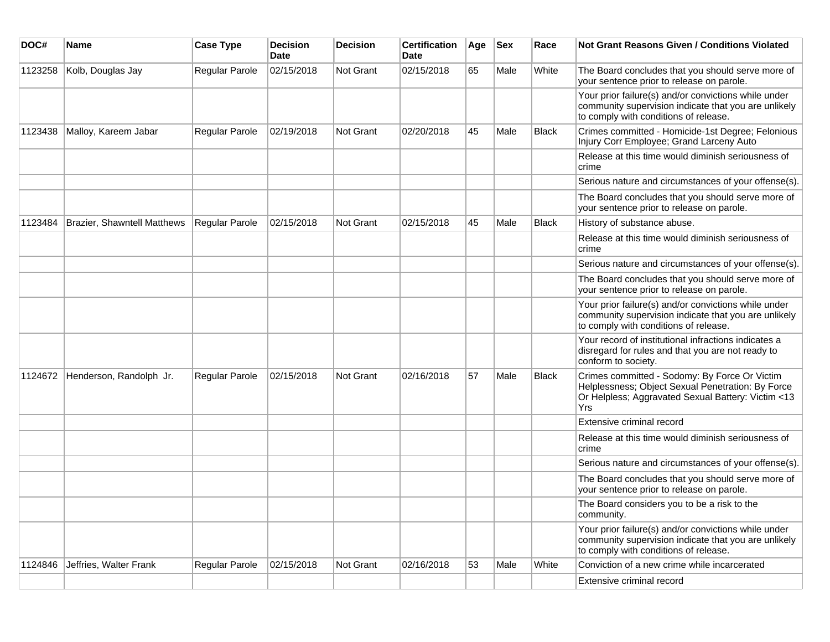| DOC#    | <b>Name</b>                 | <b>Case Type</b> | <b>Decision</b><br><b>Date</b> | <b>Decision</b>  | <b>Certification</b><br>Date | Age | <b>Sex</b> | Race         | Not Grant Reasons Given / Conditions Violated                                                                                                                   |
|---------|-----------------------------|------------------|--------------------------------|------------------|------------------------------|-----|------------|--------------|-----------------------------------------------------------------------------------------------------------------------------------------------------------------|
| 1123258 | Kolb, Douglas Jay           | Regular Parole   | 02/15/2018                     | Not Grant        | 02/15/2018                   | 65  | Male       | White        | The Board concludes that you should serve more of<br>your sentence prior to release on parole.                                                                  |
|         |                             |                  |                                |                  |                              |     |            |              | Your prior failure(s) and/or convictions while under<br>community supervision indicate that you are unlikely<br>to comply with conditions of release.           |
| 1123438 | Malloy, Kareem Jabar        | Regular Parole   | 02/19/2018                     | Not Grant        | 02/20/2018                   | 45  | Male       | <b>Black</b> | Crimes committed - Homicide-1st Degree; Felonious<br>Injury Corr Employee; Grand Larceny Auto                                                                   |
|         |                             |                  |                                |                  |                              |     |            |              | Release at this time would diminish seriousness of<br>crime                                                                                                     |
|         |                             |                  |                                |                  |                              |     |            |              | Serious nature and circumstances of your offense(s).                                                                                                            |
|         |                             |                  |                                |                  |                              |     |            |              | The Board concludes that you should serve more of<br>your sentence prior to release on parole.                                                                  |
| 1123484 | Brazier, Shawntell Matthews | Regular Parole   | 02/15/2018                     | <b>Not Grant</b> | 02/15/2018                   | 45  | Male       | <b>Black</b> | History of substance abuse.                                                                                                                                     |
|         |                             |                  |                                |                  |                              |     |            |              | Release at this time would diminish seriousness of<br>crime                                                                                                     |
|         |                             |                  |                                |                  |                              |     |            |              | Serious nature and circumstances of your offense(s).                                                                                                            |
|         |                             |                  |                                |                  |                              |     |            |              | The Board concludes that you should serve more of<br>your sentence prior to release on parole.                                                                  |
|         |                             |                  |                                |                  |                              |     |            |              | Your prior failure(s) and/or convictions while under<br>community supervision indicate that you are unlikely<br>to comply with conditions of release.           |
|         |                             |                  |                                |                  |                              |     |            |              | Your record of institutional infractions indicates a<br>disregard for rules and that you are not ready to<br>conform to society.                                |
| 1124672 | Henderson, Randolph Jr.     | Regular Parole   | 02/15/2018                     | <b>Not Grant</b> | 02/16/2018                   | 57  | Male       | Black        | Crimes committed - Sodomy: By Force Or Victim<br>Helplessness; Object Sexual Penetration: By Force<br>Or Helpless; Aggravated Sexual Battery: Victim <13<br>Yrs |
|         |                             |                  |                                |                  |                              |     |            |              | Extensive criminal record                                                                                                                                       |
|         |                             |                  |                                |                  |                              |     |            |              | Release at this time would diminish seriousness of<br>crime                                                                                                     |
|         |                             |                  |                                |                  |                              |     |            |              | Serious nature and circumstances of your offense(s).                                                                                                            |
|         |                             |                  |                                |                  |                              |     |            |              | The Board concludes that you should serve more of<br>your sentence prior to release on parole.                                                                  |
|         |                             |                  |                                |                  |                              |     |            |              | The Board considers you to be a risk to the<br>community.                                                                                                       |
|         |                             |                  |                                |                  |                              |     |            |              | Your prior failure(s) and/or convictions while under<br>community supervision indicate that you are unlikely<br>to comply with conditions of release.           |
| 1124846 | Jeffries, Walter Frank      | Regular Parole   | 02/15/2018                     | Not Grant        | 02/16/2018                   | 53  | Male       | White        | Conviction of a new crime while incarcerated                                                                                                                    |
|         |                             |                  |                                |                  |                              |     |            |              | Extensive criminal record                                                                                                                                       |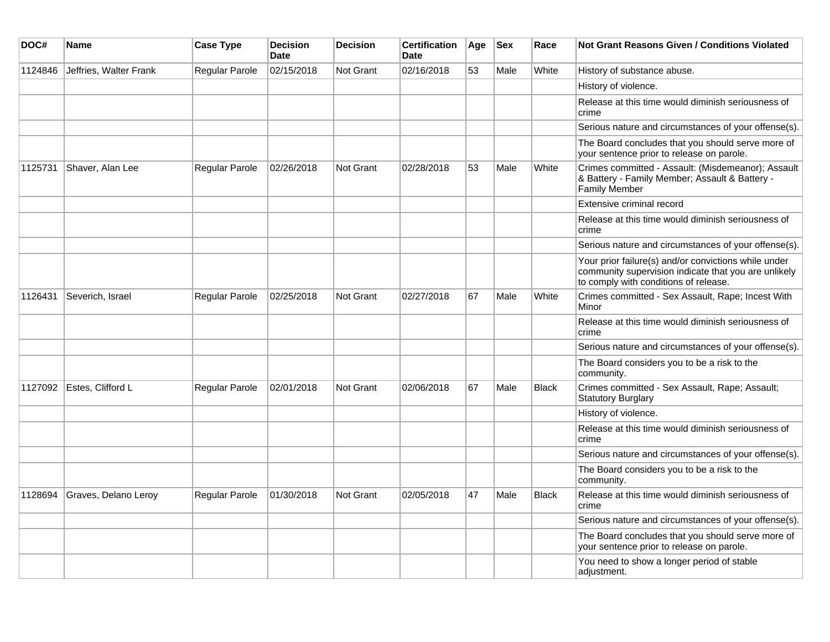| DOC#    | Name                   | <b>Case Type</b>      | <b>Decision</b><br>Date | <b>Decision</b>  | <b>Certification</b><br><b>Date</b> | Age | <b>Sex</b> | Race         | Not Grant Reasons Given / Conditions Violated                                                                                                         |
|---------|------------------------|-----------------------|-------------------------|------------------|-------------------------------------|-----|------------|--------------|-------------------------------------------------------------------------------------------------------------------------------------------------------|
| 1124846 | Jeffries, Walter Frank | <b>Regular Parole</b> | 02/15/2018              | Not Grant        | 02/16/2018                          | 53  | Male       | White        | History of substance abuse.                                                                                                                           |
|         |                        |                       |                         |                  |                                     |     |            |              | History of violence.                                                                                                                                  |
|         |                        |                       |                         |                  |                                     |     |            |              | Release at this time would diminish seriousness of<br>crime                                                                                           |
|         |                        |                       |                         |                  |                                     |     |            |              | Serious nature and circumstances of your offense(s).                                                                                                  |
|         |                        |                       |                         |                  |                                     |     |            |              | The Board concludes that you should serve more of<br>your sentence prior to release on parole.                                                        |
| 1125731 | Shaver, Alan Lee       | Regular Parole        | 02/26/2018              | <b>Not Grant</b> | 02/28/2018                          | 53  | Male       | White        | Crimes committed - Assault: (Misdemeanor); Assault<br>& Battery - Family Member; Assault & Battery -<br>Family Member                                 |
|         |                        |                       |                         |                  |                                     |     |            |              | Extensive criminal record                                                                                                                             |
|         |                        |                       |                         |                  |                                     |     |            |              | Release at this time would diminish seriousness of<br>crime                                                                                           |
|         |                        |                       |                         |                  |                                     |     |            |              | Serious nature and circumstances of your offense(s).                                                                                                  |
|         |                        |                       |                         |                  |                                     |     |            |              | Your prior failure(s) and/or convictions while under<br>community supervision indicate that you are unlikely<br>to comply with conditions of release. |
| 1126431 | Severich, Israel       | <b>Regular Parole</b> | 02/25/2018              | Not Grant        | 02/27/2018                          | 67  | Male       | White        | Crimes committed - Sex Assault, Rape; Incest With<br>Minor                                                                                            |
|         |                        |                       |                         |                  |                                     |     |            |              | Release at this time would diminish seriousness of<br>crime                                                                                           |
|         |                        |                       |                         |                  |                                     |     |            |              | Serious nature and circumstances of your offense(s).                                                                                                  |
|         |                        |                       |                         |                  |                                     |     |            |              | The Board considers you to be a risk to the<br>community.                                                                                             |
| 1127092 | Estes, Clifford L      | Regular Parole        | 02/01/2018              | Not Grant        | 02/06/2018                          | 67  | Male       | <b>Black</b> | Crimes committed - Sex Assault, Rape; Assault;<br><b>Statutory Burglary</b>                                                                           |
|         |                        |                       |                         |                  |                                     |     |            |              | History of violence.                                                                                                                                  |
|         |                        |                       |                         |                  |                                     |     |            |              | Release at this time would diminish seriousness of<br>crime                                                                                           |
|         |                        |                       |                         |                  |                                     |     |            |              | Serious nature and circumstances of your offense(s).                                                                                                  |
|         |                        |                       |                         |                  |                                     |     |            |              | The Board considers you to be a risk to the<br>community.                                                                                             |
| 1128694 | Graves, Delano Leroy   | <b>Regular Parole</b> | 01/30/2018              | <b>Not Grant</b> | 02/05/2018                          | 47  | Male       | <b>Black</b> | Release at this time would diminish seriousness of<br>crime                                                                                           |
|         |                        |                       |                         |                  |                                     |     |            |              | Serious nature and circumstances of your offense(s).                                                                                                  |
|         |                        |                       |                         |                  |                                     |     |            |              | The Board concludes that you should serve more of<br>your sentence prior to release on parole.                                                        |
|         |                        |                       |                         |                  |                                     |     |            |              | You need to show a longer period of stable<br>adjustment.                                                                                             |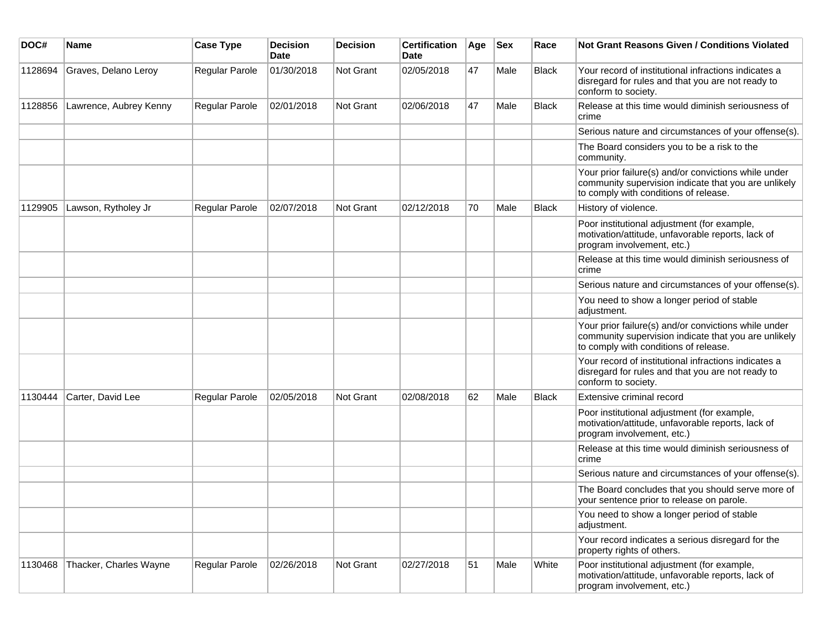| DOC#    | Name                   | <b>Case Type</b>      | <b>Decision</b><br><b>Date</b> | <b>Decision</b>  | <b>Certification</b><br>Date | Age | <b>Sex</b> | Race  | <b>Not Grant Reasons Given / Conditions Violated</b>                                                                                                  |
|---------|------------------------|-----------------------|--------------------------------|------------------|------------------------------|-----|------------|-------|-------------------------------------------------------------------------------------------------------------------------------------------------------|
| 1128694 | Graves, Delano Leroy   | Regular Parole        | 01/30/2018                     | Not Grant        | 02/05/2018                   | 47  | Male       | Black | Your record of institutional infractions indicates a<br>disregard for rules and that you are not ready to<br>conform to society.                      |
| 1128856 | Lawrence, Aubrey Kenny | Regular Parole        | 02/01/2018                     | <b>Not Grant</b> | 02/06/2018                   | 47  | Male       | Black | Release at this time would diminish seriousness of<br>crime                                                                                           |
|         |                        |                       |                                |                  |                              |     |            |       | Serious nature and circumstances of your offense(s).                                                                                                  |
|         |                        |                       |                                |                  |                              |     |            |       | The Board considers you to be a risk to the<br>community.                                                                                             |
|         |                        |                       |                                |                  |                              |     |            |       | Your prior failure(s) and/or convictions while under<br>community supervision indicate that you are unlikely<br>to comply with conditions of release. |
| 1129905 | Lawson, Rytholey Jr    | <b>Regular Parole</b> | 02/07/2018                     | Not Grant        | 02/12/2018                   | 70  | Male       | Black | History of violence.                                                                                                                                  |
|         |                        |                       |                                |                  |                              |     |            |       | Poor institutional adjustment (for example,<br>motivation/attitude, unfavorable reports, lack of<br>program involvement, etc.)                        |
|         |                        |                       |                                |                  |                              |     |            |       | Release at this time would diminish seriousness of<br>crime                                                                                           |
|         |                        |                       |                                |                  |                              |     |            |       | Serious nature and circumstances of your offense(s).                                                                                                  |
|         |                        |                       |                                |                  |                              |     |            |       | You need to show a longer period of stable<br>adjustment.                                                                                             |
|         |                        |                       |                                |                  |                              |     |            |       | Your prior failure(s) and/or convictions while under<br>community supervision indicate that you are unlikely<br>to comply with conditions of release. |
|         |                        |                       |                                |                  |                              |     |            |       | Your record of institutional infractions indicates a<br>disregard for rules and that you are not ready to<br>conform to society.                      |
| 1130444 | Carter, David Lee      | Regular Parole        | 02/05/2018                     | <b>Not Grant</b> | 02/08/2018                   | 62  | Male       | Black | Extensive criminal record                                                                                                                             |
|         |                        |                       |                                |                  |                              |     |            |       | Poor institutional adjustment (for example,<br>motivation/attitude, unfavorable reports, lack of<br>program involvement, etc.)                        |
|         |                        |                       |                                |                  |                              |     |            |       | Release at this time would diminish seriousness of<br>crime                                                                                           |
|         |                        |                       |                                |                  |                              |     |            |       | Serious nature and circumstances of your offense(s).                                                                                                  |
|         |                        |                       |                                |                  |                              |     |            |       | The Board concludes that you should serve more of<br>your sentence prior to release on parole.                                                        |
|         |                        |                       |                                |                  |                              |     |            |       | You need to show a longer period of stable<br>adjustment.                                                                                             |
|         |                        |                       |                                |                  |                              |     |            |       | Your record indicates a serious disregard for the<br>property rights of others.                                                                       |
| 1130468 | Thacker, Charles Wayne | Regular Parole        | 02/26/2018                     | Not Grant        | 02/27/2018                   | 51  | Male       | White | Poor institutional adjustment (for example,<br>motivation/attitude, unfavorable reports, lack of<br>program involvement, etc.)                        |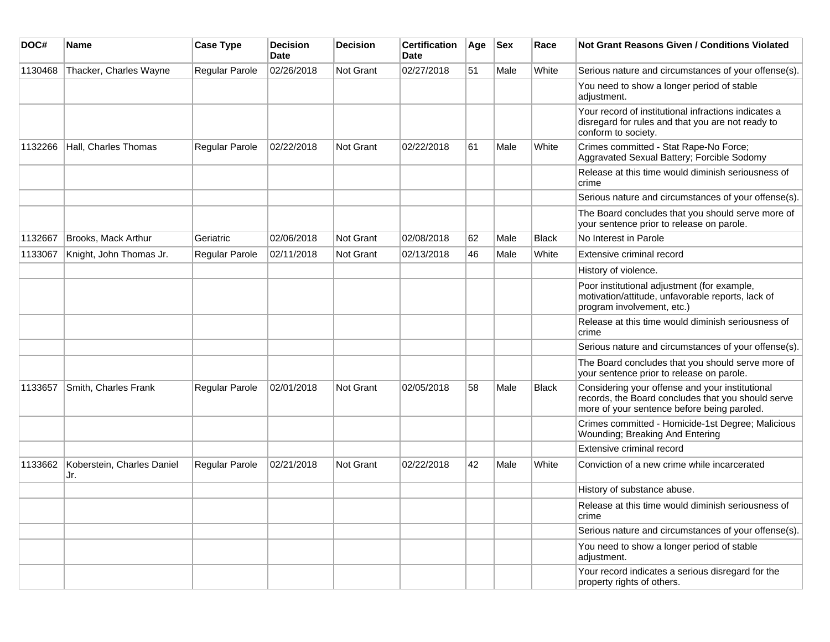| DOC#    | <b>Name</b>                       | <b>Case Type</b>      | <b>Decision</b><br>Date | <b>Decision</b>  | <b>Certification</b><br>Date | Age | <b>Sex</b> | Race         | <b>Not Grant Reasons Given / Conditions Violated</b>                                                                                                 |
|---------|-----------------------------------|-----------------------|-------------------------|------------------|------------------------------|-----|------------|--------------|------------------------------------------------------------------------------------------------------------------------------------------------------|
| 1130468 | Thacker, Charles Wayne            | <b>Regular Parole</b> | 02/26/2018              | Not Grant        | 02/27/2018                   | 51  | Male       | White        | Serious nature and circumstances of your offense(s).                                                                                                 |
|         |                                   |                       |                         |                  |                              |     |            |              | You need to show a longer period of stable<br>adjustment.                                                                                            |
|         |                                   |                       |                         |                  |                              |     |            |              | Your record of institutional infractions indicates a<br>disregard for rules and that you are not ready to<br>conform to society.                     |
| 1132266 | Hall, Charles Thomas              | <b>Regular Parole</b> | 02/22/2018              | Not Grant        | 02/22/2018                   | 61  | Male       | White        | Crimes committed - Stat Rape-No Force;<br>Aggravated Sexual Battery; Forcible Sodomy                                                                 |
|         |                                   |                       |                         |                  |                              |     |            |              | Release at this time would diminish seriousness of<br>crime                                                                                          |
|         |                                   |                       |                         |                  |                              |     |            |              | Serious nature and circumstances of your offense(s).                                                                                                 |
|         |                                   |                       |                         |                  |                              |     |            |              | The Board concludes that you should serve more of<br>your sentence prior to release on parole.                                                       |
| 1132667 | <b>Brooks, Mack Arthur</b>        | Geriatric             | 02/06/2018              | Not Grant        | 02/08/2018                   | 62  | Male       | <b>Black</b> | No Interest in Parole                                                                                                                                |
| 1133067 | Knight, John Thomas Jr.           | Regular Parole        | 02/11/2018              | <b>Not Grant</b> | 02/13/2018                   | 46  | Male       | White        | Extensive criminal record                                                                                                                            |
|         |                                   |                       |                         |                  |                              |     |            |              | History of violence.                                                                                                                                 |
|         |                                   |                       |                         |                  |                              |     |            |              | Poor institutional adjustment (for example,<br>motivation/attitude, unfavorable reports, lack of<br>program involvement, etc.)                       |
|         |                                   |                       |                         |                  |                              |     |            |              | Release at this time would diminish seriousness of<br>crime                                                                                          |
|         |                                   |                       |                         |                  |                              |     |            |              | Serious nature and circumstances of your offense(s).                                                                                                 |
|         |                                   |                       |                         |                  |                              |     |            |              | The Board concludes that you should serve more of<br>your sentence prior to release on parole.                                                       |
| 1133657 | Smith, Charles Frank              | <b>Regular Parole</b> | 02/01/2018              | Not Grant        | 02/05/2018                   | 58  | Male       | <b>Black</b> | Considering your offense and your institutional<br>records, the Board concludes that you should serve<br>more of your sentence before being paroled. |
|         |                                   |                       |                         |                  |                              |     |            |              | Crimes committed - Homicide-1st Degree; Malicious<br>Wounding; Breaking And Entering                                                                 |
|         |                                   |                       |                         |                  |                              |     |            |              | Extensive criminal record                                                                                                                            |
| 1133662 | Koberstein, Charles Daniel<br>Jr. | Regular Parole        | 02/21/2018              | Not Grant        | 02/22/2018                   | 42  | Male       | White        | Conviction of a new crime while incarcerated                                                                                                         |
|         |                                   |                       |                         |                  |                              |     |            |              | History of substance abuse.                                                                                                                          |
|         |                                   |                       |                         |                  |                              |     |            |              | Release at this time would diminish seriousness of<br>crime                                                                                          |
|         |                                   |                       |                         |                  |                              |     |            |              | Serious nature and circumstances of your offense(s).                                                                                                 |
|         |                                   |                       |                         |                  |                              |     |            |              | You need to show a longer period of stable<br>adjustment.                                                                                            |
|         |                                   |                       |                         |                  |                              |     |            |              | Your record indicates a serious disregard for the<br>property rights of others.                                                                      |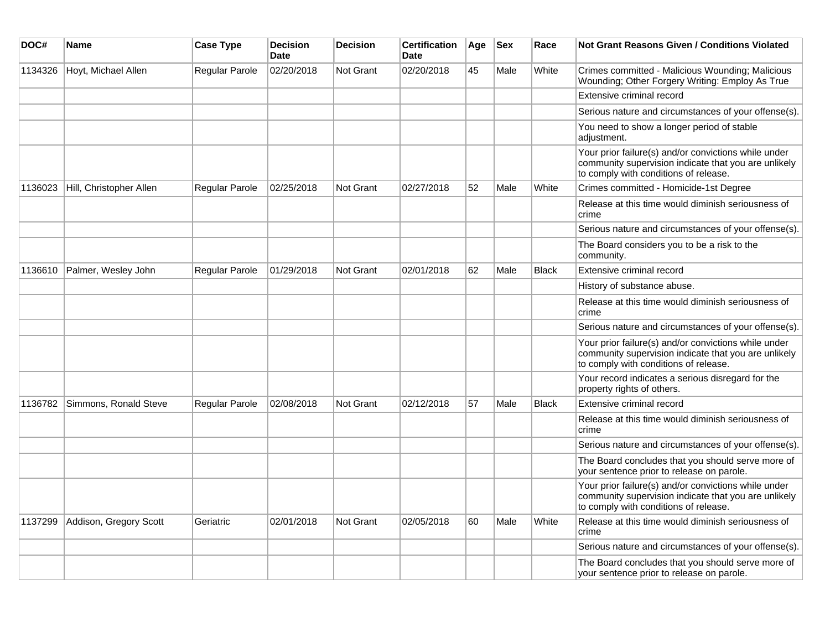| DOC#    | Name                    | <b>Case Type</b>      | <b>Decision</b><br><b>Date</b> | <b>Decision</b>  | <b>Certification</b><br><b>Date</b> | Age | <b>Sex</b> | Race         | <b>Not Grant Reasons Given / Conditions Violated</b>                                                                                                  |
|---------|-------------------------|-----------------------|--------------------------------|------------------|-------------------------------------|-----|------------|--------------|-------------------------------------------------------------------------------------------------------------------------------------------------------|
| 1134326 | Hoyt, Michael Allen     | <b>Regular Parole</b> | 02/20/2018                     | <b>Not Grant</b> | 02/20/2018                          | 45  | Male       | White        | Crimes committed - Malicious Wounding; Malicious<br>Wounding; Other Forgery Writing: Employ As True                                                   |
|         |                         |                       |                                |                  |                                     |     |            |              | Extensive criminal record                                                                                                                             |
|         |                         |                       |                                |                  |                                     |     |            |              | Serious nature and circumstances of your offense(s).                                                                                                  |
|         |                         |                       |                                |                  |                                     |     |            |              | You need to show a longer period of stable<br>adjustment.                                                                                             |
|         |                         |                       |                                |                  |                                     |     |            |              | Your prior failure(s) and/or convictions while under<br>community supervision indicate that you are unlikely<br>to comply with conditions of release. |
| 1136023 | Hill, Christopher Allen | Regular Parole        | 02/25/2018                     | <b>Not Grant</b> | 02/27/2018                          | 52  | Male       | White        | Crimes committed - Homicide-1st Degree                                                                                                                |
|         |                         |                       |                                |                  |                                     |     |            |              | Release at this time would diminish seriousness of<br>crime                                                                                           |
|         |                         |                       |                                |                  |                                     |     |            |              | Serious nature and circumstances of your offense(s).                                                                                                  |
|         |                         |                       |                                |                  |                                     |     |            |              | The Board considers you to be a risk to the<br>community.                                                                                             |
| 1136610 | Palmer, Wesley John     | Regular Parole        | 01/29/2018                     | <b>Not Grant</b> | 02/01/2018                          | 62  | Male       | <b>Black</b> | Extensive criminal record                                                                                                                             |
|         |                         |                       |                                |                  |                                     |     |            |              | History of substance abuse.                                                                                                                           |
|         |                         |                       |                                |                  |                                     |     |            |              | Release at this time would diminish seriousness of<br>crime                                                                                           |
|         |                         |                       |                                |                  |                                     |     |            |              | Serious nature and circumstances of your offense(s).                                                                                                  |
|         |                         |                       |                                |                  |                                     |     |            |              | Your prior failure(s) and/or convictions while under<br>community supervision indicate that you are unlikely<br>to comply with conditions of release. |
|         |                         |                       |                                |                  |                                     |     |            |              | Your record indicates a serious disregard for the<br>property rights of others.                                                                       |
| 1136782 | Simmons, Ronald Steve   | Regular Parole        | 02/08/2018                     | <b>Not Grant</b> | 02/12/2018                          | 57  | Male       | <b>Black</b> | Extensive criminal record                                                                                                                             |
|         |                         |                       |                                |                  |                                     |     |            |              | Release at this time would diminish seriousness of<br>crime                                                                                           |
|         |                         |                       |                                |                  |                                     |     |            |              | Serious nature and circumstances of your offense(s).                                                                                                  |
|         |                         |                       |                                |                  |                                     |     |            |              | The Board concludes that you should serve more of<br>your sentence prior to release on parole.                                                        |
|         |                         |                       |                                |                  |                                     |     |            |              | Your prior failure(s) and/or convictions while under<br>community supervision indicate that you are unlikely<br>to comply with conditions of release. |
| 1137299 | Addison, Gregory Scott  | Geriatric             | 02/01/2018                     | <b>Not Grant</b> | 02/05/2018                          | 60  | Male       | White        | Release at this time would diminish seriousness of<br>crime                                                                                           |
|         |                         |                       |                                |                  |                                     |     |            |              | Serious nature and circumstances of your offense(s).                                                                                                  |
|         |                         |                       |                                |                  |                                     |     |            |              | The Board concludes that you should serve more of<br>your sentence prior to release on parole.                                                        |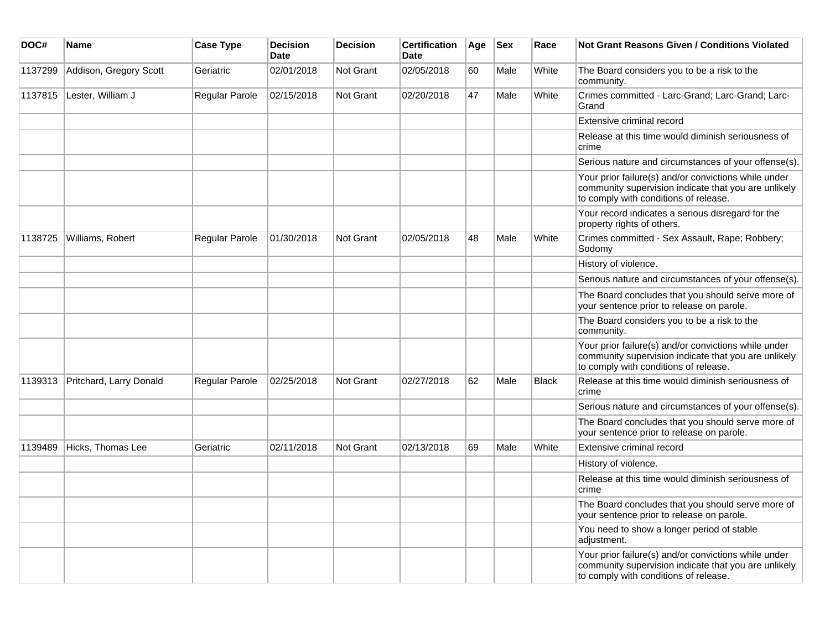| DOC#    | <b>Name</b>             | <b>Case Type</b> | <b>Decision</b><br><b>Date</b> | <b>Decision</b>  | <b>Certification</b><br><b>Date</b> | Age | <b>Sex</b> | Race         | <b>Not Grant Reasons Given / Conditions Violated</b>                                                                                                  |
|---------|-------------------------|------------------|--------------------------------|------------------|-------------------------------------|-----|------------|--------------|-------------------------------------------------------------------------------------------------------------------------------------------------------|
| 1137299 | Addison, Gregory Scott  | Geriatric        | 02/01/2018                     | <b>Not Grant</b> | 02/05/2018                          | 60  | Male       | White        | The Board considers you to be a risk to the<br>community.                                                                                             |
| 1137815 | Lester, William J       | Regular Parole   | 02/15/2018                     | <b>Not Grant</b> | 02/20/2018                          | 47  | Male       | White        | Crimes committed - Larc-Grand; Larc-Grand; Larc-<br>Grand                                                                                             |
|         |                         |                  |                                |                  |                                     |     |            |              | Extensive criminal record                                                                                                                             |
|         |                         |                  |                                |                  |                                     |     |            |              | Release at this time would diminish seriousness of<br>crime                                                                                           |
|         |                         |                  |                                |                  |                                     |     |            |              | Serious nature and circumstances of your offense(s).                                                                                                  |
|         |                         |                  |                                |                  |                                     |     |            |              | Your prior failure(s) and/or convictions while under<br>community supervision indicate that you are unlikely<br>to comply with conditions of release. |
|         |                         |                  |                                |                  |                                     |     |            |              | Your record indicates a serious disregard for the<br>property rights of others.                                                                       |
| 1138725 | Williams, Robert        | Regular Parole   | 01/30/2018                     | <b>Not Grant</b> | 02/05/2018                          | 48  | Male       | White        | Crimes committed - Sex Assault, Rape; Robbery;<br>Sodomy                                                                                              |
|         |                         |                  |                                |                  |                                     |     |            |              | History of violence.                                                                                                                                  |
|         |                         |                  |                                |                  |                                     |     |            |              | Serious nature and circumstances of your offense(s).                                                                                                  |
|         |                         |                  |                                |                  |                                     |     |            |              | The Board concludes that you should serve more of<br>your sentence prior to release on parole.                                                        |
|         |                         |                  |                                |                  |                                     |     |            |              | The Board considers you to be a risk to the<br>community.                                                                                             |
|         |                         |                  |                                |                  |                                     |     |            |              | Your prior failure(s) and/or convictions while under<br>community supervision indicate that you are unlikely<br>to comply with conditions of release. |
| 1139313 | Pritchard, Larry Donald | Regular Parole   | 02/25/2018                     | <b>Not Grant</b> | 02/27/2018                          | 62  | Male       | <b>Black</b> | Release at this time would diminish seriousness of<br>crime                                                                                           |
|         |                         |                  |                                |                  |                                     |     |            |              | Serious nature and circumstances of your offense(s).                                                                                                  |
|         |                         |                  |                                |                  |                                     |     |            |              | The Board concludes that you should serve more of<br>your sentence prior to release on parole.                                                        |
| 1139489 | Hicks, Thomas Lee       | Geriatric        | 02/11/2018                     | Not Grant        | 02/13/2018                          | 69  | Male       | White        | Extensive criminal record                                                                                                                             |
|         |                         |                  |                                |                  |                                     |     |            |              | History of violence.                                                                                                                                  |
|         |                         |                  |                                |                  |                                     |     |            |              | Release at this time would diminish seriousness of<br>crime                                                                                           |
|         |                         |                  |                                |                  |                                     |     |            |              | The Board concludes that you should serve more of<br>your sentence prior to release on parole.                                                        |
|         |                         |                  |                                |                  |                                     |     |            |              | You need to show a longer period of stable<br>adjustment.                                                                                             |
|         |                         |                  |                                |                  |                                     |     |            |              | Your prior failure(s) and/or convictions while under<br>community supervision indicate that you are unlikely<br>to comply with conditions of release. |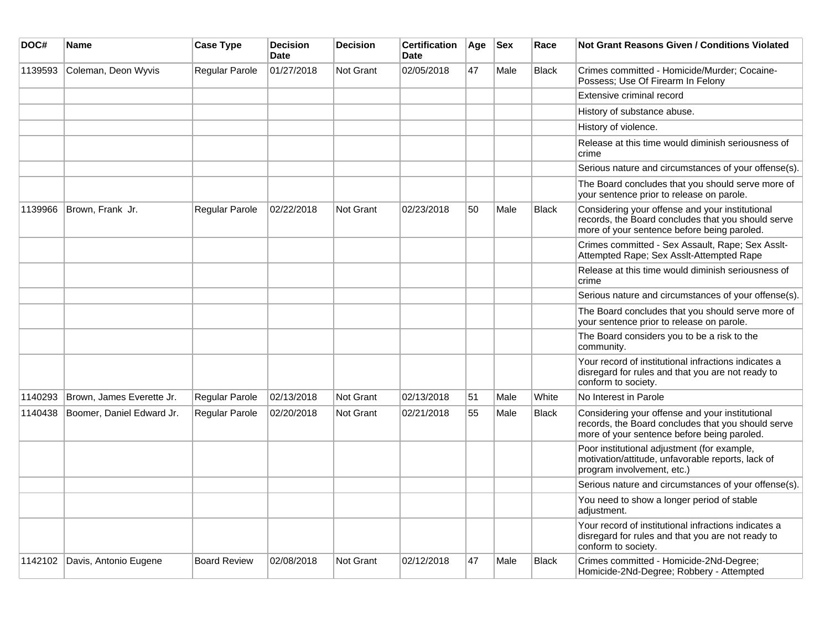| DOC#    | <b>Name</b>               | <b>Case Type</b>      | <b>Decision</b><br><b>Date</b> | <b>Decision</b>  | <b>Certification</b><br><b>Date</b> | Age | <b>Sex</b> | Race         | Not Grant Reasons Given / Conditions Violated                                                                                                        |
|---------|---------------------------|-----------------------|--------------------------------|------------------|-------------------------------------|-----|------------|--------------|------------------------------------------------------------------------------------------------------------------------------------------------------|
| 1139593 | Coleman, Deon Wyvis       | Regular Parole        | 01/27/2018                     | <b>Not Grant</b> | 02/05/2018                          | 47  | Male       | <b>Black</b> | Crimes committed - Homicide/Murder; Cocaine-<br>Possess; Use Of Firearm In Felony                                                                    |
|         |                           |                       |                                |                  |                                     |     |            |              | Extensive criminal record                                                                                                                            |
|         |                           |                       |                                |                  |                                     |     |            |              | History of substance abuse.                                                                                                                          |
|         |                           |                       |                                |                  |                                     |     |            |              | History of violence.                                                                                                                                 |
|         |                           |                       |                                |                  |                                     |     |            |              | Release at this time would diminish seriousness of<br>crime                                                                                          |
|         |                           |                       |                                |                  |                                     |     |            |              | Serious nature and circumstances of your offense(s).                                                                                                 |
|         |                           |                       |                                |                  |                                     |     |            |              | The Board concludes that you should serve more of<br>your sentence prior to release on parole.                                                       |
| 1139966 | Brown, Frank Jr.          | Regular Parole        | 02/22/2018                     | <b>Not Grant</b> | 02/23/2018                          | 50  | Male       | <b>Black</b> | Considering your offense and your institutional<br>records, the Board concludes that you should serve<br>more of your sentence before being paroled. |
|         |                           |                       |                                |                  |                                     |     |            |              | Crimes committed - Sex Assault, Rape; Sex Asslt-<br>Attempted Rape; Sex Asslt-Attempted Rape                                                         |
|         |                           |                       |                                |                  |                                     |     |            |              | Release at this time would diminish seriousness of<br>crime                                                                                          |
|         |                           |                       |                                |                  |                                     |     |            |              | Serious nature and circumstances of your offense(s).                                                                                                 |
|         |                           |                       |                                |                  |                                     |     |            |              | The Board concludes that you should serve more of<br>your sentence prior to release on parole.                                                       |
|         |                           |                       |                                |                  |                                     |     |            |              | The Board considers you to be a risk to the<br>community.                                                                                            |
|         |                           |                       |                                |                  |                                     |     |            |              | Your record of institutional infractions indicates a<br>disregard for rules and that you are not ready to<br>conform to society.                     |
| 1140293 | Brown, James Everette Jr. | Regular Parole        | 02/13/2018                     | Not Grant        | 02/13/2018                          | 51  | Male       | White        | No Interest in Parole                                                                                                                                |
| 1140438 | Boomer, Daniel Edward Jr. | <b>Regular Parole</b> | 02/20/2018                     | <b>Not Grant</b> | 02/21/2018                          | 55  | Male       | <b>Black</b> | Considering your offense and your institutional<br>records, the Board concludes that you should serve<br>more of your sentence before being paroled. |
|         |                           |                       |                                |                  |                                     |     |            |              | Poor institutional adjustment (for example,<br>motivation/attitude, unfavorable reports, lack of<br>program involvement, etc.)                       |
|         |                           |                       |                                |                  |                                     |     |            |              | Serious nature and circumstances of your offense(s).                                                                                                 |
|         |                           |                       |                                |                  |                                     |     |            |              | You need to show a longer period of stable<br>adjustment.                                                                                            |
|         |                           |                       |                                |                  |                                     |     |            |              | Your record of institutional infractions indicates a<br>disregard for rules and that you are not ready to<br>conform to society.                     |
| 1142102 | Davis, Antonio Eugene     | <b>Board Review</b>   | 02/08/2018                     | <b>Not Grant</b> | 02/12/2018                          | 47  | Male       | <b>Black</b> | Crimes committed - Homicide-2Nd-Degree;<br>Homicide-2Nd-Degree; Robbery - Attempted                                                                  |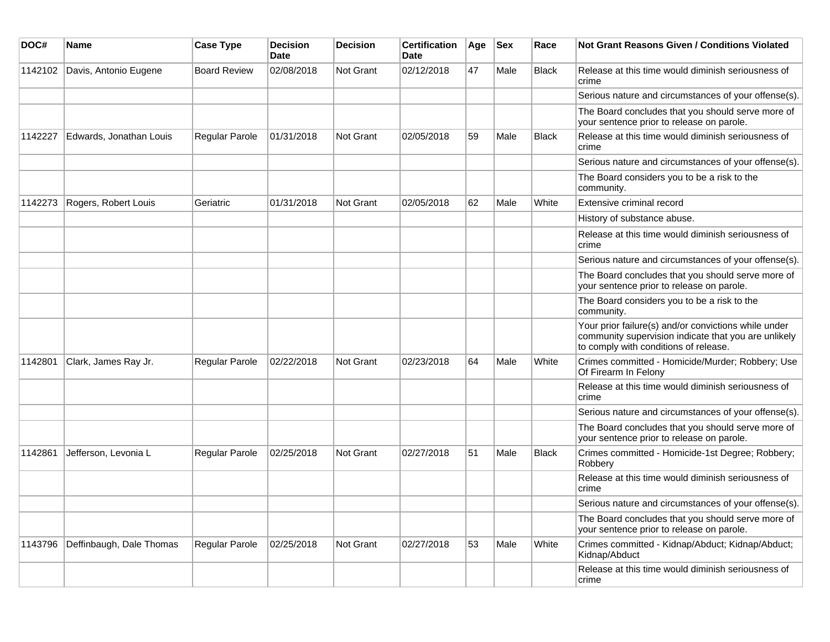| DOC#    | Name                     | <b>Case Type</b>    | <b>Decision</b><br><b>Date</b> | <b>Decision</b> | <b>Certification</b><br>Date | Age | <b>Sex</b> | Race         | <b>Not Grant Reasons Given / Conditions Violated</b>                                                                                                  |
|---------|--------------------------|---------------------|--------------------------------|-----------------|------------------------------|-----|------------|--------------|-------------------------------------------------------------------------------------------------------------------------------------------------------|
| 1142102 | Davis, Antonio Eugene    | <b>Board Review</b> | 02/08/2018                     | Not Grant       | 02/12/2018                   | 47  | Male       | Black        | Release at this time would diminish seriousness of<br>crime                                                                                           |
|         |                          |                     |                                |                 |                              |     |            |              | Serious nature and circumstances of your offense(s).                                                                                                  |
|         |                          |                     |                                |                 |                              |     |            |              | The Board concludes that you should serve more of<br>your sentence prior to release on parole.                                                        |
| 1142227 | Edwards, Jonathan Louis  | Regular Parole      | 01/31/2018                     | Not Grant       | 02/05/2018                   | 59  | Male       | <b>Black</b> | Release at this time would diminish seriousness of<br>crime                                                                                           |
|         |                          |                     |                                |                 |                              |     |            |              | Serious nature and circumstances of your offense(s).                                                                                                  |
|         |                          |                     |                                |                 |                              |     |            |              | The Board considers you to be a risk to the<br>community.                                                                                             |
| 1142273 | Rogers, Robert Louis     | Geriatric           | 01/31/2018                     | Not Grant       | 02/05/2018                   | 62  | Male       | White        | <b>Extensive criminal record</b>                                                                                                                      |
|         |                          |                     |                                |                 |                              |     |            |              | History of substance abuse.                                                                                                                           |
|         |                          |                     |                                |                 |                              |     |            |              | Release at this time would diminish seriousness of<br>crime                                                                                           |
|         |                          |                     |                                |                 |                              |     |            |              | Serious nature and circumstances of your offense(s).                                                                                                  |
|         |                          |                     |                                |                 |                              |     |            |              | The Board concludes that you should serve more of<br>your sentence prior to release on parole.                                                        |
|         |                          |                     |                                |                 |                              |     |            |              | The Board considers you to be a risk to the<br>community.                                                                                             |
|         |                          |                     |                                |                 |                              |     |            |              | Your prior failure(s) and/or convictions while under<br>community supervision indicate that you are unlikely<br>to comply with conditions of release. |
| 1142801 | Clark, James Ray Jr.     | Regular Parole      | 02/22/2018                     | Not Grant       | 02/23/2018                   | 64  | Male       | White        | Crimes committed - Homicide/Murder; Robbery; Use<br>Of Firearm In Felony                                                                              |
|         |                          |                     |                                |                 |                              |     |            |              | Release at this time would diminish seriousness of<br>crime                                                                                           |
|         |                          |                     |                                |                 |                              |     |            |              | Serious nature and circumstances of your offense(s).                                                                                                  |
|         |                          |                     |                                |                 |                              |     |            |              | The Board concludes that you should serve more of<br>your sentence prior to release on parole.                                                        |
| 1142861 | Jefferson, Levonia L     | Regular Parole      | 02/25/2018                     | Not Grant       | 02/27/2018                   | 51  | Male       | <b>Black</b> | Crimes committed - Homicide-1st Degree; Robbery;<br>Robbery                                                                                           |
|         |                          |                     |                                |                 |                              |     |            |              | Release at this time would diminish seriousness of<br>crime                                                                                           |
|         |                          |                     |                                |                 |                              |     |            |              | Serious nature and circumstances of your offense(s).                                                                                                  |
|         |                          |                     |                                |                 |                              |     |            |              | The Board concludes that you should serve more of<br>your sentence prior to release on parole.                                                        |
| 1143796 | Deffinbaugh, Dale Thomas | Regular Parole      | 02/25/2018                     | Not Grant       | 02/27/2018                   | 53  | Male       | White        | Crimes committed - Kidnap/Abduct; Kidnap/Abduct;<br>Kidnap/Abduct                                                                                     |
|         |                          |                     |                                |                 |                              |     |            |              | Release at this time would diminish seriousness of<br>crime                                                                                           |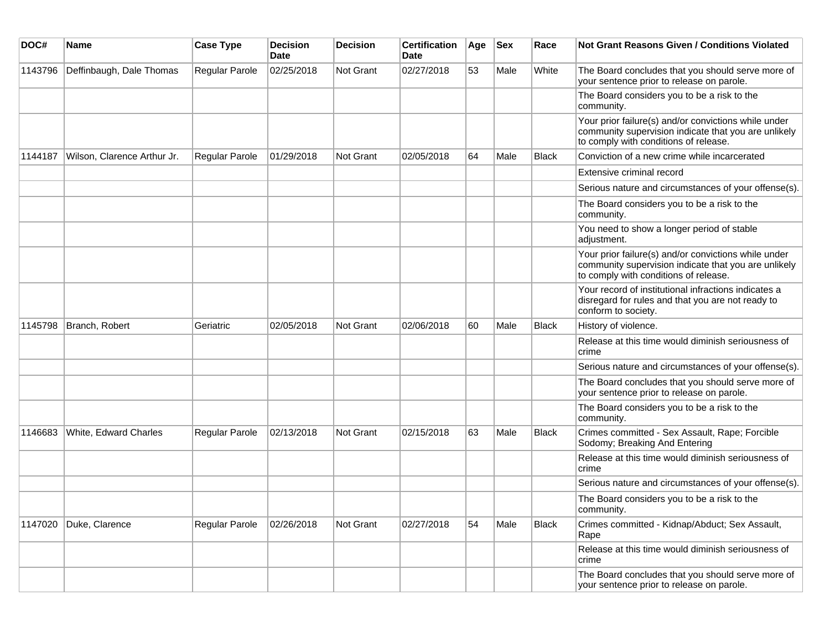| DOC#    | Name                        | <b>Case Type</b> | <b>Decision</b><br>Date | <b>Decision</b>  | <b>Certification</b><br>Date | Age | <b>Sex</b> | Race         | <b>Not Grant Reasons Given / Conditions Violated</b>                                                                                                  |
|---------|-----------------------------|------------------|-------------------------|------------------|------------------------------|-----|------------|--------------|-------------------------------------------------------------------------------------------------------------------------------------------------------|
| 1143796 | Deffinbaugh, Dale Thomas    | Regular Parole   | 02/25/2018              | Not Grant        | 02/27/2018                   | 53  | Male       | White        | The Board concludes that you should serve more of<br>your sentence prior to release on parole.                                                        |
|         |                             |                  |                         |                  |                              |     |            |              | The Board considers you to be a risk to the<br>community.                                                                                             |
|         |                             |                  |                         |                  |                              |     |            |              | Your prior failure(s) and/or convictions while under<br>community supervision indicate that you are unlikely<br>to comply with conditions of release. |
| 1144187 | Wilson, Clarence Arthur Jr. | Regular Parole   | 01/29/2018              | Not Grant        | 02/05/2018                   | 64  | Male       | <b>Black</b> | Conviction of a new crime while incarcerated                                                                                                          |
|         |                             |                  |                         |                  |                              |     |            |              | Extensive criminal record                                                                                                                             |
|         |                             |                  |                         |                  |                              |     |            |              | Serious nature and circumstances of your offense(s).                                                                                                  |
|         |                             |                  |                         |                  |                              |     |            |              | The Board considers you to be a risk to the<br>community.                                                                                             |
|         |                             |                  |                         |                  |                              |     |            |              | You need to show a longer period of stable<br>adjustment.                                                                                             |
|         |                             |                  |                         |                  |                              |     |            |              | Your prior failure(s) and/or convictions while under<br>community supervision indicate that you are unlikely<br>to comply with conditions of release. |
|         |                             |                  |                         |                  |                              |     |            |              | Your record of institutional infractions indicates a<br>disregard for rules and that you are not ready to<br>conform to society.                      |
| 1145798 | Branch, Robert              | Geriatric        | 02/05/2018              | <b>Not Grant</b> | 02/06/2018                   | 60  | Male       | <b>Black</b> | History of violence.                                                                                                                                  |
|         |                             |                  |                         |                  |                              |     |            |              | Release at this time would diminish seriousness of<br>crime                                                                                           |
|         |                             |                  |                         |                  |                              |     |            |              | Serious nature and circumstances of your offense(s).                                                                                                  |
|         |                             |                  |                         |                  |                              |     |            |              | The Board concludes that you should serve more of<br>your sentence prior to release on parole.                                                        |
|         |                             |                  |                         |                  |                              |     |            |              | The Board considers you to be a risk to the<br>community.                                                                                             |
| 1146683 | White, Edward Charles       | Regular Parole   | 02/13/2018              | Not Grant        | 02/15/2018                   | 63  | Male       | <b>Black</b> | Crimes committed - Sex Assault, Rape; Forcible<br>Sodomy; Breaking And Entering                                                                       |
|         |                             |                  |                         |                  |                              |     |            |              | Release at this time would diminish seriousness of<br>crime                                                                                           |
|         |                             |                  |                         |                  |                              |     |            |              | Serious nature and circumstances of your offense(s).                                                                                                  |
|         |                             |                  |                         |                  |                              |     |            |              | The Board considers you to be a risk to the<br>community.                                                                                             |
| 1147020 | Duke, Clarence              | Regular Parole   | 02/26/2018              | Not Grant        | 02/27/2018                   | 54  | Male       | <b>Black</b> | Crimes committed - Kidnap/Abduct; Sex Assault,<br>Rape                                                                                                |
|         |                             |                  |                         |                  |                              |     |            |              | Release at this time would diminish seriousness of<br>crime                                                                                           |
|         |                             |                  |                         |                  |                              |     |            |              | The Board concludes that you should serve more of<br>your sentence prior to release on parole.                                                        |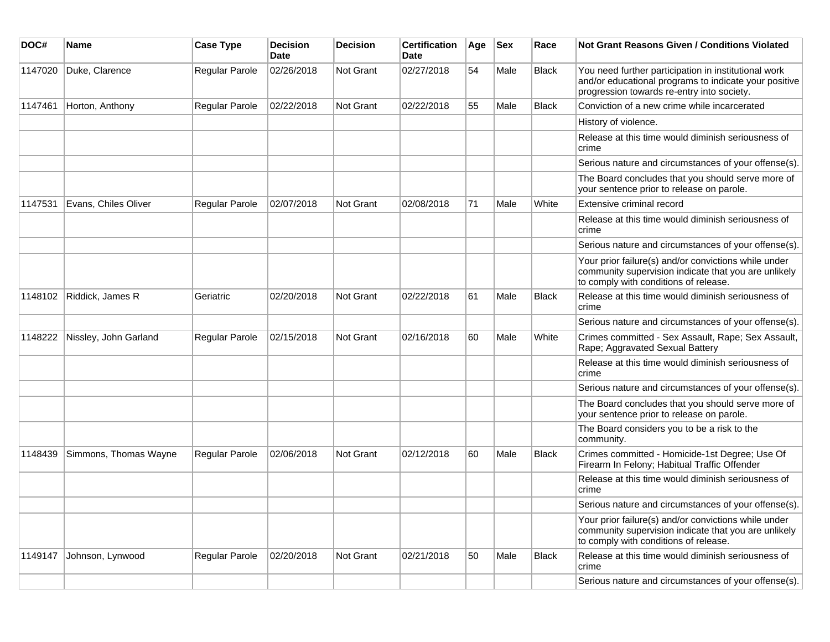| DOC#    | Name                  | <b>Case Type</b> | <b>Decision</b><br><b>Date</b> | <b>Decision</b>  | <b>Certification</b><br>Date | Age | Sex  | Race         | <b>Not Grant Reasons Given / Conditions Violated</b>                                                                                                        |
|---------|-----------------------|------------------|--------------------------------|------------------|------------------------------|-----|------|--------------|-------------------------------------------------------------------------------------------------------------------------------------------------------------|
| 1147020 | Duke, Clarence        | Regular Parole   | 02/26/2018                     | Not Grant        | 02/27/2018                   | 54  | Male | <b>Black</b> | You need further participation in institutional work<br>and/or educational programs to indicate your positive<br>progression towards re-entry into society. |
| 1147461 | Horton, Anthony       | Regular Parole   | 02/22/2018                     | <b>Not Grant</b> | 02/22/2018                   | 55  | Male | <b>Black</b> | Conviction of a new crime while incarcerated                                                                                                                |
|         |                       |                  |                                |                  |                              |     |      |              | History of violence.                                                                                                                                        |
|         |                       |                  |                                |                  |                              |     |      |              | Release at this time would diminish seriousness of<br>crime                                                                                                 |
|         |                       |                  |                                |                  |                              |     |      |              | Serious nature and circumstances of your offense(s).                                                                                                        |
|         |                       |                  |                                |                  |                              |     |      |              | The Board concludes that you should serve more of<br>your sentence prior to release on parole.                                                              |
| 1147531 | Evans, Chiles Oliver  | Regular Parole   | 02/07/2018                     | <b>Not Grant</b> | 02/08/2018                   | 71  | Male | White        | Extensive criminal record                                                                                                                                   |
|         |                       |                  |                                |                  |                              |     |      |              | Release at this time would diminish seriousness of<br>crime                                                                                                 |
|         |                       |                  |                                |                  |                              |     |      |              | Serious nature and circumstances of your offense(s).                                                                                                        |
|         |                       |                  |                                |                  |                              |     |      |              | Your prior failure(s) and/or convictions while under<br>community supervision indicate that you are unlikely<br>to comply with conditions of release.       |
| 1148102 | Riddick, James R      | Geriatric        | 02/20/2018                     | Not Grant        | 02/22/2018                   | 61  | Male | <b>Black</b> | Release at this time would diminish seriousness of<br>crime                                                                                                 |
|         |                       |                  |                                |                  |                              |     |      |              | Serious nature and circumstances of your offense(s).                                                                                                        |
| 1148222 | Nissley, John Garland | Regular Parole   | 02/15/2018                     | <b>Not Grant</b> | 02/16/2018                   | 60  | Male | White        | Crimes committed - Sex Assault, Rape; Sex Assault,<br>Rape; Aggravated Sexual Battery                                                                       |
|         |                       |                  |                                |                  |                              |     |      |              | Release at this time would diminish seriousness of<br>crime                                                                                                 |
|         |                       |                  |                                |                  |                              |     |      |              | Serious nature and circumstances of your offense(s).                                                                                                        |
|         |                       |                  |                                |                  |                              |     |      |              | The Board concludes that you should serve more of<br>your sentence prior to release on parole.                                                              |
|         |                       |                  |                                |                  |                              |     |      |              | The Board considers you to be a risk to the<br>community.                                                                                                   |
| 1148439 | Simmons, Thomas Wayne | Regular Parole   | 02/06/2018                     | Not Grant        | 02/12/2018                   | 60  | Male | <b>Black</b> | Crimes committed - Homicide-1st Degree; Use Of<br>Firearm In Felony; Habitual Traffic Offender                                                              |
|         |                       |                  |                                |                  |                              |     |      |              | Release at this time would diminish seriousness of<br>crime                                                                                                 |
|         |                       |                  |                                |                  |                              |     |      |              | Serious nature and circumstances of your offense(s).                                                                                                        |
|         |                       |                  |                                |                  |                              |     |      |              | Your prior failure(s) and/or convictions while under<br>community supervision indicate that you are unlikely<br>to comply with conditions of release.       |
| 1149147 | Johnson, Lynwood      | Regular Parole   | 02/20/2018                     | <b>Not Grant</b> | 02/21/2018                   | 50  | Male | <b>Black</b> | Release at this time would diminish seriousness of<br>crime                                                                                                 |
|         |                       |                  |                                |                  |                              |     |      |              | Serious nature and circumstances of your offense(s).                                                                                                        |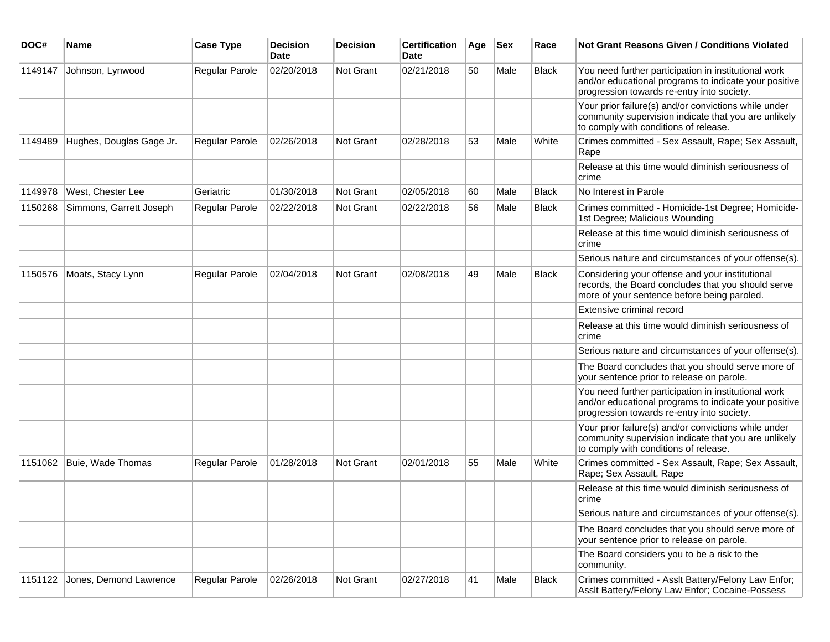| DOC#    | Name                     | <b>Case Type</b>      | <b>Decision</b><br><b>Date</b> | <b>Decision</b> | <b>Certification</b><br>Date | Age | <b>Sex</b> | Race         | Not Grant Reasons Given / Conditions Violated                                                                                                               |
|---------|--------------------------|-----------------------|--------------------------------|-----------------|------------------------------|-----|------------|--------------|-------------------------------------------------------------------------------------------------------------------------------------------------------------|
| 1149147 | Johnson, Lynwood         | Regular Parole        | 02/20/2018                     | Not Grant       | 02/21/2018                   | 50  | Male       | <b>Black</b> | You need further participation in institutional work<br>and/or educational programs to indicate your positive<br>progression towards re-entry into society. |
|         |                          |                       |                                |                 |                              |     |            |              | Your prior failure(s) and/or convictions while under<br>community supervision indicate that you are unlikely<br>to comply with conditions of release.       |
| 1149489 | Hughes, Douglas Gage Jr. | <b>Regular Parole</b> | 02/26/2018                     | Not Grant       | 02/28/2018                   | 53  | Male       | White        | Crimes committed - Sex Assault, Rape; Sex Assault,<br>Rape                                                                                                  |
|         |                          |                       |                                |                 |                              |     |            |              | Release at this time would diminish seriousness of<br>crime                                                                                                 |
| 1149978 | West, Chester Lee        | Geriatric             | 01/30/2018                     | Not Grant       | 02/05/2018                   | 60  | Male       | <b>Black</b> | No Interest in Parole                                                                                                                                       |
| 1150268 | Simmons, Garrett Joseph  | <b>Regular Parole</b> | 02/22/2018                     | Not Grant       | 02/22/2018                   | 56  | Male       | <b>Black</b> | Crimes committed - Homicide-1st Degree; Homicide-<br>1st Degree; Malicious Wounding                                                                         |
|         |                          |                       |                                |                 |                              |     |            |              | Release at this time would diminish seriousness of<br>crime                                                                                                 |
|         |                          |                       |                                |                 |                              |     |            |              | Serious nature and circumstances of your offense(s).                                                                                                        |
| 1150576 | Moats, Stacy Lynn        | Regular Parole        | 02/04/2018                     | Not Grant       | 02/08/2018                   | 49  | Male       | <b>Black</b> | Considering your offense and your institutional<br>records, the Board concludes that you should serve<br>more of your sentence before being paroled.        |
|         |                          |                       |                                |                 |                              |     |            |              | Extensive criminal record                                                                                                                                   |
|         |                          |                       |                                |                 |                              |     |            |              | Release at this time would diminish seriousness of<br>crime                                                                                                 |
|         |                          |                       |                                |                 |                              |     |            |              | Serious nature and circumstances of your offense(s).                                                                                                        |
|         |                          |                       |                                |                 |                              |     |            |              | The Board concludes that you should serve more of<br>your sentence prior to release on parole.                                                              |
|         |                          |                       |                                |                 |                              |     |            |              | You need further participation in institutional work<br>and/or educational programs to indicate your positive<br>progression towards re-entry into society. |
|         |                          |                       |                                |                 |                              |     |            |              | Your prior failure(s) and/or convictions while under<br>community supervision indicate that you are unlikely<br>to comply with conditions of release.       |
| 1151062 | Buie, Wade Thomas        | Regular Parole        | 01/28/2018                     | Not Grant       | 02/01/2018                   | 55  | Male       | White        | Crimes committed - Sex Assault, Rape; Sex Assault,<br>Rape; Sex Assault, Rape                                                                               |
|         |                          |                       |                                |                 |                              |     |            |              | Release at this time would diminish seriousness of<br>crime                                                                                                 |
|         |                          |                       |                                |                 |                              |     |            |              | Serious nature and circumstances of your offense(s).                                                                                                        |
|         |                          |                       |                                |                 |                              |     |            |              | The Board concludes that you should serve more of<br>your sentence prior to release on parole.                                                              |
|         |                          |                       |                                |                 |                              |     |            |              | The Board considers you to be a risk to the<br>community.                                                                                                   |
| 1151122 | Jones, Demond Lawrence   | Regular Parole        | 02/26/2018                     | Not Grant       | 02/27/2018                   | 41  | Male       | Black        | Crimes committed - Asslt Battery/Felony Law Enfor;<br>Asslt Battery/Felony Law Enfor; Cocaine-Possess                                                       |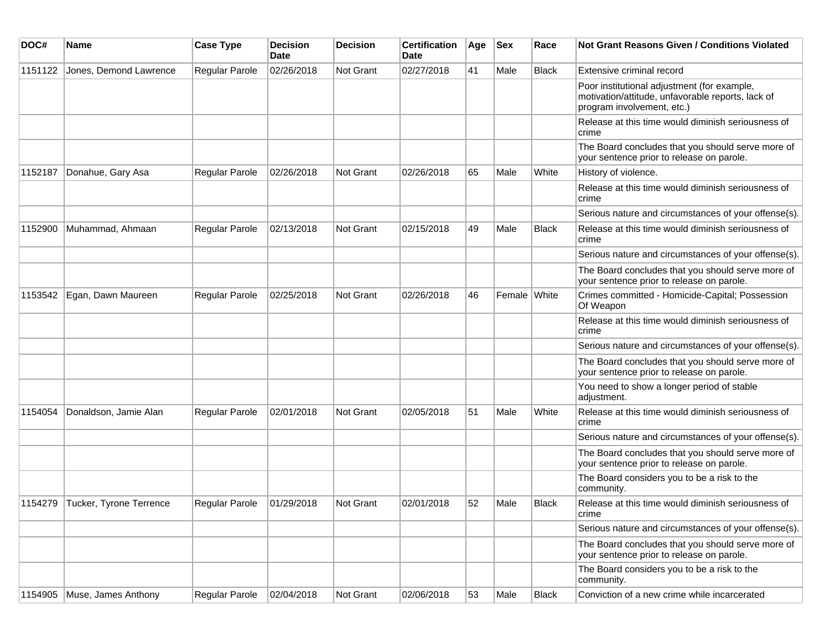| DOC#    | Name                            | <b>Case Type</b>      | <b>Decision</b><br>Date | <b>Decision</b> | <b>Certification</b><br>Date | Age | <b>Sex</b>   | Race         | Not Grant Reasons Given / Conditions Violated                                                                                  |
|---------|---------------------------------|-----------------------|-------------------------|-----------------|------------------------------|-----|--------------|--------------|--------------------------------------------------------------------------------------------------------------------------------|
| 1151122 | Jones, Demond Lawrence          | Regular Parole        | 02/26/2018              | Not Grant       | 02/27/2018                   | 41  | Male         | <b>Black</b> | Extensive criminal record                                                                                                      |
|         |                                 |                       |                         |                 |                              |     |              |              | Poor institutional adjustment (for example,<br>motivation/attitude, unfavorable reports, lack of<br>program involvement, etc.) |
|         |                                 |                       |                         |                 |                              |     |              |              | Release at this time would diminish seriousness of<br>crime                                                                    |
|         |                                 |                       |                         |                 |                              |     |              |              | The Board concludes that you should serve more of<br>your sentence prior to release on parole.                                 |
| 1152187 | Donahue, Gary Asa               | Regular Parole        | 02/26/2018              | Not Grant       | 02/26/2018                   | 65  | Male         | White        | History of violence.                                                                                                           |
|         |                                 |                       |                         |                 |                              |     |              |              | Release at this time would diminish seriousness of<br>crime                                                                    |
|         |                                 |                       |                         |                 |                              |     |              |              | Serious nature and circumstances of your offense(s).                                                                           |
| 1152900 | Muhammad, Ahmaan                | <b>Regular Parole</b> | 02/13/2018              | Not Grant       | 02/15/2018                   | 49  | Male         | <b>Black</b> | Release at this time would diminish seriousness of<br>crime                                                                    |
|         |                                 |                       |                         |                 |                              |     |              |              | Serious nature and circumstances of your offense(s).                                                                           |
|         |                                 |                       |                         |                 |                              |     |              |              | The Board concludes that you should serve more of<br>your sentence prior to release on parole.                                 |
| 1153542 | Egan, Dawn Maureen              | Regular Parole        | 02/25/2018              | Not Grant       | 02/26/2018                   | 46  | Female White |              | Crimes committed - Homicide-Capital; Possession<br>Of Weapon                                                                   |
|         |                                 |                       |                         |                 |                              |     |              |              | Release at this time would diminish seriousness of<br>crime                                                                    |
|         |                                 |                       |                         |                 |                              |     |              |              | Serious nature and circumstances of your offense(s).                                                                           |
|         |                                 |                       |                         |                 |                              |     |              |              | The Board concludes that you should serve more of<br>your sentence prior to release on parole.                                 |
|         |                                 |                       |                         |                 |                              |     |              |              | You need to show a longer period of stable<br>adjustment.                                                                      |
| 1154054 | Donaldson, Jamie Alan           | <b>Regular Parole</b> | 02/01/2018              | Not Grant       | 02/05/2018                   | 51  | Male         | White        | Release at this time would diminish seriousness of<br>crime                                                                    |
|         |                                 |                       |                         |                 |                              |     |              |              | Serious nature and circumstances of your offense(s).                                                                           |
|         |                                 |                       |                         |                 |                              |     |              |              | The Board concludes that you should serve more of<br>your sentence prior to release on parole.                                 |
|         |                                 |                       |                         |                 |                              |     |              |              | The Board considers you to be a risk to the<br>community.                                                                      |
|         | 1154279 Tucker, Tyrone Terrence | <b>Regular Parole</b> | 01/29/2018              | Not Grant       | 02/01/2018                   | 52  | Male         | <b>Black</b> | Release at this time would diminish seriousness of<br>crime                                                                    |
|         |                                 |                       |                         |                 |                              |     |              |              | Serious nature and circumstances of your offense(s).                                                                           |
|         |                                 |                       |                         |                 |                              |     |              |              | The Board concludes that you should serve more of<br>your sentence prior to release on parole.                                 |
|         |                                 |                       |                         |                 |                              |     |              |              | The Board considers you to be a risk to the<br>community.                                                                      |
| 1154905 | Muse, James Anthony             | Regular Parole        | 02/04/2018              | Not Grant       | 02/06/2018                   | 53  | Male         | Black        | Conviction of a new crime while incarcerated                                                                                   |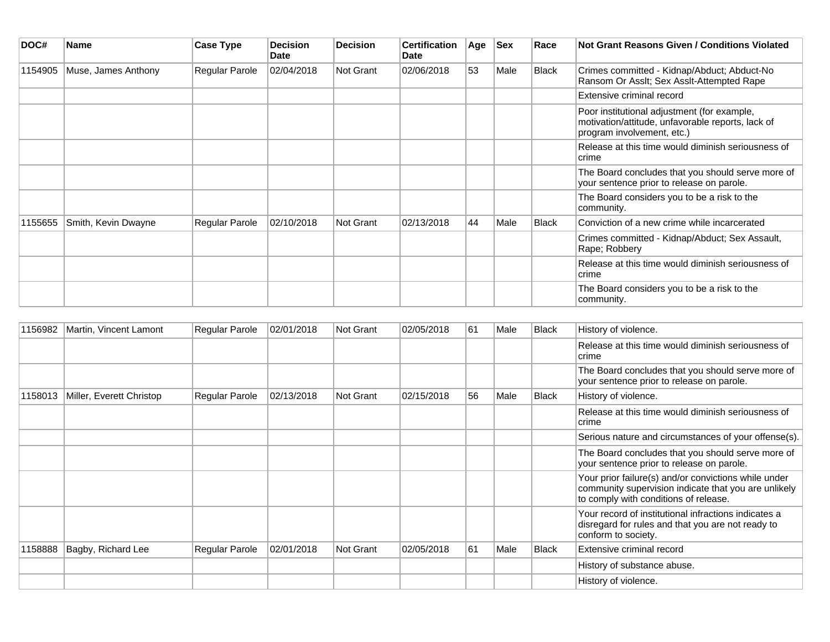| DOC#    | <b>Name</b>         | Case Type      | Decision<br><b>Date</b> | <b>Decision</b> | <b>Certification</b><br>Date | Age | <b>Sex</b> | Race         | Not Grant Reasons Given / Conditions Violated                                                                                  |
|---------|---------------------|----------------|-------------------------|-----------------|------------------------------|-----|------------|--------------|--------------------------------------------------------------------------------------------------------------------------------|
| 1154905 | Muse, James Anthony | Regular Parole | 02/04/2018              | Not Grant       | 02/06/2018                   | 53  | Male       | <b>Black</b> | Crimes committed - Kidnap/Abduct; Abduct-No<br>Ransom Or Asslt; Sex Asslt-Attempted Rape                                       |
|         |                     |                |                         |                 |                              |     |            |              | Extensive criminal record                                                                                                      |
|         |                     |                |                         |                 |                              |     |            |              | Poor institutional adjustment (for example,<br>motivation/attitude, unfavorable reports, lack of<br>program involvement, etc.) |
|         |                     |                |                         |                 |                              |     |            |              | Release at this time would diminish seriousness of<br>crime                                                                    |
|         |                     |                |                         |                 |                              |     |            |              | The Board concludes that you should serve more of<br>your sentence prior to release on parole.                                 |
|         |                     |                |                         |                 |                              |     |            |              | The Board considers you to be a risk to the<br>community.                                                                      |
| 1155655 | Smith, Kevin Dwayne | Regular Parole | 02/10/2018              | Not Grant       | 02/13/2018                   | 44  | Male       | Black        | Conviction of a new crime while incarcerated                                                                                   |
|         |                     |                |                         |                 |                              |     |            |              | Crimes committed - Kidnap/Abduct; Sex Assault,<br>Rape: Robbery                                                                |
|         |                     |                |                         |                 |                              |     |            |              | Release at this time would diminish seriousness of<br> crime                                                                   |
|         |                     |                |                         |                 |                              |     |            |              | The Board considers you to be a risk to the<br>community.                                                                      |

| 1156982 | Martin, Vincent Lamont   | Regular Parole | 02/01/2018 | Not Grant | 02/05/2018 | 61 | Male | <b>Black</b> | History of violence.                                                                                                                                  |
|---------|--------------------------|----------------|------------|-----------|------------|----|------|--------------|-------------------------------------------------------------------------------------------------------------------------------------------------------|
|         |                          |                |            |           |            |    |      |              | Release at this time would diminish seriousness of<br> crime                                                                                          |
|         |                          |                |            |           |            |    |      |              | The Board concludes that you should serve more of<br>your sentence prior to release on parole.                                                        |
| 1158013 | Miller, Everett Christop | Regular Parole | 02/13/2018 | Not Grant | 02/15/2018 | 56 | Male | <b>Black</b> | History of violence.                                                                                                                                  |
|         |                          |                |            |           |            |    |      |              | Release at this time would diminish seriousness of<br>crime                                                                                           |
|         |                          |                |            |           |            |    |      |              | Serious nature and circumstances of your offense(s).                                                                                                  |
|         |                          |                |            |           |            |    |      |              | The Board concludes that you should serve more of<br>your sentence prior to release on parole.                                                        |
|         |                          |                |            |           |            |    |      |              | Your prior failure(s) and/or convictions while under<br>community supervision indicate that you are unlikely<br>to comply with conditions of release. |
|         |                          |                |            |           |            |    |      |              | Your record of institutional infractions indicates a<br>disregard for rules and that you are not ready to<br>conform to society.                      |
| 1158888 | Bagby, Richard Lee       | Regular Parole | 02/01/2018 | Not Grant | 02/05/2018 | 61 | Male | <b>Black</b> | Extensive criminal record                                                                                                                             |
|         |                          |                |            |           |            |    |      |              | History of substance abuse.                                                                                                                           |
|         |                          |                |            |           |            |    |      |              | History of violence.                                                                                                                                  |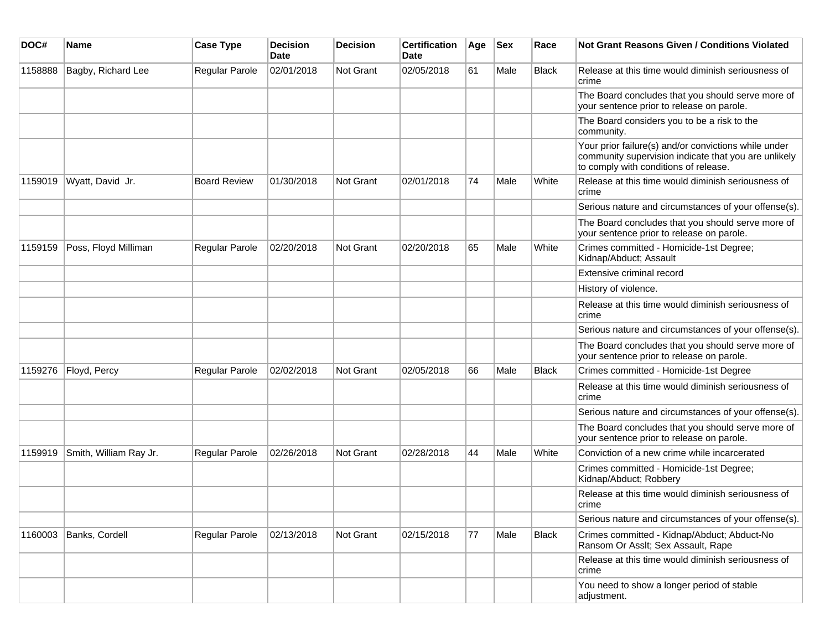| DOC#    | <b>Name</b>            | <b>Case Type</b>    | <b>Decision</b><br><b>Date</b> | <b>Decision</b>  | <b>Certification</b><br>Date | Age | <b>Sex</b> | Race         | <b>Not Grant Reasons Given / Conditions Violated</b>                                                                                                  |
|---------|------------------------|---------------------|--------------------------------|------------------|------------------------------|-----|------------|--------------|-------------------------------------------------------------------------------------------------------------------------------------------------------|
| 1158888 | Bagby, Richard Lee     | Regular Parole      | 02/01/2018                     | <b>Not Grant</b> | 02/05/2018                   | 61  | Male       | Black        | Release at this time would diminish seriousness of<br>crime                                                                                           |
|         |                        |                     |                                |                  |                              |     |            |              | The Board concludes that you should serve more of<br>your sentence prior to release on parole.                                                        |
|         |                        |                     |                                |                  |                              |     |            |              | The Board considers you to be a risk to the<br>community.                                                                                             |
|         |                        |                     |                                |                  |                              |     |            |              | Your prior failure(s) and/or convictions while under<br>community supervision indicate that you are unlikely<br>to comply with conditions of release. |
| 1159019 | Wyatt, David Jr.       | <b>Board Review</b> | 01/30/2018                     | <b>Not Grant</b> | 02/01/2018                   | 74  | Male       | White        | Release at this time would diminish seriousness of<br>crime                                                                                           |
|         |                        |                     |                                |                  |                              |     |            |              | Serious nature and circumstances of your offense(s).                                                                                                  |
|         |                        |                     |                                |                  |                              |     |            |              | The Board concludes that you should serve more of<br>your sentence prior to release on parole.                                                        |
| 1159159 | Poss, Floyd Milliman   | Regular Parole      | 02/20/2018                     | <b>Not Grant</b> | 02/20/2018                   | 65  | Male       | White        | Crimes committed - Homicide-1st Degree;<br>Kidnap/Abduct; Assault                                                                                     |
|         |                        |                     |                                |                  |                              |     |            |              | Extensive criminal record                                                                                                                             |
|         |                        |                     |                                |                  |                              |     |            |              | History of violence.                                                                                                                                  |
|         |                        |                     |                                |                  |                              |     |            |              | Release at this time would diminish seriousness of<br>crime                                                                                           |
|         |                        |                     |                                |                  |                              |     |            |              | Serious nature and circumstances of your offense(s).                                                                                                  |
|         |                        |                     |                                |                  |                              |     |            |              | The Board concludes that you should serve more of<br>your sentence prior to release on parole.                                                        |
| 1159276 | Floyd, Percy           | Regular Parole      | 02/02/2018                     | Not Grant        | 02/05/2018                   | 66  | Male       | Black        | Crimes committed - Homicide-1st Degree                                                                                                                |
|         |                        |                     |                                |                  |                              |     |            |              | Release at this time would diminish seriousness of<br>crime                                                                                           |
|         |                        |                     |                                |                  |                              |     |            |              | Serious nature and circumstances of your offense(s).                                                                                                  |
|         |                        |                     |                                |                  |                              |     |            |              | The Board concludes that you should serve more of<br>your sentence prior to release on parole.                                                        |
| 1159919 | Smith, William Ray Jr. | Regular Parole      | 02/26/2018                     | <b>Not Grant</b> | 02/28/2018                   | 44  | Male       | White        | Conviction of a new crime while incarcerated                                                                                                          |
|         |                        |                     |                                |                  |                              |     |            |              | Crimes committed - Homicide-1st Degree;<br>Kidnap/Abduct; Robbery                                                                                     |
|         |                        |                     |                                |                  |                              |     |            |              | Release at this time would diminish seriousness of<br>crime                                                                                           |
|         |                        |                     |                                |                  |                              |     |            |              | Serious nature and circumstances of your offense(s).                                                                                                  |
| 1160003 | Banks, Cordell         | Regular Parole      | 02/13/2018                     | Not Grant        | 02/15/2018                   | 77  | Male       | <b>Black</b> | Crimes committed - Kidnap/Abduct; Abduct-No<br>Ransom Or Asslt; Sex Assault, Rape                                                                     |
|         |                        |                     |                                |                  |                              |     |            |              | Release at this time would diminish seriousness of<br>crime                                                                                           |
|         |                        |                     |                                |                  |                              |     |            |              | You need to show a longer period of stable<br>adjustment.                                                                                             |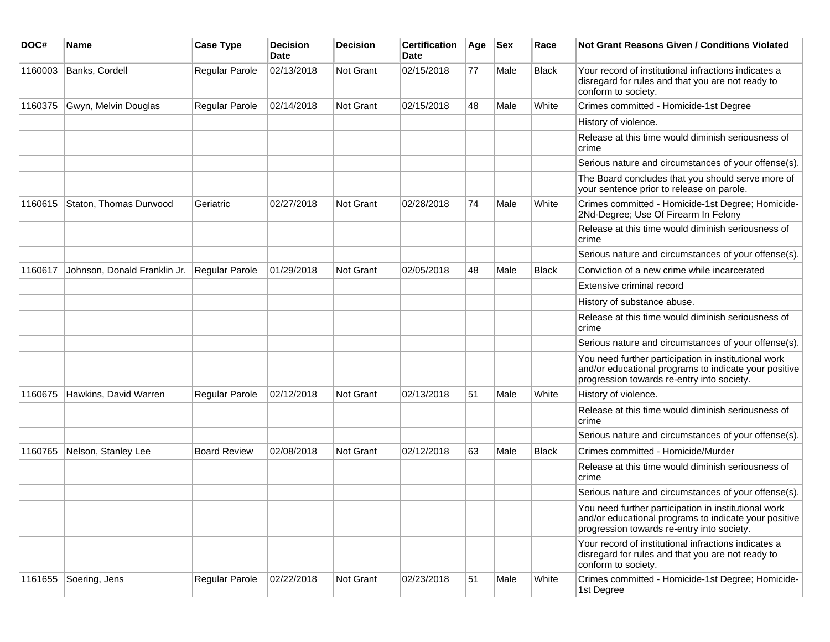| DOC#    | <b>Name</b>                  | <b>Case Type</b>      | <b>Decision</b><br><b>Date</b> | <b>Decision</b>  | <b>Certification</b><br><b>Date</b> | Age | <b>Sex</b> | Race  | Not Grant Reasons Given / Conditions Violated                                                                                                               |
|---------|------------------------------|-----------------------|--------------------------------|------------------|-------------------------------------|-----|------------|-------|-------------------------------------------------------------------------------------------------------------------------------------------------------------|
| 1160003 | Banks, Cordell               | Regular Parole        | 02/13/2018                     | Not Grant        | 02/15/2018                          | 77  | Male       | Black | Your record of institutional infractions indicates a<br>disregard for rules and that you are not ready to<br>conform to society.                            |
| 1160375 | Gwyn, Melvin Douglas         | <b>Regular Parole</b> | 02/14/2018                     | <b>Not Grant</b> | 02/15/2018                          | 48  | Male       | White | Crimes committed - Homicide-1st Degree                                                                                                                      |
|         |                              |                       |                                |                  |                                     |     |            |       | History of violence.                                                                                                                                        |
|         |                              |                       |                                |                  |                                     |     |            |       | Release at this time would diminish seriousness of<br>crime                                                                                                 |
|         |                              |                       |                                |                  |                                     |     |            |       | Serious nature and circumstances of your offense(s).                                                                                                        |
|         |                              |                       |                                |                  |                                     |     |            |       | The Board concludes that you should serve more of<br>your sentence prior to release on parole.                                                              |
| 1160615 | Staton, Thomas Durwood       | Geriatric             | 02/27/2018                     | <b>Not Grant</b> | 02/28/2018                          | 74  | Male       | White | Crimes committed - Homicide-1st Degree; Homicide-<br>2Nd-Degree; Use Of Firearm In Felony                                                                   |
|         |                              |                       |                                |                  |                                     |     |            |       | Release at this time would diminish seriousness of<br>crime                                                                                                 |
|         |                              |                       |                                |                  |                                     |     |            |       | Serious nature and circumstances of your offense(s).                                                                                                        |
| 1160617 | Johnson, Donald Franklin Jr. | Regular Parole        | 01/29/2018                     | Not Grant        | 02/05/2018                          | 48  | Male       | Black | Conviction of a new crime while incarcerated                                                                                                                |
|         |                              |                       |                                |                  |                                     |     |            |       | Extensive criminal record                                                                                                                                   |
|         |                              |                       |                                |                  |                                     |     |            |       | History of substance abuse.                                                                                                                                 |
|         |                              |                       |                                |                  |                                     |     |            |       | Release at this time would diminish seriousness of<br>crime                                                                                                 |
|         |                              |                       |                                |                  |                                     |     |            |       | Serious nature and circumstances of your offense(s).                                                                                                        |
|         |                              |                       |                                |                  |                                     |     |            |       | You need further participation in institutional work<br>and/or educational programs to indicate your positive<br>progression towards re-entry into society. |
| 1160675 | Hawkins, David Warren        | <b>Regular Parole</b> | 02/12/2018                     | Not Grant        | 02/13/2018                          | 51  | Male       | White | History of violence.                                                                                                                                        |
|         |                              |                       |                                |                  |                                     |     |            |       | Release at this time would diminish seriousness of<br>crime                                                                                                 |
|         |                              |                       |                                |                  |                                     |     |            |       | Serious nature and circumstances of your offense(s).                                                                                                        |
| 1160765 | Nelson, Stanley Lee          | <b>Board Review</b>   | 02/08/2018                     | Not Grant        | 02/12/2018                          | 63  | Male       | Black | Crimes committed - Homicide/Murder                                                                                                                          |
|         |                              |                       |                                |                  |                                     |     |            |       | Release at this time would diminish seriousness of<br>crime                                                                                                 |
|         |                              |                       |                                |                  |                                     |     |            |       | Serious nature and circumstances of your offense(s).                                                                                                        |
|         |                              |                       |                                |                  |                                     |     |            |       | You need further participation in institutional work<br>and/or educational programs to indicate your positive<br>progression towards re-entry into society. |
|         |                              |                       |                                |                  |                                     |     |            |       | Your record of institutional infractions indicates a<br>disregard for rules and that you are not ready to<br>conform to society.                            |
| 1161655 | Soering, Jens                | Regular Parole        | 02/22/2018                     | Not Grant        | 02/23/2018                          | 51  | Male       | White | Crimes committed - Homicide-1st Degree; Homicide-<br>1st Degree                                                                                             |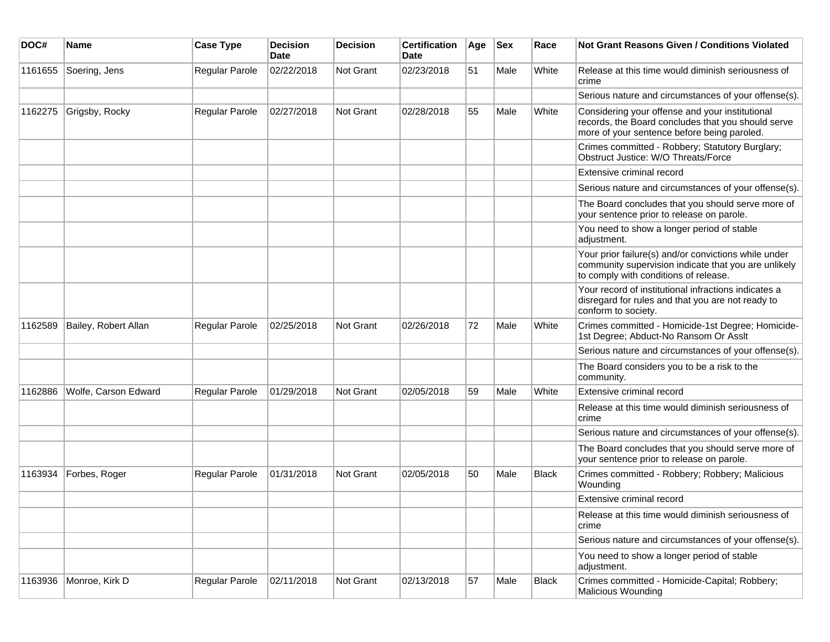| DOC#    | Name                 | <b>Case Type</b>      | <b>Decision</b><br><b>Date</b> | <b>Decision</b>  | <b>Certification</b><br><b>Date</b> | Age | <b>Sex</b> | Race         | Not Grant Reasons Given / Conditions Violated                                                                                                         |
|---------|----------------------|-----------------------|--------------------------------|------------------|-------------------------------------|-----|------------|--------------|-------------------------------------------------------------------------------------------------------------------------------------------------------|
| 1161655 | Soering, Jens        | Regular Parole        | 02/22/2018                     | <b>Not Grant</b> | 02/23/2018                          | 51  | Male       | White        | Release at this time would diminish seriousness of<br>crime                                                                                           |
|         |                      |                       |                                |                  |                                     |     |            |              | Serious nature and circumstances of your offense(s).                                                                                                  |
| 1162275 | Grigsby, Rocky       | Regular Parole        | 02/27/2018                     | <b>Not Grant</b> | 02/28/2018                          | 55  | Male       | White        | Considering your offense and your institutional<br>records, the Board concludes that you should serve<br>more of your sentence before being paroled.  |
|         |                      |                       |                                |                  |                                     |     |            |              | Crimes committed - Robbery; Statutory Burglary;<br>Obstruct Justice: W/O Threats/Force                                                                |
|         |                      |                       |                                |                  |                                     |     |            |              | Extensive criminal record                                                                                                                             |
|         |                      |                       |                                |                  |                                     |     |            |              | Serious nature and circumstances of your offense(s).                                                                                                  |
|         |                      |                       |                                |                  |                                     |     |            |              | The Board concludes that you should serve more of<br>your sentence prior to release on parole.                                                        |
|         |                      |                       |                                |                  |                                     |     |            |              | You need to show a longer period of stable<br>adjustment.                                                                                             |
|         |                      |                       |                                |                  |                                     |     |            |              | Your prior failure(s) and/or convictions while under<br>community supervision indicate that you are unlikely<br>to comply with conditions of release. |
|         |                      |                       |                                |                  |                                     |     |            |              | Your record of institutional infractions indicates a<br>disregard for rules and that you are not ready to<br>conform to society.                      |
| 1162589 | Bailey, Robert Allan | <b>Regular Parole</b> | 02/25/2018                     | Not Grant        | 02/26/2018                          | 72  | Male       | White        | Crimes committed - Homicide-1st Degree; Homicide-<br>1st Degree; Abduct-No Ransom Or Asslt                                                            |
|         |                      |                       |                                |                  |                                     |     |            |              | Serious nature and circumstances of your offense(s).                                                                                                  |
|         |                      |                       |                                |                  |                                     |     |            |              | The Board considers you to be a risk to the<br>community.                                                                                             |
| 1162886 | Wolfe, Carson Edward | <b>Regular Parole</b> | 01/29/2018                     | Not Grant        | 02/05/2018                          | 59  | Male       | White        | Extensive criminal record                                                                                                                             |
|         |                      |                       |                                |                  |                                     |     |            |              | Release at this time would diminish seriousness of<br>crime                                                                                           |
|         |                      |                       |                                |                  |                                     |     |            |              | Serious nature and circumstances of your offense(s).                                                                                                  |
|         |                      |                       |                                |                  |                                     |     |            |              | The Board concludes that you should serve more of<br>your sentence prior to release on parole.                                                        |
| 1163934 | Forbes, Roger        | Regular Parole        | 01/31/2018                     | <b>Not Grant</b> | 02/05/2018                          | 50  | Male       | <b>Black</b> | Crimes committed - Robbery; Robbery; Malicious<br>Wounding                                                                                            |
|         |                      |                       |                                |                  |                                     |     |            |              | Extensive criminal record                                                                                                                             |
|         |                      |                       |                                |                  |                                     |     |            |              | Release at this time would diminish seriousness of<br>crime                                                                                           |
|         |                      |                       |                                |                  |                                     |     |            |              | Serious nature and circumstances of your offense(s).                                                                                                  |
|         |                      |                       |                                |                  |                                     |     |            |              | You need to show a longer period of stable<br>adjustment.                                                                                             |
| 1163936 | Monroe, Kirk D       | Regular Parole        | 02/11/2018                     | Not Grant        | 02/13/2018                          | 57  | Male       | <b>Black</b> | Crimes committed - Homicide-Capital; Robbery;<br><b>Malicious Wounding</b>                                                                            |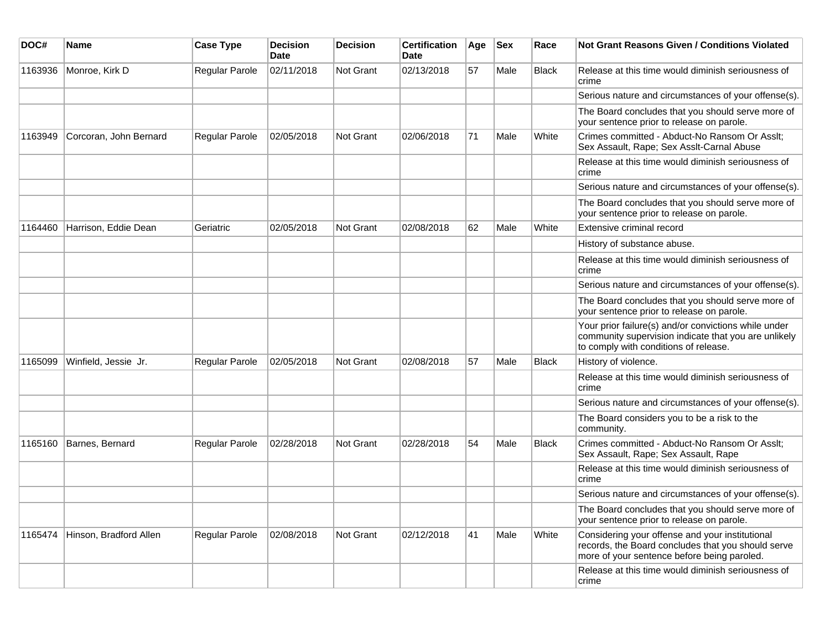| DOC#    | <b>Name</b>            | <b>Case Type</b> | <b>Decision</b><br>Date | <b>Decision</b> | <b>Certification</b><br>Date | Age | <b>Sex</b> | Race         | Not Grant Reasons Given / Conditions Violated                                                                                                         |
|---------|------------------------|------------------|-------------------------|-----------------|------------------------------|-----|------------|--------------|-------------------------------------------------------------------------------------------------------------------------------------------------------|
| 1163936 | Monroe, Kirk D         | Regular Parole   | 02/11/2018              | Not Grant       | 02/13/2018                   | 57  | Male       | Black        | Release at this time would diminish seriousness of<br>crime                                                                                           |
|         |                        |                  |                         |                 |                              |     |            |              | Serious nature and circumstances of your offense(s).                                                                                                  |
|         |                        |                  |                         |                 |                              |     |            |              | The Board concludes that you should serve more of<br>your sentence prior to release on parole.                                                        |
| 1163949 | Corcoran, John Bernard | Regular Parole   | 02/05/2018              | Not Grant       | 02/06/2018                   | 71  | Male       | White        | Crimes committed - Abduct-No Ransom Or Asslt;<br>Sex Assault, Rape; Sex Asslt-Carnal Abuse                                                            |
|         |                        |                  |                         |                 |                              |     |            |              | Release at this time would diminish seriousness of<br>crime                                                                                           |
|         |                        |                  |                         |                 |                              |     |            |              | Serious nature and circumstances of your offense(s).                                                                                                  |
|         |                        |                  |                         |                 |                              |     |            |              | The Board concludes that you should serve more of<br>your sentence prior to release on parole.                                                        |
| 1164460 | Harrison, Eddie Dean   | Geriatric        | 02/05/2018              | Not Grant       | 02/08/2018                   | 62  | Male       | White        | Extensive criminal record                                                                                                                             |
|         |                        |                  |                         |                 |                              |     |            |              | History of substance abuse.                                                                                                                           |
|         |                        |                  |                         |                 |                              |     |            |              | Release at this time would diminish seriousness of<br>crime                                                                                           |
|         |                        |                  |                         |                 |                              |     |            |              | Serious nature and circumstances of your offense(s).                                                                                                  |
|         |                        |                  |                         |                 |                              |     |            |              | The Board concludes that you should serve more of<br>your sentence prior to release on parole.                                                        |
|         |                        |                  |                         |                 |                              |     |            |              | Your prior failure(s) and/or convictions while under<br>community supervision indicate that you are unlikely<br>to comply with conditions of release. |
| 1165099 | Winfield, Jessie Jr.   | Regular Parole   | 02/05/2018              | Not Grant       | 02/08/2018                   | 57  | Male       | <b>Black</b> | History of violence.                                                                                                                                  |
|         |                        |                  |                         |                 |                              |     |            |              | Release at this time would diminish seriousness of<br>crime                                                                                           |
|         |                        |                  |                         |                 |                              |     |            |              | Serious nature and circumstances of your offense(s).                                                                                                  |
|         |                        |                  |                         |                 |                              |     |            |              | The Board considers you to be a risk to the<br>community.                                                                                             |
| 1165160 | Barnes, Bernard        | Regular Parole   | 02/28/2018              | Not Grant       | 02/28/2018                   | 54  | Male       | <b>Black</b> | Crimes committed - Abduct-No Ransom Or Asslt;<br>Sex Assault, Rape; Sex Assault, Rape                                                                 |
|         |                        |                  |                         |                 |                              |     |            |              | Release at this time would diminish seriousness of<br>crime                                                                                           |
|         |                        |                  |                         |                 |                              |     |            |              | Serious nature and circumstances of your offense(s).                                                                                                  |
|         |                        |                  |                         |                 |                              |     |            |              | The Board concludes that you should serve more of<br>your sentence prior to release on parole.                                                        |
| 1165474 | Hinson, Bradford Allen | Regular Parole   | 02/08/2018              | Not Grant       | 02/12/2018                   | 41  | Male       | White        | Considering your offense and your institutional<br>records, the Board concludes that you should serve<br>more of your sentence before being paroled.  |
|         |                        |                  |                         |                 |                              |     |            |              | Release at this time would diminish seriousness of<br>crime                                                                                           |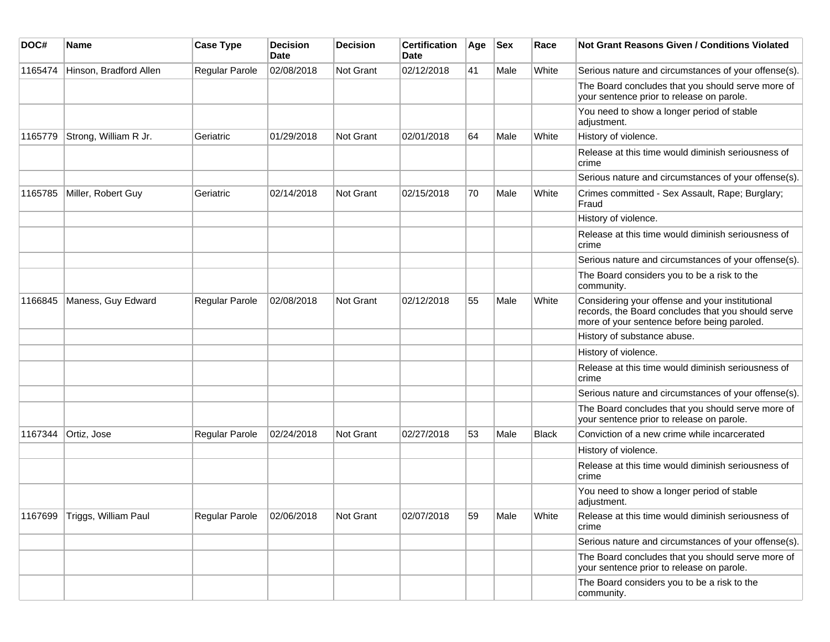| DOC#    | <b>Name</b>            | <b>Case Type</b> | <b>Decision</b><br>Date | <b>Decision</b> | <b>Certification</b><br>Date | Age | <b>Sex</b> | Race         | Not Grant Reasons Given / Conditions Violated                                                                                                        |
|---------|------------------------|------------------|-------------------------|-----------------|------------------------------|-----|------------|--------------|------------------------------------------------------------------------------------------------------------------------------------------------------|
| 1165474 | Hinson, Bradford Allen | Regular Parole   | 02/08/2018              | Not Grant       | 02/12/2018                   | 41  | Male       | White        | Serious nature and circumstances of your offense(s).                                                                                                 |
|         |                        |                  |                         |                 |                              |     |            |              | The Board concludes that you should serve more of<br>your sentence prior to release on parole.                                                       |
|         |                        |                  |                         |                 |                              |     |            |              | You need to show a longer period of stable<br>adjustment.                                                                                            |
| 1165779 | Strong, William R Jr.  | Geriatric        | 01/29/2018              | Not Grant       | 02/01/2018                   | 64  | Male       | White        | History of violence.                                                                                                                                 |
|         |                        |                  |                         |                 |                              |     |            |              | Release at this time would diminish seriousness of<br>crime                                                                                          |
|         |                        |                  |                         |                 |                              |     |            |              | Serious nature and circumstances of your offense(s).                                                                                                 |
| 1165785 | Miller, Robert Guy     | Geriatric        | 02/14/2018              | Not Grant       | 02/15/2018                   | 70  | Male       | White        | Crimes committed - Sex Assault, Rape; Burglary;<br>Fraud                                                                                             |
|         |                        |                  |                         |                 |                              |     |            |              | History of violence.                                                                                                                                 |
|         |                        |                  |                         |                 |                              |     |            |              | Release at this time would diminish seriousness of<br>crime                                                                                          |
|         |                        |                  |                         |                 |                              |     |            |              | Serious nature and circumstances of your offense(s).                                                                                                 |
|         |                        |                  |                         |                 |                              |     |            |              | The Board considers you to be a risk to the<br>community.                                                                                            |
| 1166845 | Maness, Guy Edward     | Regular Parole   | 02/08/2018              | Not Grant       | 02/12/2018                   | 55  | Male       | White        | Considering your offense and your institutional<br>records, the Board concludes that you should serve<br>more of your sentence before being paroled. |
|         |                        |                  |                         |                 |                              |     |            |              | History of substance abuse.                                                                                                                          |
|         |                        |                  |                         |                 |                              |     |            |              | History of violence.                                                                                                                                 |
|         |                        |                  |                         |                 |                              |     |            |              | Release at this time would diminish seriousness of<br>crime                                                                                          |
|         |                        |                  |                         |                 |                              |     |            |              | Serious nature and circumstances of your offense(s).                                                                                                 |
|         |                        |                  |                         |                 |                              |     |            |              | The Board concludes that you should serve more of<br>your sentence prior to release on parole.                                                       |
| 1167344 | Ortiz, Jose            | Regular Parole   | 02/24/2018              | Not Grant       | 02/27/2018                   | 53  | Male       | <b>Black</b> | Conviction of a new crime while incarcerated                                                                                                         |
|         |                        |                  |                         |                 |                              |     |            |              | History of violence.                                                                                                                                 |
|         |                        |                  |                         |                 |                              |     |            |              | Release at this time would diminish seriousness of<br>crime                                                                                          |
|         |                        |                  |                         |                 |                              |     |            |              | You need to show a longer period of stable<br>adjustment.                                                                                            |
| 1167699 | Triggs, William Paul   | Regular Parole   | 02/06/2018              | Not Grant       | 02/07/2018                   | 59  | Male       | White        | Release at this time would diminish seriousness of<br>crime                                                                                          |
|         |                        |                  |                         |                 |                              |     |            |              | Serious nature and circumstances of your offense(s).                                                                                                 |
|         |                        |                  |                         |                 |                              |     |            |              | The Board concludes that you should serve more of<br>your sentence prior to release on parole.                                                       |
|         |                        |                  |                         |                 |                              |     |            |              | The Board considers you to be a risk to the<br>community.                                                                                            |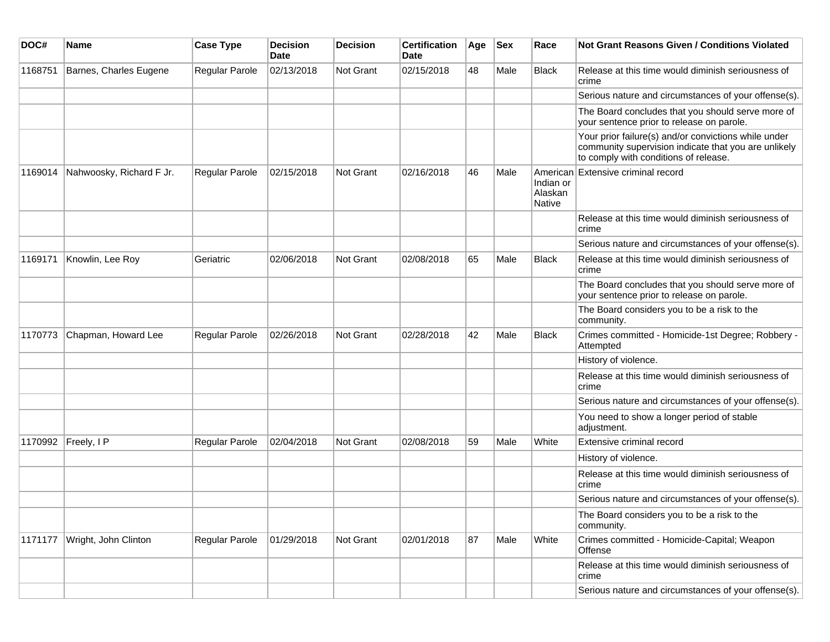| DOC#    | Name                     | <b>Case Type</b>      | <b>Decision</b><br>Date | <b>Decision</b>  | <b>Certification</b><br>Date | Age | <b>Sex</b> | Race                           | <b>Not Grant Reasons Given / Conditions Violated</b>                                                                                                  |
|---------|--------------------------|-----------------------|-------------------------|------------------|------------------------------|-----|------------|--------------------------------|-------------------------------------------------------------------------------------------------------------------------------------------------------|
| 1168751 | Barnes, Charles Eugene   | Regular Parole        | 02/13/2018              | Not Grant        | 02/15/2018                   | 48  | Male       | Black                          | Release at this time would diminish seriousness of<br>crime                                                                                           |
|         |                          |                       |                         |                  |                              |     |            |                                | Serious nature and circumstances of your offense(s).                                                                                                  |
|         |                          |                       |                         |                  |                              |     |            |                                | The Board concludes that you should serve more of<br>your sentence prior to release on parole.                                                        |
|         |                          |                       |                         |                  |                              |     |            |                                | Your prior failure(s) and/or convictions while under<br>community supervision indicate that you are unlikely<br>to comply with conditions of release. |
| 1169014 | Nahwoosky, Richard F Jr. | Regular Parole        | 02/15/2018              | <b>Not Grant</b> | 02/16/2018                   | 46  | Male       | Indian or<br>Alaskan<br>Native | American Extensive criminal record                                                                                                                    |
|         |                          |                       |                         |                  |                              |     |            |                                | Release at this time would diminish seriousness of<br>crime                                                                                           |
|         |                          |                       |                         |                  |                              |     |            |                                | Serious nature and circumstances of your offense(s).                                                                                                  |
| 1169171 | Knowlin, Lee Roy         | Geriatric             | 02/06/2018              | Not Grant        | 02/08/2018                   | 65  | Male       | Black                          | Release at this time would diminish seriousness of<br>crime                                                                                           |
|         |                          |                       |                         |                  |                              |     |            |                                | The Board concludes that you should serve more of<br>your sentence prior to release on parole.                                                        |
|         |                          |                       |                         |                  |                              |     |            |                                | The Board considers you to be a risk to the<br>community.                                                                                             |
| 1170773 | Chapman, Howard Lee      | <b>Regular Parole</b> | 02/26/2018              | Not Grant        | 02/28/2018                   | 42  | Male       | Black                          | Crimes committed - Homicide-1st Degree; Robbery -<br>Attempted                                                                                        |
|         |                          |                       |                         |                  |                              |     |            |                                | History of violence.                                                                                                                                  |
|         |                          |                       |                         |                  |                              |     |            |                                | Release at this time would diminish seriousness of<br>crime                                                                                           |
|         |                          |                       |                         |                  |                              |     |            |                                | Serious nature and circumstances of your offense(s).                                                                                                  |
|         |                          |                       |                         |                  |                              |     |            |                                | You need to show a longer period of stable<br>adjustment.                                                                                             |
| 1170992 | Freely, I P              | <b>Regular Parole</b> | 02/04/2018              | <b>Not Grant</b> | 02/08/2018                   | 59  | Male       | White                          | Extensive criminal record                                                                                                                             |
|         |                          |                       |                         |                  |                              |     |            |                                | History of violence.                                                                                                                                  |
|         |                          |                       |                         |                  |                              |     |            |                                | Release at this time would diminish seriousness of<br>crime                                                                                           |
|         |                          |                       |                         |                  |                              |     |            |                                | Serious nature and circumstances of your offense(s).                                                                                                  |
|         |                          |                       |                         |                  |                              |     |            |                                | The Board considers you to be a risk to the<br>community.                                                                                             |
| 1171177 | Wright, John Clinton     | Regular Parole        | 01/29/2018              | Not Grant        | 02/01/2018                   | 87  | Male       | White                          | Crimes committed - Homicide-Capital; Weapon<br>Offense                                                                                                |
|         |                          |                       |                         |                  |                              |     |            |                                | Release at this time would diminish seriousness of<br>crime                                                                                           |
|         |                          |                       |                         |                  |                              |     |            |                                | Serious nature and circumstances of your offense(s).                                                                                                  |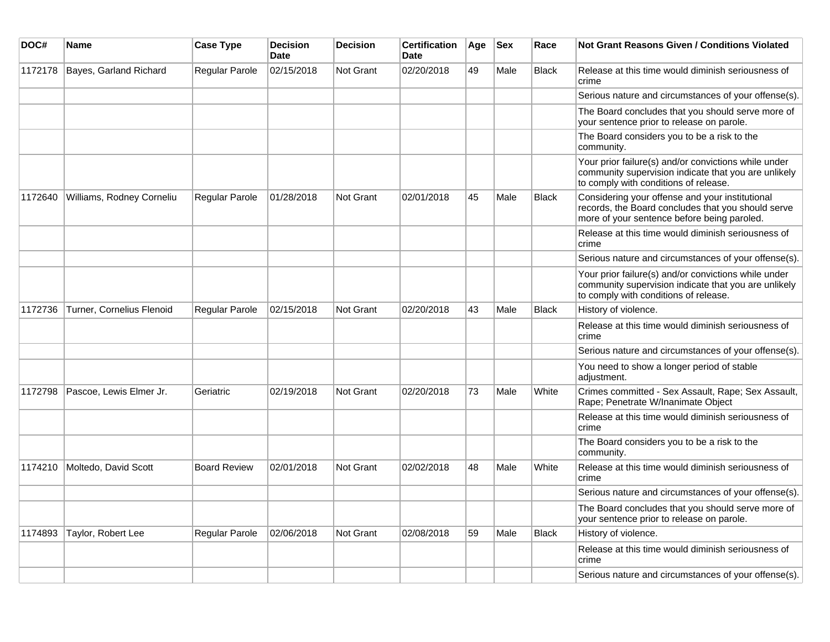| DOC#    | Name                      | <b>Case Type</b>      | <b>Decision</b><br><b>Date</b> | <b>Decision</b>  | <b>Certification</b><br><b>Date</b> | Age | $ $ Sex | Race         | <b>Not Grant Reasons Given / Conditions Violated</b>                                                                                                  |
|---------|---------------------------|-----------------------|--------------------------------|------------------|-------------------------------------|-----|---------|--------------|-------------------------------------------------------------------------------------------------------------------------------------------------------|
| 1172178 | Bayes, Garland Richard    | <b>Regular Parole</b> | 02/15/2018                     | <b>Not Grant</b> | 02/20/2018                          | 49  | Male    | <b>Black</b> | Release at this time would diminish seriousness of<br>crime                                                                                           |
|         |                           |                       |                                |                  |                                     |     |         |              | Serious nature and circumstances of your offense(s).                                                                                                  |
|         |                           |                       |                                |                  |                                     |     |         |              | The Board concludes that you should serve more of<br>your sentence prior to release on parole.                                                        |
|         |                           |                       |                                |                  |                                     |     |         |              | The Board considers you to be a risk to the<br>community.                                                                                             |
|         |                           |                       |                                |                  |                                     |     |         |              | Your prior failure(s) and/or convictions while under<br>community supervision indicate that you are unlikely<br>to comply with conditions of release. |
| 1172640 | Williams, Rodney Corneliu | Regular Parole        | 01/28/2018                     | <b>Not Grant</b> | 02/01/2018                          | 45  | Male    | <b>Black</b> | Considering your offense and your institutional<br>records, the Board concludes that you should serve<br>more of your sentence before being paroled.  |
|         |                           |                       |                                |                  |                                     |     |         |              | Release at this time would diminish seriousness of<br>crime                                                                                           |
|         |                           |                       |                                |                  |                                     |     |         |              | Serious nature and circumstances of your offense(s).                                                                                                  |
|         |                           |                       |                                |                  |                                     |     |         |              | Your prior failure(s) and/or convictions while under<br>community supervision indicate that you are unlikely<br>to comply with conditions of release. |
| 1172736 | Turner, Cornelius Flenoid | <b>Regular Parole</b> | 02/15/2018                     | Not Grant        | 02/20/2018                          | 43  | Male    | <b>Black</b> | History of violence.                                                                                                                                  |
|         |                           |                       |                                |                  |                                     |     |         |              | Release at this time would diminish seriousness of<br><b>crime</b>                                                                                    |
|         |                           |                       |                                |                  |                                     |     |         |              | Serious nature and circumstances of your offense(s).                                                                                                  |
|         |                           |                       |                                |                  |                                     |     |         |              | You need to show a longer period of stable<br>adjustment.                                                                                             |
| 1172798 | Pascoe, Lewis Elmer Jr.   | Geriatric             | 02/19/2018                     | <b>Not Grant</b> | 02/20/2018                          | 73  | Male    | White        | Crimes committed - Sex Assault, Rape; Sex Assault,<br>Rape; Penetrate W/Inanimate Object                                                              |
|         |                           |                       |                                |                  |                                     |     |         |              | Release at this time would diminish seriousness of<br>crime                                                                                           |
|         |                           |                       |                                |                  |                                     |     |         |              | The Board considers you to be a risk to the<br>community.                                                                                             |
| 1174210 | Moltedo, David Scott      | <b>Board Review</b>   | 02/01/2018                     | Not Grant        | 02/02/2018                          | 48  | Male    | White        | Release at this time would diminish seriousness of<br>crime                                                                                           |
|         |                           |                       |                                |                  |                                     |     |         |              | Serious nature and circumstances of your offense(s).                                                                                                  |
|         |                           |                       |                                |                  |                                     |     |         |              | The Board concludes that you should serve more of<br>your sentence prior to release on parole.                                                        |
| 1174893 | Taylor, Robert Lee        | <b>Regular Parole</b> | 02/06/2018                     | <b>Not Grant</b> | 02/08/2018                          | 59  | Male    | <b>Black</b> | History of violence.                                                                                                                                  |
|         |                           |                       |                                |                  |                                     |     |         |              | Release at this time would diminish seriousness of<br>crime                                                                                           |
|         |                           |                       |                                |                  |                                     |     |         |              | Serious nature and circumstances of your offense(s).                                                                                                  |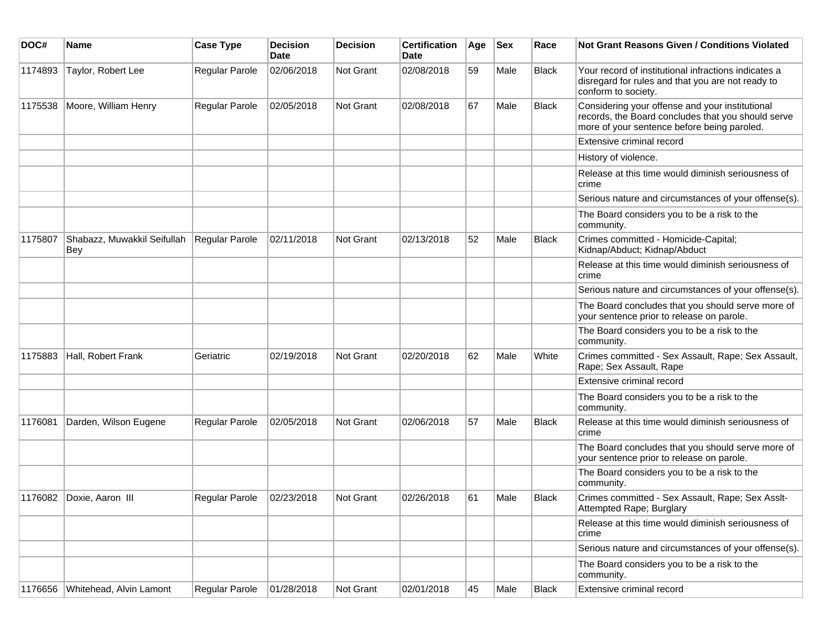| DOC#    | <b>Name</b>                               | <b>Case Type</b>      | <b>Decision</b><br><b>Date</b> | <b>Decision</b> | <b>Certification</b><br>Date | Age | <b>Sex</b> | Race         | Not Grant Reasons Given / Conditions Violated                                                                                                        |
|---------|-------------------------------------------|-----------------------|--------------------------------|-----------------|------------------------------|-----|------------|--------------|------------------------------------------------------------------------------------------------------------------------------------------------------|
| 1174893 | Taylor, Robert Lee                        | Regular Parole        | 02/06/2018                     | Not Grant       | 02/08/2018                   | 59  | Male       | <b>Black</b> | Your record of institutional infractions indicates a<br>disregard for rules and that you are not ready to<br>conform to society.                     |
| 1175538 | Moore, William Henry                      | Regular Parole        | 02/05/2018                     | Not Grant       | 02/08/2018                   | 67  | Male       | <b>Black</b> | Considering your offense and your institutional<br>records, the Board concludes that you should serve<br>more of your sentence before being paroled. |
|         |                                           |                       |                                |                 |                              |     |            |              | Extensive criminal record                                                                                                                            |
|         |                                           |                       |                                |                 |                              |     |            |              | History of violence.                                                                                                                                 |
|         |                                           |                       |                                |                 |                              |     |            |              | Release at this time would diminish seriousness of<br>crime                                                                                          |
|         |                                           |                       |                                |                 |                              |     |            |              | Serious nature and circumstances of your offense(s).                                                                                                 |
|         |                                           |                       |                                |                 |                              |     |            |              | The Board considers you to be a risk to the<br>community.                                                                                            |
| 1175807 | Shabazz, Muwakkil Seifullah<br><b>Bey</b> | Regular Parole        | 02/11/2018                     | Not Grant       | 02/13/2018                   | 52  | Male       | <b>Black</b> | Crimes committed - Homicide-Capital;<br>Kidnap/Abduct; Kidnap/Abduct                                                                                 |
|         |                                           |                       |                                |                 |                              |     |            |              | Release at this time would diminish seriousness of<br>crime                                                                                          |
|         |                                           |                       |                                |                 |                              |     |            |              | Serious nature and circumstances of your offense(s).                                                                                                 |
|         |                                           |                       |                                |                 |                              |     |            |              | The Board concludes that you should serve more of<br>your sentence prior to release on parole.                                                       |
|         |                                           |                       |                                |                 |                              |     |            |              | The Board considers you to be a risk to the<br>community.                                                                                            |
| 1175883 | Hall, Robert Frank                        | Geriatric             | 02/19/2018                     | Not Grant       | 02/20/2018                   | 62  | Male       | White        | Crimes committed - Sex Assault, Rape; Sex Assault,<br>Rape; Sex Assault, Rape                                                                        |
|         |                                           |                       |                                |                 |                              |     |            |              | Extensive criminal record                                                                                                                            |
|         |                                           |                       |                                |                 |                              |     |            |              | The Board considers you to be a risk to the<br>community.                                                                                            |
| 1176081 | Darden, Wilson Eugene                     | <b>Regular Parole</b> | 02/05/2018                     | Not Grant       | 02/06/2018                   | 57  | Male       | Black        | Release at this time would diminish seriousness of<br>crime                                                                                          |
|         |                                           |                       |                                |                 |                              |     |            |              | The Board concludes that you should serve more of<br>your sentence prior to release on parole.                                                       |
|         |                                           |                       |                                |                 |                              |     |            |              | The Board considers you to be a risk to the<br>community.                                                                                            |
| 1176082 | Doxie, Aaron III                          | Regular Parole        | 02/23/2018                     | Not Grant       | 02/26/2018                   | 61  | Male       | Black        | Crimes committed - Sex Assault, Rape; Sex Asslt-<br>Attempted Rape; Burglary                                                                         |
|         |                                           |                       |                                |                 |                              |     |            |              | Release at this time would diminish seriousness of<br>crime                                                                                          |
|         |                                           |                       |                                |                 |                              |     |            |              | Serious nature and circumstances of your offense(s).                                                                                                 |
|         |                                           |                       |                                |                 |                              |     |            |              | The Board considers you to be a risk to the<br>community.                                                                                            |
| 1176656 | Whitehead, Alvin Lamont                   | Regular Parole        | 01/28/2018                     | Not Grant       | 02/01/2018                   | 45  | Male       | <b>Black</b> | Extensive criminal record                                                                                                                            |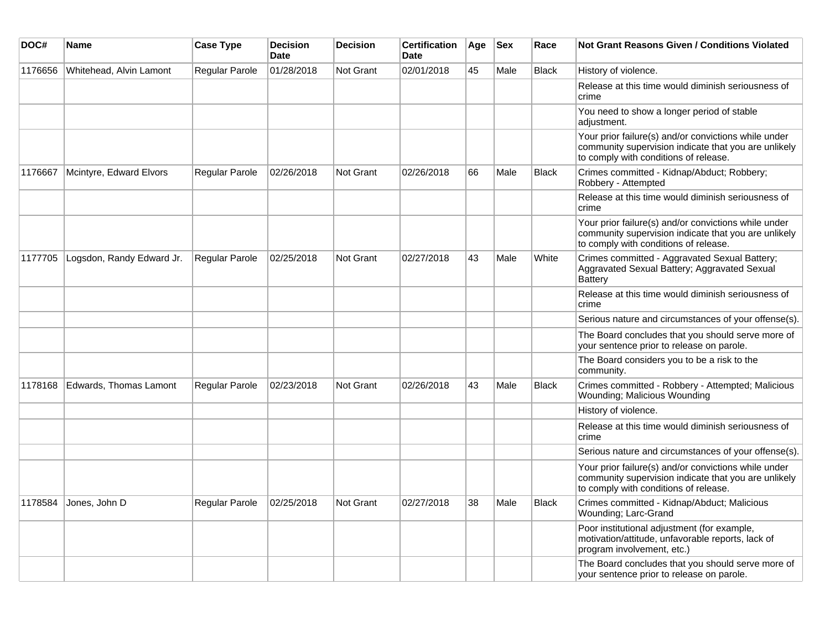| DOC#    | Name                      | <b>Case Type</b>      | <b>Decision</b><br><b>Date</b> | <b>Decision</b>  | <b>Certification</b><br><b>Date</b> | Age | <b>Sex</b> | Race         | <b>Not Grant Reasons Given / Conditions Violated</b>                                                                                                  |
|---------|---------------------------|-----------------------|--------------------------------|------------------|-------------------------------------|-----|------------|--------------|-------------------------------------------------------------------------------------------------------------------------------------------------------|
| 1176656 | Whitehead, Alvin Lamont   | <b>Regular Parole</b> | 01/28/2018                     | <b>Not Grant</b> | 02/01/2018                          | 45  | Male       | <b>Black</b> | History of violence.                                                                                                                                  |
|         |                           |                       |                                |                  |                                     |     |            |              | Release at this time would diminish seriousness of<br>crime                                                                                           |
|         |                           |                       |                                |                  |                                     |     |            |              | You need to show a longer period of stable<br>adjustment.                                                                                             |
|         |                           |                       |                                |                  |                                     |     |            |              | Your prior failure(s) and/or convictions while under<br>community supervision indicate that you are unlikely<br>to comply with conditions of release. |
| 1176667 | Mcintyre, Edward Elvors   | <b>Regular Parole</b> | 02/26/2018                     | <b>Not Grant</b> | 02/26/2018                          | 66  | Male       | <b>Black</b> | Crimes committed - Kidnap/Abduct; Robbery;<br>Robbery - Attempted                                                                                     |
|         |                           |                       |                                |                  |                                     |     |            |              | Release at this time would diminish seriousness of<br>crime                                                                                           |
|         |                           |                       |                                |                  |                                     |     |            |              | Your prior failure(s) and/or convictions while under<br>community supervision indicate that you are unlikely<br>to comply with conditions of release. |
| 1177705 | Logsdon, Randy Edward Jr. | Regular Parole        | 02/25/2018                     | <b>Not Grant</b> | 02/27/2018                          | 43  | Male       | White        | Crimes committed - Aggravated Sexual Battery;<br>Aggravated Sexual Battery; Aggravated Sexual<br><b>Battery</b>                                       |
|         |                           |                       |                                |                  |                                     |     |            |              | Release at this time would diminish seriousness of<br>crime                                                                                           |
|         |                           |                       |                                |                  |                                     |     |            |              | Serious nature and circumstances of your offense(s).                                                                                                  |
|         |                           |                       |                                |                  |                                     |     |            |              | The Board concludes that you should serve more of<br>your sentence prior to release on parole.                                                        |
|         |                           |                       |                                |                  |                                     |     |            |              | The Board considers you to be a risk to the<br>community.                                                                                             |
| 1178168 | Edwards, Thomas Lamont    | <b>Regular Parole</b> | 02/23/2018                     | <b>Not Grant</b> | 02/26/2018                          | 43  | Male       | <b>Black</b> | Crimes committed - Robbery - Attempted; Malicious<br>Wounding; Malicious Wounding                                                                     |
|         |                           |                       |                                |                  |                                     |     |            |              | History of violence.                                                                                                                                  |
|         |                           |                       |                                |                  |                                     |     |            |              | Release at this time would diminish seriousness of<br>crime                                                                                           |
|         |                           |                       |                                |                  |                                     |     |            |              | Serious nature and circumstances of your offense(s).                                                                                                  |
|         |                           |                       |                                |                  |                                     |     |            |              | Your prior failure(s) and/or convictions while under<br>community supervision indicate that you are unlikely<br>to comply with conditions of release. |
| 1178584 | Jones, John D             | <b>Regular Parole</b> | 02/25/2018                     | <b>Not Grant</b> | 02/27/2018                          | 38  | Male       | <b>Black</b> | Crimes committed - Kidnap/Abduct; Malicious<br>Wounding; Larc-Grand                                                                                   |
|         |                           |                       |                                |                  |                                     |     |            |              | Poor institutional adjustment (for example,<br>motivation/attitude, unfavorable reports, lack of<br>program involvement, etc.)                        |
|         |                           |                       |                                |                  |                                     |     |            |              | The Board concludes that you should serve more of<br>your sentence prior to release on parole.                                                        |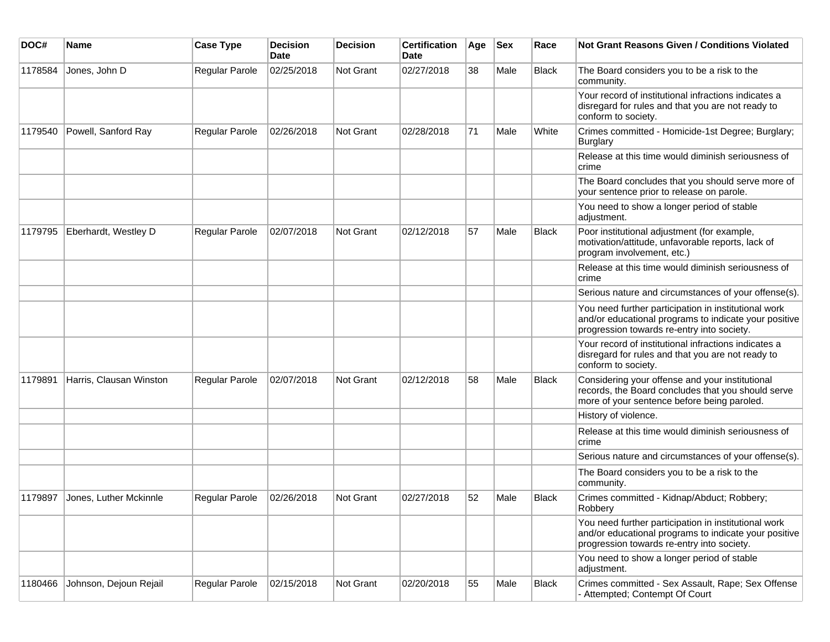| DOC#    | Name                    | <b>Case Type</b> | <b>Decision</b><br>Date | Decision         | <b>Certification</b><br><b>Date</b> | Age | <b>Sex</b> | Race         | <b>Not Grant Reasons Given / Conditions Violated</b>                                                                                                        |
|---------|-------------------------|------------------|-------------------------|------------------|-------------------------------------|-----|------------|--------------|-------------------------------------------------------------------------------------------------------------------------------------------------------------|
| 1178584 | Jones, John D           | Regular Parole   | 02/25/2018              | Not Grant        | 02/27/2018                          | 38  | Male       | <b>Black</b> | The Board considers you to be a risk to the<br>community.                                                                                                   |
|         |                         |                  |                         |                  |                                     |     |            |              | Your record of institutional infractions indicates a<br>disregard for rules and that you are not ready to<br>conform to society.                            |
| 1179540 | Powell, Sanford Ray     | Regular Parole   | 02/26/2018              | Not Grant        | 02/28/2018                          | 71  | Male       | White        | Crimes committed - Homicide-1st Degree; Burglary;<br><b>Burglary</b>                                                                                        |
|         |                         |                  |                         |                  |                                     |     |            |              | Release at this time would diminish seriousness of<br>crime                                                                                                 |
|         |                         |                  |                         |                  |                                     |     |            |              | The Board concludes that you should serve more of<br>your sentence prior to release on parole.                                                              |
|         |                         |                  |                         |                  |                                     |     |            |              | You need to show a longer period of stable<br>adjustment.                                                                                                   |
| 1179795 | Eberhardt, Westley D    | Regular Parole   | 02/07/2018              | Not Grant        | 02/12/2018                          | 57  | Male       | Black        | Poor institutional adjustment (for example,<br>motivation/attitude, unfavorable reports, lack of<br>program involvement, etc.)                              |
|         |                         |                  |                         |                  |                                     |     |            |              | Release at this time would diminish seriousness of<br>crime                                                                                                 |
|         |                         |                  |                         |                  |                                     |     |            |              | Serious nature and circumstances of your offense(s).                                                                                                        |
|         |                         |                  |                         |                  |                                     |     |            |              | You need further participation in institutional work<br>and/or educational programs to indicate your positive<br>progression towards re-entry into society. |
|         |                         |                  |                         |                  |                                     |     |            |              | Your record of institutional infractions indicates a<br>disregard for rules and that you are not ready to<br>conform to society.                            |
| 1179891 | Harris, Clausan Winston | Regular Parole   | 02/07/2018              | <b>Not Grant</b> | 02/12/2018                          | 58  | Male       | <b>Black</b> | Considering your offense and your institutional<br>records, the Board concludes that you should serve<br>more of your sentence before being paroled.        |
|         |                         |                  |                         |                  |                                     |     |            |              | History of violence.                                                                                                                                        |
|         |                         |                  |                         |                  |                                     |     |            |              | Release at this time would diminish seriousness of<br>crime                                                                                                 |
|         |                         |                  |                         |                  |                                     |     |            |              | Serious nature and circumstances of your offense(s).                                                                                                        |
|         |                         |                  |                         |                  |                                     |     |            |              | The Board considers you to be a risk to the<br>community.                                                                                                   |
| 1179897 | Jones, Luther Mckinnle  | Regular Parole   | 02/26/2018              | Not Grant        | 02/27/2018                          | 52  | Male       | Black        | Crimes committed - Kidnap/Abduct; Robbery;<br>Robbery                                                                                                       |
|         |                         |                  |                         |                  |                                     |     |            |              | You need further participation in institutional work<br>and/or educational programs to indicate your positive<br>progression towards re-entry into society. |
|         |                         |                  |                         |                  |                                     |     |            |              | You need to show a longer period of stable<br>adjustment.                                                                                                   |
| 1180466 | Johnson, Dejoun Rejail  | Regular Parole   | 02/15/2018              | Not Grant        | 02/20/2018                          | 55  | Male       | <b>Black</b> | Crimes committed - Sex Assault, Rape; Sex Offense<br>- Attempted; Contempt Of Court                                                                         |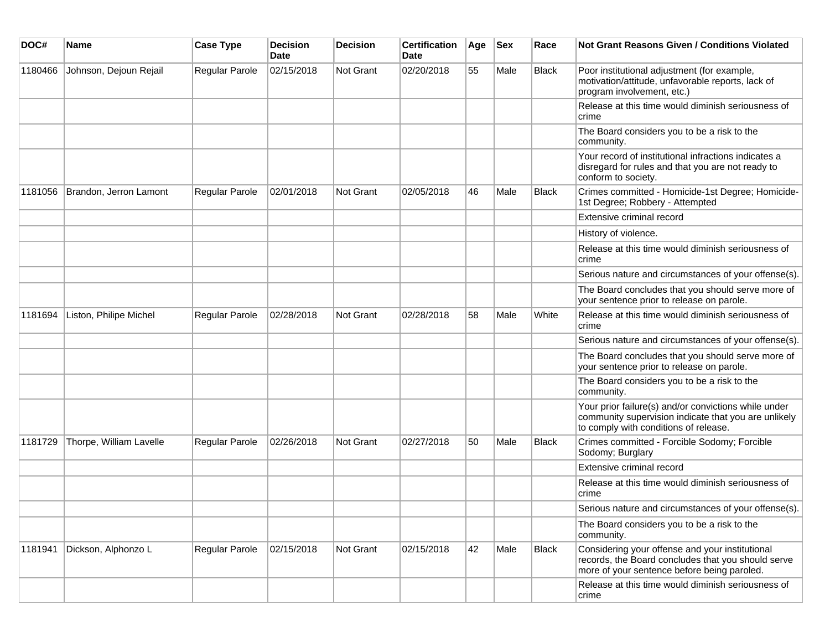| DOC#    | <b>Name</b>             | <b>Case Type</b>      | <b>Decision</b><br><b>Date</b> | <b>Decision</b> | <b>Certification</b><br>Date | Age | <b>Sex</b> | Race         | <b>Not Grant Reasons Given / Conditions Violated</b>                                                                                                  |
|---------|-------------------------|-----------------------|--------------------------------|-----------------|------------------------------|-----|------------|--------------|-------------------------------------------------------------------------------------------------------------------------------------------------------|
| 1180466 | Johnson, Dejoun Rejail  | Regular Parole        | 02/15/2018                     | Not Grant       | 02/20/2018                   | 55  | Male       | <b>Black</b> | Poor institutional adjustment (for example,<br>motivation/attitude, unfavorable reports, lack of<br>program involvement, etc.)                        |
|         |                         |                       |                                |                 |                              |     |            |              | Release at this time would diminish seriousness of<br>crime                                                                                           |
|         |                         |                       |                                |                 |                              |     |            |              | The Board considers you to be a risk to the<br>community.                                                                                             |
|         |                         |                       |                                |                 |                              |     |            |              | Your record of institutional infractions indicates a<br>disregard for rules and that you are not ready to<br>conform to society.                      |
| 1181056 | Brandon, Jerron Lamont  | <b>Regular Parole</b> | 02/01/2018                     | Not Grant       | 02/05/2018                   | 46  | Male       | <b>Black</b> | Crimes committed - Homicide-1st Degree; Homicide-<br>1st Degree; Robbery - Attempted                                                                  |
|         |                         |                       |                                |                 |                              |     |            |              | Extensive criminal record                                                                                                                             |
|         |                         |                       |                                |                 |                              |     |            |              | History of violence.                                                                                                                                  |
|         |                         |                       |                                |                 |                              |     |            |              | Release at this time would diminish seriousness of<br>crime                                                                                           |
|         |                         |                       |                                |                 |                              |     |            |              | Serious nature and circumstances of your offense(s).                                                                                                  |
|         |                         |                       |                                |                 |                              |     |            |              | The Board concludes that you should serve more of<br>your sentence prior to release on parole.                                                        |
| 1181694 | Liston, Philipe Michel  | <b>Regular Parole</b> | 02/28/2018                     | Not Grant       | 02/28/2018                   | 58  | Male       | White        | Release at this time would diminish seriousness of<br>crime                                                                                           |
|         |                         |                       |                                |                 |                              |     |            |              | Serious nature and circumstances of your offense(s).                                                                                                  |
|         |                         |                       |                                |                 |                              |     |            |              | The Board concludes that you should serve more of<br>your sentence prior to release on parole.                                                        |
|         |                         |                       |                                |                 |                              |     |            |              | The Board considers you to be a risk to the<br>community.                                                                                             |
|         |                         |                       |                                |                 |                              |     |            |              | Your prior failure(s) and/or convictions while under<br>community supervision indicate that you are unlikely<br>to comply with conditions of release. |
| 1181729 | Thorpe, William Lavelle | <b>Regular Parole</b> | 02/26/2018                     | Not Grant       | 02/27/2018                   | 50  | Male       | <b>Black</b> | Crimes committed - Forcible Sodomy; Forcible<br>Sodomy; Burglary                                                                                      |
|         |                         |                       |                                |                 |                              |     |            |              | Extensive criminal record                                                                                                                             |
|         |                         |                       |                                |                 |                              |     |            |              | Release at this time would diminish seriousness of<br>crime                                                                                           |
|         |                         |                       |                                |                 |                              |     |            |              | Serious nature and circumstances of your offense(s).                                                                                                  |
|         |                         |                       |                                |                 |                              |     |            |              | The Board considers you to be a risk to the<br>community.                                                                                             |
| 1181941 | Dickson, Alphonzo L     | <b>Regular Parole</b> | 02/15/2018                     | Not Grant       | 02/15/2018                   | 42  | Male       | <b>Black</b> | Considering your offense and your institutional<br>records, the Board concludes that you should serve<br>more of your sentence before being paroled.  |
|         |                         |                       |                                |                 |                              |     |            |              | Release at this time would diminish seriousness of<br>crime                                                                                           |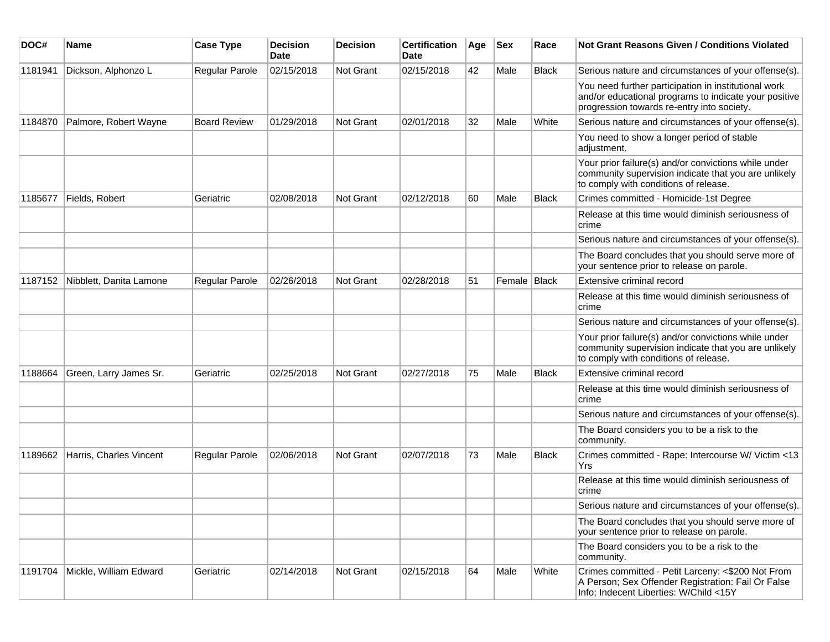| DOC#    | Name                    | <b>Case Type</b>      | <b>Decision</b><br>Date | <b>Decision</b> | <b>Certification</b><br>Date | Age | <b>Sex</b>     | Race         | <b>Not Grant Reasons Given / Conditions Violated</b>                                                                                                        |
|---------|-------------------------|-----------------------|-------------------------|-----------------|------------------------------|-----|----------------|--------------|-------------------------------------------------------------------------------------------------------------------------------------------------------------|
| 1181941 | Dickson, Alphonzo L     | Regular Parole        | 02/15/2018              | Not Grant       | 02/15/2018                   | 42  | Male           | <b>Black</b> | Serious nature and circumstances of your offense(s).                                                                                                        |
|         |                         |                       |                         |                 |                              |     |                |              | You need further participation in institutional work<br>and/or educational programs to indicate your positive<br>progression towards re-entry into society. |
| 1184870 | Palmore, Robert Wayne   | <b>Board Review</b>   | 01/29/2018              | Not Grant       | 02/01/2018                   | 32  | Male           | White        | Serious nature and circumstances of your offense(s).                                                                                                        |
|         |                         |                       |                         |                 |                              |     |                |              | You need to show a longer period of stable<br>adjustment.                                                                                                   |
|         |                         |                       |                         |                 |                              |     |                |              | Your prior failure(s) and/or convictions while under<br>community supervision indicate that you are unlikely<br>to comply with conditions of release.       |
| 1185677 | Fields, Robert          | Geriatric             | 02/08/2018              | Not Grant       | 02/12/2018                   | 60  | Male           | <b>Black</b> | Crimes committed - Homicide-1st Degree                                                                                                                      |
|         |                         |                       |                         |                 |                              |     |                |              | Release at this time would diminish seriousness of<br>crime                                                                                                 |
|         |                         |                       |                         |                 |                              |     |                |              | Serious nature and circumstances of your offense(s).                                                                                                        |
|         |                         |                       |                         |                 |                              |     |                |              | The Board concludes that you should serve more of<br>your sentence prior to release on parole.                                                              |
| 1187152 | Nibblett, Danita Lamone | <b>Regular Parole</b> | 02/26/2018              | Not Grant       | 02/28/2018                   | 51  | Female   Black |              | Extensive criminal record                                                                                                                                   |
|         |                         |                       |                         |                 |                              |     |                |              | Release at this time would diminish seriousness of<br>crime                                                                                                 |
|         |                         |                       |                         |                 |                              |     |                |              | Serious nature and circumstances of your offense(s).                                                                                                        |
|         |                         |                       |                         |                 |                              |     |                |              | Your prior failure(s) and/or convictions while under<br>community supervision indicate that you are unlikely<br>to comply with conditions of release.       |
| 1188664 | Green, Larry James Sr.  | Geriatric             | 02/25/2018              | Not Grant       | 02/27/2018                   | 75  | Male           | <b>Black</b> | Extensive criminal record                                                                                                                                   |
|         |                         |                       |                         |                 |                              |     |                |              | Release at this time would diminish seriousness of<br>crime                                                                                                 |
|         |                         |                       |                         |                 |                              |     |                |              | Serious nature and circumstances of your offense(s).                                                                                                        |
|         |                         |                       |                         |                 |                              |     |                |              | The Board considers you to be a risk to the<br>community.                                                                                                   |
| 1189662 | Harris, Charles Vincent | <b>Regular Parole</b> | 02/06/2018              | Not Grant       | 02/07/2018                   | 73  | Male           | <b>Black</b> | Crimes committed - Rape: Intercourse W/ Victim <13<br>Yrs                                                                                                   |
|         |                         |                       |                         |                 |                              |     |                |              | Release at this time would diminish seriousness of<br>crime                                                                                                 |
|         |                         |                       |                         |                 |                              |     |                |              | Serious nature and circumstances of your offense(s).                                                                                                        |
|         |                         |                       |                         |                 |                              |     |                |              | The Board concludes that you should serve more of<br>your sentence prior to release on parole.                                                              |
|         |                         |                       |                         |                 |                              |     |                |              | The Board considers you to be a risk to the<br>community.                                                                                                   |
| 1191704 | Mickle, William Edward  | Geriatric             | 02/14/2018              | Not Grant       | 02/15/2018                   | 64  | Male           | White        | Crimes committed - Petit Larceny: <\$200 Not From<br>A Person; Sex Offender Registration: Fail Or False<br>Info; Indecent Liberties: W/Child <15Y           |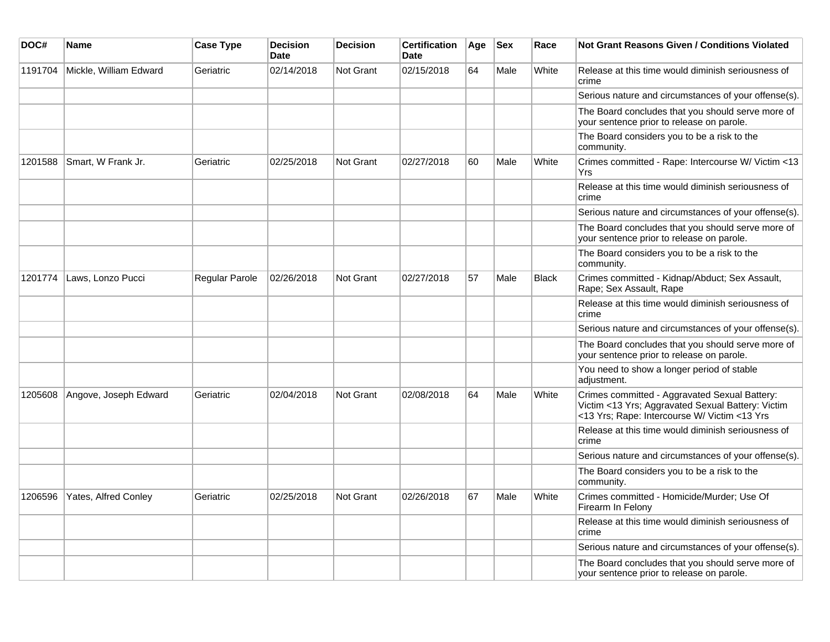| DOC#    | <b>Name</b>            | <b>Case Type</b> | <b>Decision</b><br><b>Date</b> | <b>Decision</b>  | <b>Certification</b><br>Date | Age | <b>Sex</b> | Race         | <b>Not Grant Reasons Given / Conditions Violated</b>                                                                                               |
|---------|------------------------|------------------|--------------------------------|------------------|------------------------------|-----|------------|--------------|----------------------------------------------------------------------------------------------------------------------------------------------------|
| 1191704 | Mickle, William Edward | Geriatric        | 02/14/2018                     | Not Grant        | 02/15/2018                   | 64  | Male       | White        | Release at this time would diminish seriousness of<br>crime                                                                                        |
|         |                        |                  |                                |                  |                              |     |            |              | Serious nature and circumstances of your offense(s).                                                                                               |
|         |                        |                  |                                |                  |                              |     |            |              | The Board concludes that you should serve more of<br>your sentence prior to release on parole.                                                     |
|         |                        |                  |                                |                  |                              |     |            |              | The Board considers you to be a risk to the<br>community.                                                                                          |
| 1201588 | Smart, W Frank Jr.     | Geriatric        | 02/25/2018                     | Not Grant        | 02/27/2018                   | 60  | Male       | White        | Crimes committed - Rape: Intercourse W/ Victim <13<br>Yrs                                                                                          |
|         |                        |                  |                                |                  |                              |     |            |              | Release at this time would diminish seriousness of<br>crime                                                                                        |
|         |                        |                  |                                |                  |                              |     |            |              | Serious nature and circumstances of your offense(s).                                                                                               |
|         |                        |                  |                                |                  |                              |     |            |              | The Board concludes that you should serve more of<br>your sentence prior to release on parole.                                                     |
|         |                        |                  |                                |                  |                              |     |            |              | The Board considers you to be a risk to the<br>community.                                                                                          |
| 1201774 | Laws, Lonzo Pucci      | Regular Parole   | 02/26/2018                     | <b>Not Grant</b> | 02/27/2018                   | 57  | Male       | <b>Black</b> | Crimes committed - Kidnap/Abduct; Sex Assault,<br>Rape; Sex Assault, Rape                                                                          |
|         |                        |                  |                                |                  |                              |     |            |              | Release at this time would diminish seriousness of<br>crime                                                                                        |
|         |                        |                  |                                |                  |                              |     |            |              | Serious nature and circumstances of your offense(s).                                                                                               |
|         |                        |                  |                                |                  |                              |     |            |              | The Board concludes that you should serve more of<br>your sentence prior to release on parole.                                                     |
|         |                        |                  |                                |                  |                              |     |            |              | You need to show a longer period of stable<br>adjustment.                                                                                          |
| 1205608 | Angove, Joseph Edward  | Geriatric        | 02/04/2018                     | <b>Not Grant</b> | 02/08/2018                   | 64  | Male       | White        | Crimes committed - Aggravated Sexual Battery:<br>Victim <13 Yrs; Aggravated Sexual Battery: Victim<br><13 Yrs; Rape: Intercourse W/ Victim <13 Yrs |
|         |                        |                  |                                |                  |                              |     |            |              | Release at this time would diminish seriousness of<br>crime                                                                                        |
|         |                        |                  |                                |                  |                              |     |            |              | Serious nature and circumstances of your offense(s).                                                                                               |
|         |                        |                  |                                |                  |                              |     |            |              | The Board considers you to be a risk to the<br>community.                                                                                          |
| 1206596 | Yates, Alfred Conley   | Geriatric        | 02/25/2018                     | <b>Not Grant</b> | 02/26/2018                   | 67  | Male       | White        | Crimes committed - Homicide/Murder; Use Of<br>Firearm In Felony                                                                                    |
|         |                        |                  |                                |                  |                              |     |            |              | Release at this time would diminish seriousness of<br>crime                                                                                        |
|         |                        |                  |                                |                  |                              |     |            |              | Serious nature and circumstances of your offense(s).                                                                                               |
|         |                        |                  |                                |                  |                              |     |            |              | The Board concludes that you should serve more of<br>your sentence prior to release on parole.                                                     |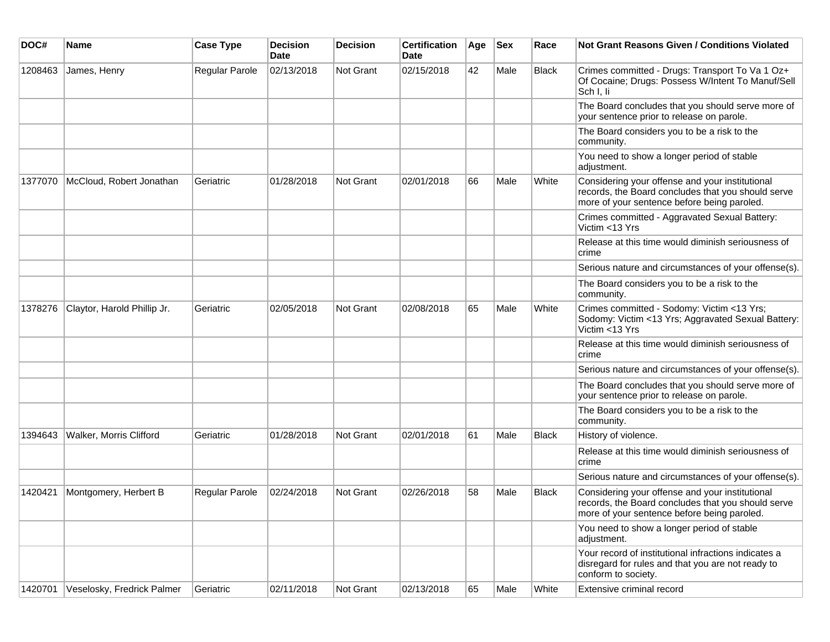| DOC#    | Name                        | <b>Case Type</b> | <b>Decision</b><br><b>Date</b> | Decision         | <b>Certification</b><br><b>Date</b> | Age | <b>Sex</b> | Race         | <b>Not Grant Reasons Given / Conditions Violated</b>                                                                                                 |
|---------|-----------------------------|------------------|--------------------------------|------------------|-------------------------------------|-----|------------|--------------|------------------------------------------------------------------------------------------------------------------------------------------------------|
| 1208463 | James, Henry                | Regular Parole   | 02/13/2018                     | Not Grant        | 02/15/2018                          | 42  | Male       | Black        | Crimes committed - Drugs: Transport To Va 1 Oz+<br>Of Cocaine; Drugs: Possess W/Intent To Manuf/Sell<br>Sch I, li                                    |
|         |                             |                  |                                |                  |                                     |     |            |              | The Board concludes that you should serve more of<br>your sentence prior to release on parole.                                                       |
|         |                             |                  |                                |                  |                                     |     |            |              | The Board considers you to be a risk to the<br>community.                                                                                            |
|         |                             |                  |                                |                  |                                     |     |            |              | You need to show a longer period of stable<br>adjustment.                                                                                            |
| 1377070 | McCloud, Robert Jonathan    | Geriatric        | 01/28/2018                     | Not Grant        | 02/01/2018                          | 66  | Male       | White        | Considering your offense and your institutional<br>records, the Board concludes that you should serve<br>more of your sentence before being paroled. |
|         |                             |                  |                                |                  |                                     |     |            |              | Crimes committed - Aggravated Sexual Battery:<br>Victim <13 Yrs                                                                                      |
|         |                             |                  |                                |                  |                                     |     |            |              | Release at this time would diminish seriousness of<br>crime                                                                                          |
|         |                             |                  |                                |                  |                                     |     |            |              | Serious nature and circumstances of your offense(s).                                                                                                 |
|         |                             |                  |                                |                  |                                     |     |            |              | The Board considers you to be a risk to the<br>community.                                                                                            |
| 1378276 | Claytor, Harold Phillip Jr. | Geriatric        | 02/05/2018                     | Not Grant        | 02/08/2018                          | 65  | Male       | White        | Crimes committed - Sodomy: Victim <13 Yrs;<br>Sodomy: Victim <13 Yrs; Aggravated Sexual Battery:<br>Victim <13 Yrs                                   |
|         |                             |                  |                                |                  |                                     |     |            |              | Release at this time would diminish seriousness of<br>crime                                                                                          |
|         |                             |                  |                                |                  |                                     |     |            |              | Serious nature and circumstances of your offense(s).                                                                                                 |
|         |                             |                  |                                |                  |                                     |     |            |              | The Board concludes that you should serve more of<br>your sentence prior to release on parole.                                                       |
|         |                             |                  |                                |                  |                                     |     |            |              | The Board considers you to be a risk to the<br>community.                                                                                            |
| 1394643 | Walker, Morris Clifford     | Geriatric        | 01/28/2018                     | Not Grant        | 02/01/2018                          | 61  | Male       | Black        | History of violence.                                                                                                                                 |
|         |                             |                  |                                |                  |                                     |     |            |              | Release at this time would diminish seriousness of<br>crime                                                                                          |
|         |                             |                  |                                |                  |                                     |     |            |              | Serious nature and circumstances of your offense(s).                                                                                                 |
| 1420421 | Montgomery, Herbert B       | Regular Parole   | 02/24/2018                     | <b>Not Grant</b> | 02/26/2018                          | 58  | Male       | <b>Black</b> | Considering your offense and your institutional<br>records, the Board concludes that you should serve<br>more of your sentence before being paroled. |
|         |                             |                  |                                |                  |                                     |     |            |              | You need to show a longer period of stable<br>adjustment.                                                                                            |
|         |                             |                  |                                |                  |                                     |     |            |              | Your record of institutional infractions indicates a<br>disregard for rules and that you are not ready to<br>conform to society.                     |
| 1420701 | Veselosky, Fredrick Palmer  | Geriatric        | 02/11/2018                     | Not Grant        | 02/13/2018                          | 65  | Male       | White        | Extensive criminal record                                                                                                                            |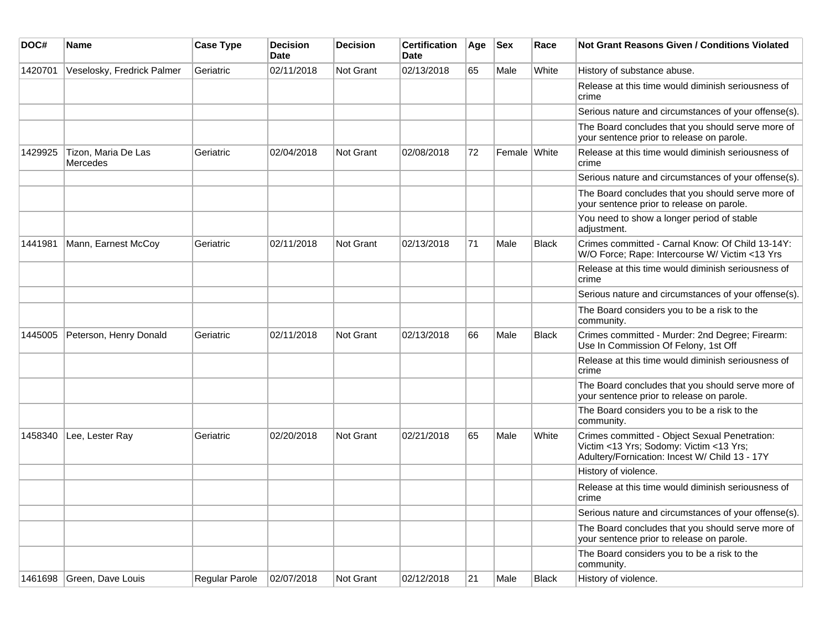| DOC#    | <b>Name</b>                     | <b>Case Type</b>      | <b>Decision</b><br><b>Date</b> | <b>Decision</b>  | <b>Certification</b><br><b>Date</b> | Age | <b>Sex</b>   | Race         | <b>Not Grant Reasons Given / Conditions Violated</b>                                                                                       |
|---------|---------------------------------|-----------------------|--------------------------------|------------------|-------------------------------------|-----|--------------|--------------|--------------------------------------------------------------------------------------------------------------------------------------------|
| 1420701 | Veselosky, Fredrick Palmer      | Geriatric             | 02/11/2018                     | Not Grant        | 02/13/2018                          | 65  | Male         | White        | History of substance abuse.                                                                                                                |
|         |                                 |                       |                                |                  |                                     |     |              |              | Release at this time would diminish seriousness of<br>crime                                                                                |
|         |                                 |                       |                                |                  |                                     |     |              |              | Serious nature and circumstances of your offense(s).                                                                                       |
|         |                                 |                       |                                |                  |                                     |     |              |              | The Board concludes that you should serve more of<br>your sentence prior to release on parole.                                             |
| 1429925 | Tizon, Maria De Las<br>Mercedes | Geriatric             | 02/04/2018                     | <b>Not Grant</b> | 02/08/2018                          | 72  | Female White |              | Release at this time would diminish seriousness of<br>crime                                                                                |
|         |                                 |                       |                                |                  |                                     |     |              |              | Serious nature and circumstances of your offense(s).                                                                                       |
|         |                                 |                       |                                |                  |                                     |     |              |              | The Board concludes that you should serve more of<br>your sentence prior to release on parole.                                             |
|         |                                 |                       |                                |                  |                                     |     |              |              | You need to show a longer period of stable<br>adjustment.                                                                                  |
| 1441981 | Mann, Earnest McCoy             | Geriatric             | 02/11/2018                     | <b>Not Grant</b> | 02/13/2018                          | 71  | Male         | <b>Black</b> | Crimes committed - Carnal Know: Of Child 13-14Y:<br>W/O Force; Rape: Intercourse W/ Victim <13 Yrs                                         |
|         |                                 |                       |                                |                  |                                     |     |              |              | Release at this time would diminish seriousness of<br>crime                                                                                |
|         |                                 |                       |                                |                  |                                     |     |              |              | Serious nature and circumstances of your offense(s).                                                                                       |
|         |                                 |                       |                                |                  |                                     |     |              |              | The Board considers you to be a risk to the<br>community.                                                                                  |
| 1445005 | Peterson, Henry Donald          | Geriatric             | 02/11/2018                     | <b>Not Grant</b> | 02/13/2018                          | 66  | Male         | <b>Black</b> | Crimes committed - Murder: 2nd Degree; Firearm:<br>Use In Commission Of Felony, 1st Off                                                    |
|         |                                 |                       |                                |                  |                                     |     |              |              | Release at this time would diminish seriousness of<br>crime                                                                                |
|         |                                 |                       |                                |                  |                                     |     |              |              | The Board concludes that you should serve more of<br>your sentence prior to release on parole.                                             |
|         |                                 |                       |                                |                  |                                     |     |              |              | The Board considers you to be a risk to the<br>community.                                                                                  |
| 1458340 | Lee, Lester Ray                 | Geriatric             | 02/20/2018                     | <b>Not Grant</b> | 02/21/2018                          | 65  | Male         | White        | Crimes committed - Object Sexual Penetration:<br>Victim <13 Yrs; Sodomy: Victim <13 Yrs;<br>Adultery/Fornication: Incest W/ Child 13 - 17Y |
|         |                                 |                       |                                |                  |                                     |     |              |              | History of violence.                                                                                                                       |
|         |                                 |                       |                                |                  |                                     |     |              |              | Release at this time would diminish seriousness of<br>crime                                                                                |
|         |                                 |                       |                                |                  |                                     |     |              |              | Serious nature and circumstances of your offense(s).                                                                                       |
|         |                                 |                       |                                |                  |                                     |     |              |              | The Board concludes that you should serve more of<br>your sentence prior to release on parole.                                             |
|         |                                 |                       |                                |                  |                                     |     |              |              | The Board considers you to be a risk to the<br>community.                                                                                  |
|         | 1461698 Green, Dave Louis       | <b>Regular Parole</b> | 02/07/2018                     | Not Grant        | 02/12/2018                          | 21  | Male         | <b>Black</b> | History of violence.                                                                                                                       |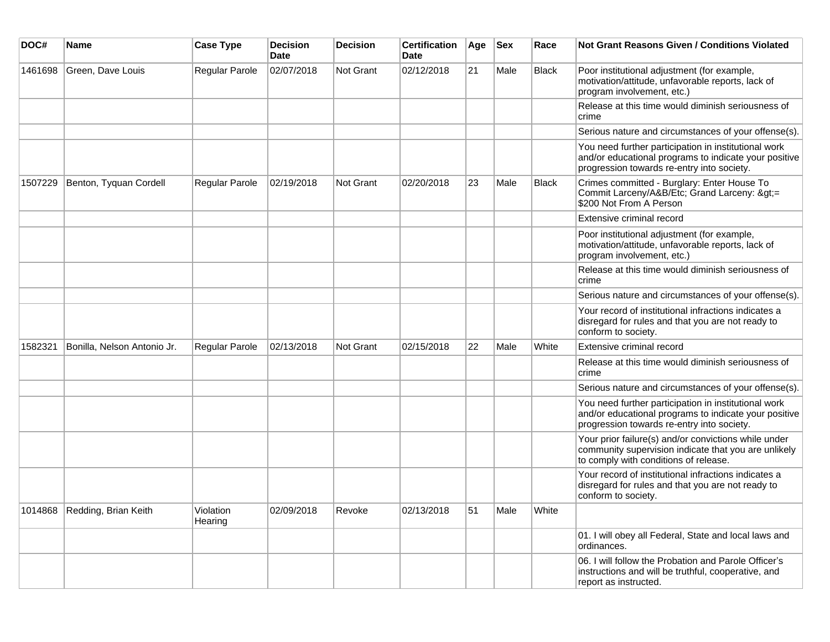| DOC#    | <b>Name</b>                    | <b>Case Type</b>      | <b>Decision</b><br><b>Date</b> | <b>Decision</b>  | <b>Certification</b><br>Date | Age | <b>Sex</b> | Race         | <b>Not Grant Reasons Given / Conditions Violated</b>                                                                                                        |
|---------|--------------------------------|-----------------------|--------------------------------|------------------|------------------------------|-----|------------|--------------|-------------------------------------------------------------------------------------------------------------------------------------------------------------|
| 1461698 | Green, Dave Louis              | Regular Parole        | 02/07/2018                     | <b>Not Grant</b> | 02/12/2018                   | 21  | Male       | Black        | Poor institutional adjustment (for example,<br>motivation/attitude, unfavorable reports, lack of<br>program involvement, etc.)                              |
|         |                                |                       |                                |                  |                              |     |            |              | Release at this time would diminish seriousness of<br>crime                                                                                                 |
|         |                                |                       |                                |                  |                              |     |            |              | Serious nature and circumstances of your offense(s).                                                                                                        |
|         |                                |                       |                                |                  |                              |     |            |              | You need further participation in institutional work<br>and/or educational programs to indicate your positive<br>progression towards re-entry into society. |
| 1507229 | Benton, Tyquan Cordell         | Regular Parole        | 02/19/2018                     | <b>Not Grant</b> | 02/20/2018                   | 23  | Male       | <b>Black</b> | Crimes committed - Burglary: Enter House To<br>Commit Larceny/A&B/Etc; Grand Larceny: >=<br>\$200 Not From A Person                                         |
|         |                                |                       |                                |                  |                              |     |            |              | Extensive criminal record                                                                                                                                   |
|         |                                |                       |                                |                  |                              |     |            |              | Poor institutional adjustment (for example,<br>motivation/attitude, unfavorable reports, lack of<br>program involvement, etc.)                              |
|         |                                |                       |                                |                  |                              |     |            |              | Release at this time would diminish seriousness of<br>crime                                                                                                 |
|         |                                |                       |                                |                  |                              |     |            |              | Serious nature and circumstances of your offense(s).                                                                                                        |
|         |                                |                       |                                |                  |                              |     |            |              | Your record of institutional infractions indicates a<br>disregard for rules and that you are not ready to<br>conform to society.                            |
| 1582321 | Bonilla, Nelson Antonio Jr.    | <b>Regular Parole</b> | 02/13/2018                     | <b>Not Grant</b> | 02/15/2018                   | 22  | Male       | White        | Extensive criminal record                                                                                                                                   |
|         |                                |                       |                                |                  |                              |     |            |              | Release at this time would diminish seriousness of<br>crime                                                                                                 |
|         |                                |                       |                                |                  |                              |     |            |              | Serious nature and circumstances of your offense(s).                                                                                                        |
|         |                                |                       |                                |                  |                              |     |            |              | You need further participation in institutional work<br>and/or educational programs to indicate your positive<br>progression towards re-entry into society. |
|         |                                |                       |                                |                  |                              |     |            |              | Your prior failure(s) and/or convictions while under<br>community supervision indicate that you are unlikely<br>to comply with conditions of release.       |
|         |                                |                       |                                |                  |                              |     |            |              | Your record of institutional infractions indicates a<br>disregard for rules and that you are not ready to<br>conform to society.                            |
|         | 1014868   Redding, Brian Keith | Violation<br>Hearing  | 02/09/2018                     | Revoke           | 02/13/2018                   | 51  | Male       | White        |                                                                                                                                                             |
|         |                                |                       |                                |                  |                              |     |            |              | 01. I will obey all Federal, State and local laws and<br>ordinances.                                                                                        |
|         |                                |                       |                                |                  |                              |     |            |              | 06. I will follow the Probation and Parole Officer's<br>instructions and will be truthful, cooperative, and<br>report as instructed.                        |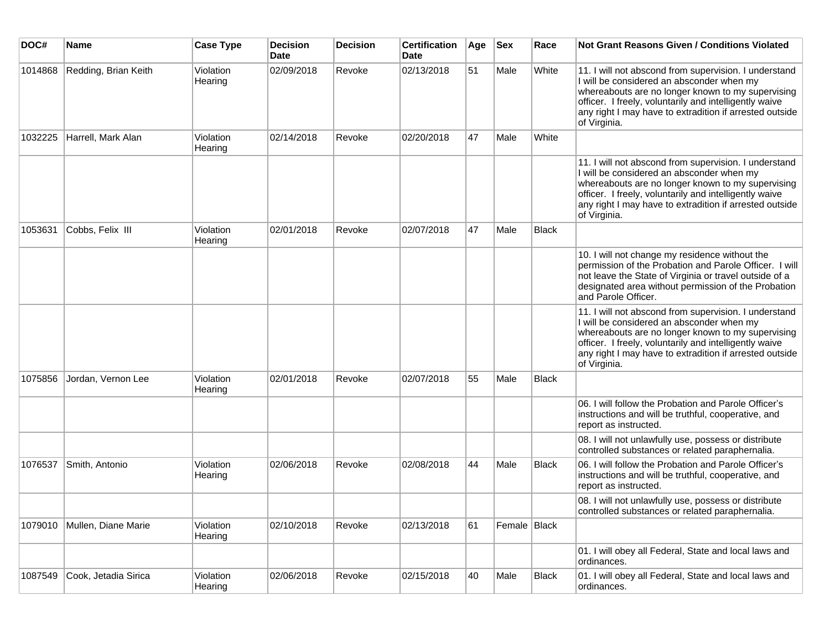| DOC#    | <b>Name</b>          | <b>Case Type</b>     | <b>Decision</b><br><b>Date</b> | <b>Decision</b> | <b>Certification</b><br><b>Date</b> | Age | <b>Sex</b>     | Race         | <b>Not Grant Reasons Given / Conditions Violated</b>                                                                                                                                                                                                                                         |
|---------|----------------------|----------------------|--------------------------------|-----------------|-------------------------------------|-----|----------------|--------------|----------------------------------------------------------------------------------------------------------------------------------------------------------------------------------------------------------------------------------------------------------------------------------------------|
| 1014868 | Redding, Brian Keith | Violation<br>Hearing | 02/09/2018                     | Revoke          | 02/13/2018                          | 51  | Male           | White        | 11. I will not abscond from supervision. I understand<br>I will be considered an absconder when my<br>whereabouts are no longer known to my supervising<br>officer. I freely, voluntarily and intelligently waive<br>any right I may have to extradition if arrested outside<br>of Virginia. |
| 1032225 | Harrell, Mark Alan   | Violation<br>Hearing | 02/14/2018                     | Revoke          | 02/20/2018                          | 47  | Male           | White        |                                                                                                                                                                                                                                                                                              |
|         |                      |                      |                                |                 |                                     |     |                |              | 11. I will not abscond from supervision. I understand<br>I will be considered an absconder when my<br>whereabouts are no longer known to my supervising<br>officer. I freely, voluntarily and intelligently waive<br>any right I may have to extradition if arrested outside<br>of Virginia. |
| 1053631 | Cobbs, Felix III     | Violation<br>Hearing | 02/01/2018                     | Revoke          | 02/07/2018                          | 47  | Male           | <b>Black</b> |                                                                                                                                                                                                                                                                                              |
|         |                      |                      |                                |                 |                                     |     |                |              | 10. I will not change my residence without the<br>permission of the Probation and Parole Officer. I will<br>not leave the State of Virginia or travel outside of a<br>designated area without permission of the Probation<br>and Parole Officer.                                             |
|         |                      |                      |                                |                 |                                     |     |                |              | 11. I will not abscond from supervision. I understand<br>I will be considered an absconder when my<br>whereabouts are no longer known to my supervising<br>officer. I freely, voluntarily and intelligently waive<br>any right I may have to extradition if arrested outside<br>of Virginia. |
| 1075856 | Jordan, Vernon Lee   | Violation<br>Hearing | 02/01/2018                     | Revoke          | 02/07/2018                          | 55  | Male           | <b>Black</b> |                                                                                                                                                                                                                                                                                              |
|         |                      |                      |                                |                 |                                     |     |                |              | 06. I will follow the Probation and Parole Officer's<br>instructions and will be truthful, cooperative, and<br>report as instructed.                                                                                                                                                         |
|         |                      |                      |                                |                 |                                     |     |                |              | 08. I will not unlawfully use, possess or distribute<br>controlled substances or related paraphernalia.                                                                                                                                                                                      |
| 1076537 | Smith, Antonio       | Violation<br>Hearing | 02/06/2018                     | Revoke          | 02/08/2018                          | 44  | Male           | Black        | 06. I will follow the Probation and Parole Officer's<br>instructions and will be truthful, cooperative, and<br>report as instructed.                                                                                                                                                         |
|         |                      |                      |                                |                 |                                     |     |                |              | 08. I will not unlawfully use, possess or distribute<br>controlled substances or related paraphernalia.                                                                                                                                                                                      |
| 1079010 | Mullen, Diane Marie  | Violation<br>Hearing | 02/10/2018                     | Revoke          | 02/13/2018                          | 61  | Female   Black |              |                                                                                                                                                                                                                                                                                              |
|         |                      |                      |                                |                 |                                     |     |                |              | 01. I will obey all Federal, State and local laws and<br>ordinances.                                                                                                                                                                                                                         |
| 1087549 | Cook, Jetadia Sirica | Violation<br>Hearing | 02/06/2018                     | Revoke          | 02/15/2018                          | 40  | Male           | Black        | 01. I will obey all Federal, State and local laws and<br>ordinances.                                                                                                                                                                                                                         |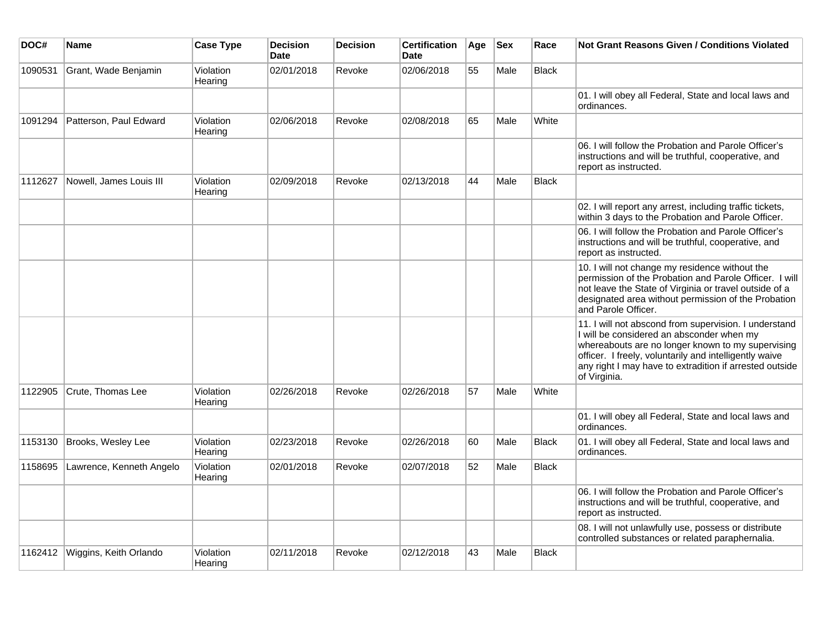| DOC#    | Name                             | <b>Case Type</b>     | <b>Decision</b><br><b>Date</b> | <b>Decision</b> | <b>Certification</b><br><b>Date</b> | Age | <b>Sex</b> | Race         | <b>Not Grant Reasons Given / Conditions Violated</b>                                                                                                                                                                                                                                         |
|---------|----------------------------------|----------------------|--------------------------------|-----------------|-------------------------------------|-----|------------|--------------|----------------------------------------------------------------------------------------------------------------------------------------------------------------------------------------------------------------------------------------------------------------------------------------------|
| 1090531 | Grant, Wade Benjamin             | Violation<br>Hearing | 02/01/2018                     | Revoke          | 02/06/2018                          | 55  | Male       | Black        |                                                                                                                                                                                                                                                                                              |
|         |                                  |                      |                                |                 |                                     |     |            |              | 01. I will obey all Federal, State and local laws and<br>ordinances.                                                                                                                                                                                                                         |
| 1091294 | Patterson, Paul Edward           | Violation<br>Hearing | 02/06/2018                     | Revoke          | 02/08/2018                          | 65  | Male       | White        |                                                                                                                                                                                                                                                                                              |
|         |                                  |                      |                                |                 |                                     |     |            |              | 06. I will follow the Probation and Parole Officer's<br>instructions and will be truthful, cooperative, and<br>report as instructed.                                                                                                                                                         |
| 1112627 | Nowell, James Louis III          | Violation<br>Hearing | 02/09/2018                     | Revoke          | 02/13/2018                          | 44  | Male       | <b>Black</b> |                                                                                                                                                                                                                                                                                              |
|         |                                  |                      |                                |                 |                                     |     |            |              | 02. I will report any arrest, including traffic tickets,<br>within 3 days to the Probation and Parole Officer.                                                                                                                                                                               |
|         |                                  |                      |                                |                 |                                     |     |            |              | 06. I will follow the Probation and Parole Officer's<br>instructions and will be truthful, cooperative, and<br>report as instructed.                                                                                                                                                         |
|         |                                  |                      |                                |                 |                                     |     |            |              | 10. I will not change my residence without the<br>permission of the Probation and Parole Officer. I will<br>not leave the State of Virginia or travel outside of a<br>designated area without permission of the Probation<br>and Parole Officer.                                             |
|         |                                  |                      |                                |                 |                                     |     |            |              | 11. I will not abscond from supervision. I understand<br>I will be considered an absconder when my<br>whereabouts are no longer known to my supervising<br>officer. I freely, voluntarily and intelligently waive<br>any right I may have to extradition if arrested outside<br>of Virginia. |
| 1122905 | Crute. Thomas Lee                | Violation<br>Hearing | 02/26/2018                     | Revoke          | 02/26/2018                          | 57  | Male       | White        |                                                                                                                                                                                                                                                                                              |
|         |                                  |                      |                                |                 |                                     |     |            |              | 01. I will obey all Federal, State and local laws and<br>ordinances.                                                                                                                                                                                                                         |
| 1153130 | Brooks, Wesley Lee               | Violation<br>Hearing | 02/23/2018                     | Revoke          | 02/26/2018                          | 60  | Male       | <b>Black</b> | 01. I will obey all Federal, State and local laws and<br>ordinances.                                                                                                                                                                                                                         |
| 1158695 | Lawrence, Kenneth Angelo         | Violation<br>Hearing | 02/01/2018                     | Revoke          | 02/07/2018                          | 52  | Male       | Black        |                                                                                                                                                                                                                                                                                              |
|         |                                  |                      |                                |                 |                                     |     |            |              | 06. I will follow the Probation and Parole Officer's<br>instructions and will be truthful, cooperative, and<br>report as instructed.                                                                                                                                                         |
|         |                                  |                      |                                |                 |                                     |     |            |              | 08. I will not unlawfully use, possess or distribute<br>controlled substances or related paraphernalia.                                                                                                                                                                                      |
|         | 1162412   Wiggins, Keith Orlando | Violation<br>Hearing | 02/11/2018                     | Revoke          | 02/12/2018                          | 43  | Male       | Black        |                                                                                                                                                                                                                                                                                              |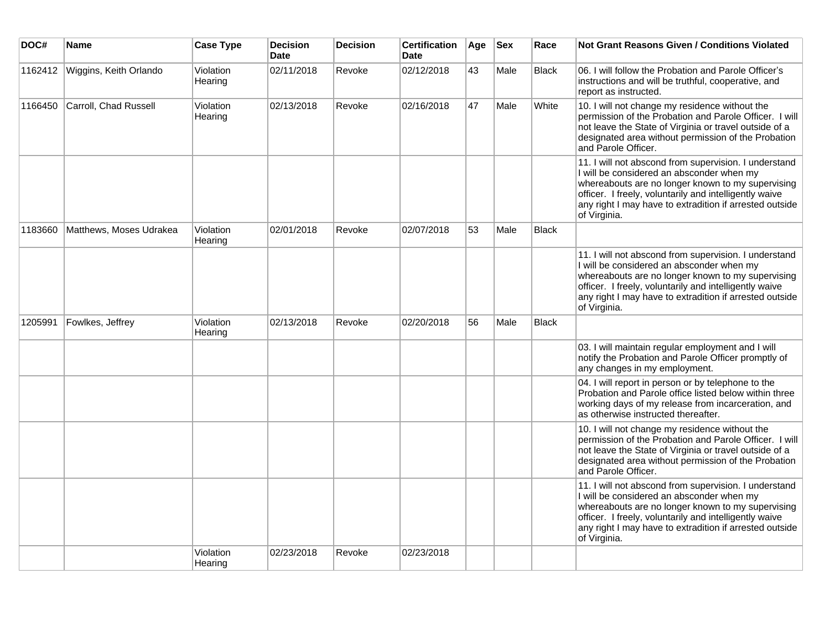| DOC#    | <b>Name</b>             | <b>Case Type</b>     | <b>Decision</b><br><b>Date</b> | <b>Decision</b> | <b>Certification</b><br>Date | Age | <b>Sex</b> | Race         | <b>Not Grant Reasons Given / Conditions Violated</b>                                                                                                                                                                                                                                         |
|---------|-------------------------|----------------------|--------------------------------|-----------------|------------------------------|-----|------------|--------------|----------------------------------------------------------------------------------------------------------------------------------------------------------------------------------------------------------------------------------------------------------------------------------------------|
| 1162412 | Wiggins, Keith Orlando  | Violation<br>Hearing | 02/11/2018                     | Revoke          | 02/12/2018                   | 43  | Male       | <b>Black</b> | 06. I will follow the Probation and Parole Officer's<br>instructions and will be truthful, cooperative, and<br>report as instructed.                                                                                                                                                         |
| 1166450 | Carroll, Chad Russell   | Violation<br>Hearing | 02/13/2018                     | Revoke          | 02/16/2018                   | 47  | Male       | White        | 10. I will not change my residence without the<br>permission of the Probation and Parole Officer. I will<br>not leave the State of Virginia or travel outside of a<br>designated area without permission of the Probation<br>and Parole Officer.                                             |
|         |                         |                      |                                |                 |                              |     |            |              | 11. I will not abscond from supervision. I understand<br>I will be considered an absconder when my<br>whereabouts are no longer known to my supervising<br>officer. I freely, voluntarily and intelligently waive<br>any right I may have to extradition if arrested outside<br>of Virginia. |
| 1183660 | Matthews, Moses Udrakea | Violation<br>Hearing | 02/01/2018                     | Revoke          | 02/07/2018                   | 53  | Male       | <b>Black</b> |                                                                                                                                                                                                                                                                                              |
|         |                         |                      |                                |                 |                              |     |            |              | 11. I will not abscond from supervision. I understand<br>I will be considered an absconder when my<br>whereabouts are no longer known to my supervising<br>officer. I freely, voluntarily and intelligently waive<br>any right I may have to extradition if arrested outside<br>of Virginia. |
| 1205991 | Fowlkes, Jeffrey        | Violation<br>Hearing | 02/13/2018                     | Revoke          | 02/20/2018                   | 56  | Male       | <b>Black</b> |                                                                                                                                                                                                                                                                                              |
|         |                         |                      |                                |                 |                              |     |            |              | 03. I will maintain regular employment and I will<br>notify the Probation and Parole Officer promptly of<br>any changes in my employment.                                                                                                                                                    |
|         |                         |                      |                                |                 |                              |     |            |              | 04. I will report in person or by telephone to the<br>Probation and Parole office listed below within three<br>working days of my release from incarceration, and<br>as otherwise instructed thereafter.                                                                                     |
|         |                         |                      |                                |                 |                              |     |            |              | 10. I will not change my residence without the<br>permission of the Probation and Parole Officer. I will<br>not leave the State of Virginia or travel outside of a<br>designated area without permission of the Probation<br>and Parole Officer.                                             |
|         |                         |                      |                                |                 |                              |     |            |              | 11. I will not abscond from supervision. I understand<br>I will be considered an absconder when my<br>whereabouts are no longer known to my supervising<br>officer. I freely, voluntarily and intelligently waive<br>any right I may have to extradition if arrested outside<br>of Virginia. |
|         |                         | Violation<br>Hearing | 02/23/2018                     | Revoke          | 02/23/2018                   |     |            |              |                                                                                                                                                                                                                                                                                              |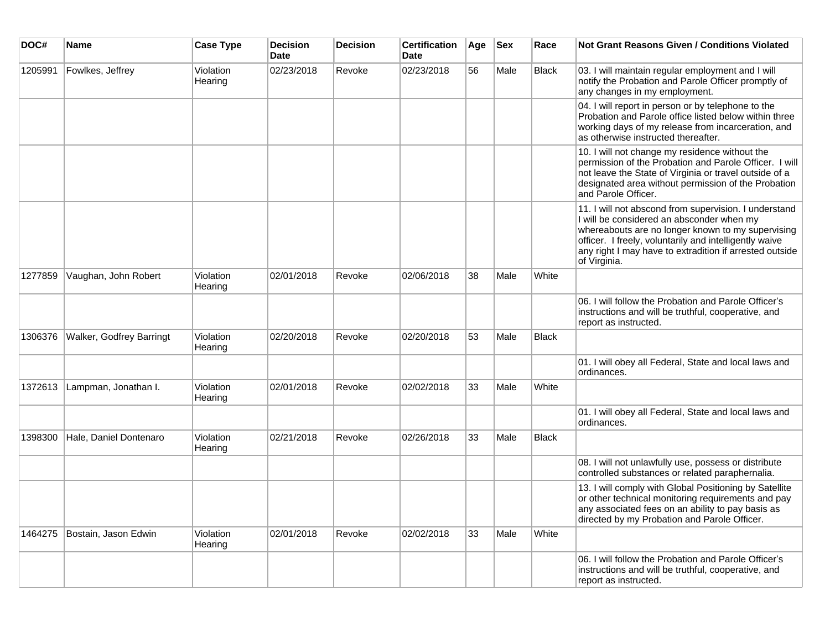| DOC#    | <b>Name</b>                     | <b>Case Type</b>     | <b>Decision</b><br><b>Date</b> | <b>Decision</b> | <b>Certification</b><br><b>Date</b> | Age | <b>Sex</b> | Race         | <b>Not Grant Reasons Given / Conditions Violated</b>                                                                                                                                                                                                                                         |
|---------|---------------------------------|----------------------|--------------------------------|-----------------|-------------------------------------|-----|------------|--------------|----------------------------------------------------------------------------------------------------------------------------------------------------------------------------------------------------------------------------------------------------------------------------------------------|
| 1205991 | Fowlkes, Jeffrey                | Violation<br>Hearing | 02/23/2018                     | Revoke          | 02/23/2018                          | 56  | Male       | <b>Black</b> | 03. I will maintain regular employment and I will<br>notify the Probation and Parole Officer promptly of<br>any changes in my employment.                                                                                                                                                    |
|         |                                 |                      |                                |                 |                                     |     |            |              | 04. I will report in person or by telephone to the<br>Probation and Parole office listed below within three<br>working days of my release from incarceration, and<br>as otherwise instructed thereafter.                                                                                     |
|         |                                 |                      |                                |                 |                                     |     |            |              | 10. I will not change my residence without the<br>permission of the Probation and Parole Officer. I will<br>not leave the State of Virginia or travel outside of a<br>designated area without permission of the Probation<br>and Parole Officer.                                             |
|         |                                 |                      |                                |                 |                                     |     |            |              | 11. I will not abscond from supervision. I understand<br>I will be considered an absconder when my<br>whereabouts are no longer known to my supervising<br>officer. I freely, voluntarily and intelligently waive<br>any right I may have to extradition if arrested outside<br>of Virginia. |
| 1277859 | Vaughan, John Robert            | Violation<br>Hearing | 02/01/2018                     | Revoke          | 02/06/2018                          | 38  | Male       | White        |                                                                                                                                                                                                                                                                                              |
|         |                                 |                      |                                |                 |                                     |     |            |              | 06. I will follow the Probation and Parole Officer's<br>instructions and will be truthful, cooperative, and<br>report as instructed.                                                                                                                                                         |
| 1306376 | <b>Walker, Godfrey Barringt</b> | Violation<br>Hearing | 02/20/2018                     | Revoke          | 02/20/2018                          | 53  | Male       | <b>Black</b> |                                                                                                                                                                                                                                                                                              |
|         |                                 |                      |                                |                 |                                     |     |            |              | 01. I will obey all Federal, State and local laws and<br>ordinances.                                                                                                                                                                                                                         |
| 1372613 | Lampman, Jonathan I.            | Violation<br>Hearing | 02/01/2018                     | Revoke          | 02/02/2018                          | 33  | Male       | White        |                                                                                                                                                                                                                                                                                              |
|         |                                 |                      |                                |                 |                                     |     |            |              | 01. I will obey all Federal, State and local laws and<br>ordinances.                                                                                                                                                                                                                         |
| 1398300 | Hale, Daniel Dontenaro          | Violation<br>Hearing | 02/21/2018                     | Revoke          | 02/26/2018                          | 33  | Male       | Black        |                                                                                                                                                                                                                                                                                              |
|         |                                 |                      |                                |                 |                                     |     |            |              | 08. I will not unlawfully use, possess or distribute<br>controlled substances or related paraphernalia.                                                                                                                                                                                      |
|         |                                 |                      |                                |                 |                                     |     |            |              | 13. I will comply with Global Positioning by Satellite<br>or other technical monitoring requirements and pay<br>any associated fees on an ability to pay basis as<br>directed by my Probation and Parole Officer.                                                                            |
| 1464275 | Bostain, Jason Edwin            | Violation<br>Hearing | 02/01/2018                     | Revoke          | 02/02/2018                          | 33  | Male       | White        |                                                                                                                                                                                                                                                                                              |
|         |                                 |                      |                                |                 |                                     |     |            |              | 06. I will follow the Probation and Parole Officer's<br>instructions and will be truthful, cooperative, and<br>report as instructed.                                                                                                                                                         |